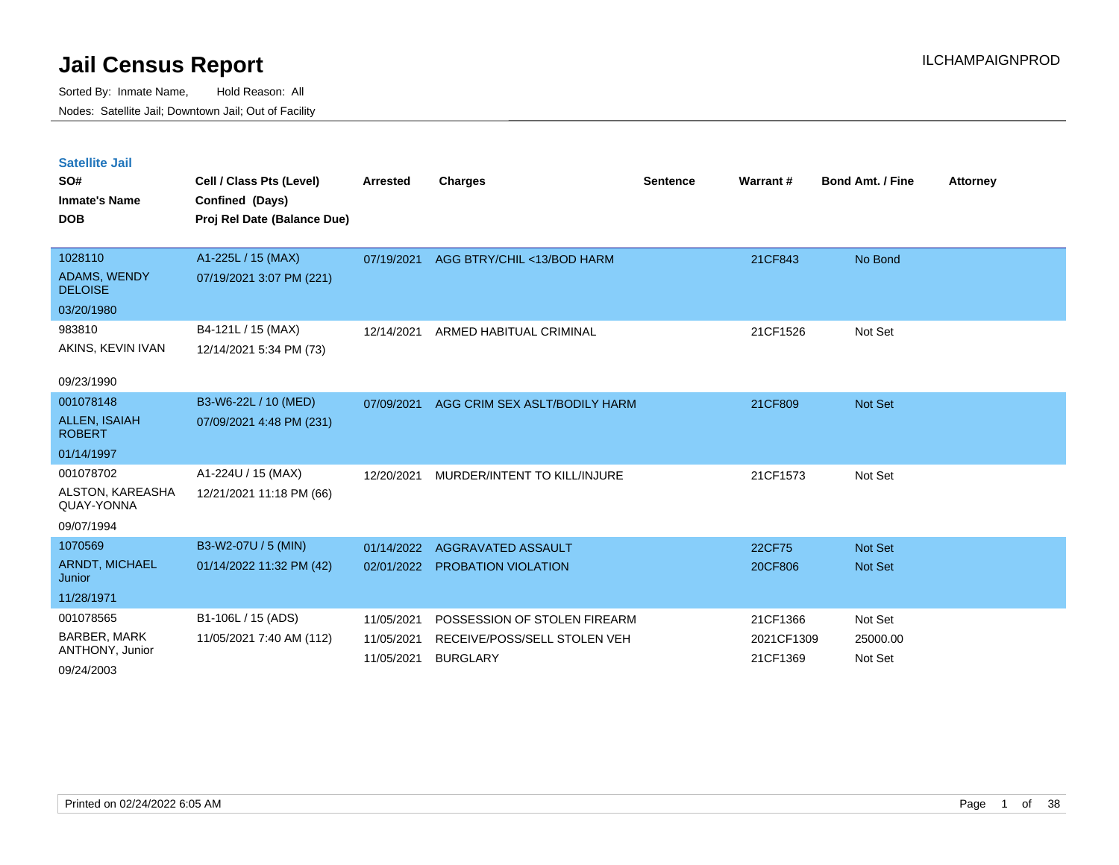Sorted By: Inmate Name, Hold Reason: All Nodes: Satellite Jail; Downtown Jail; Out of Facility

| <b>Satellite Jail</b><br>SO#<br><b>Inmate's Name</b><br><b>DOB</b> | Cell / Class Pts (Level)<br>Confined (Days)<br>Proj Rel Date (Balance Due) | <b>Arrested</b> | <b>Charges</b>                | <b>Sentence</b> | Warrant#   | <b>Bond Amt. / Fine</b> | <b>Attorney</b> |
|--------------------------------------------------------------------|----------------------------------------------------------------------------|-----------------|-------------------------------|-----------------|------------|-------------------------|-----------------|
|                                                                    |                                                                            |                 |                               |                 |            |                         |                 |
| 1028110<br><b>ADAMS, WENDY</b><br><b>DELOISE</b>                   | A1-225L / 15 (MAX)<br>07/19/2021 3:07 PM (221)                             | 07/19/2021      | AGG BTRY/CHIL <13/BOD HARM    |                 | 21CF843    | No Bond                 |                 |
| 03/20/1980                                                         |                                                                            |                 |                               |                 |            |                         |                 |
| 983810<br>AKINS, KEVIN IVAN                                        | B4-121L / 15 (MAX)<br>12/14/2021 5:34 PM (73)                              | 12/14/2021      | ARMED HABITUAL CRIMINAL       |                 | 21CF1526   | Not Set                 |                 |
| 09/23/1990                                                         |                                                                            |                 |                               |                 |            |                         |                 |
| 001078148<br><b>ALLEN, ISAIAH</b><br><b>ROBERT</b>                 | B3-W6-22L / 10 (MED)<br>07/09/2021 4:48 PM (231)                           | 07/09/2021      | AGG CRIM SEX ASLT/BODILY HARM |                 | 21CF809    | <b>Not Set</b>          |                 |
| 01/14/1997<br>001078702                                            | A1-224U / 15 (MAX)                                                         |                 |                               |                 |            |                         |                 |
| ALSTON, KAREASHA<br>QUAY-YONNA                                     | 12/21/2021 11:18 PM (66)                                                   | 12/20/2021      | MURDER/INTENT TO KILL/INJURE  |                 | 21CF1573   | Not Set                 |                 |
| 09/07/1994                                                         |                                                                            |                 |                               |                 |            |                         |                 |
| 1070569                                                            | B3-W2-07U / 5 (MIN)                                                        | 01/14/2022      | AGGRAVATED ASSAULT            |                 | 22CF75     | <b>Not Set</b>          |                 |
| <b>ARNDT, MICHAEL</b><br>Junior                                    | 01/14/2022 11:32 PM (42)                                                   | 02/01/2022      | <b>PROBATION VIOLATION</b>    |                 | 20CF806    | <b>Not Set</b>          |                 |
| 11/28/1971                                                         |                                                                            |                 |                               |                 |            |                         |                 |
| 001078565                                                          | B1-106L / 15 (ADS)                                                         | 11/05/2021      | POSSESSION OF STOLEN FIREARM  |                 | 21CF1366   | Not Set                 |                 |
| <b>BARBER, MARK</b>                                                | 11/05/2021 7:40 AM (112)                                                   | 11/05/2021      | RECEIVE/POSS/SELL STOLEN VEH  |                 | 2021CF1309 | 25000.00                |                 |

11/05/2021 BURGLARY 21CF1369 Not Set

09/24/2003

ANTHONY, Junior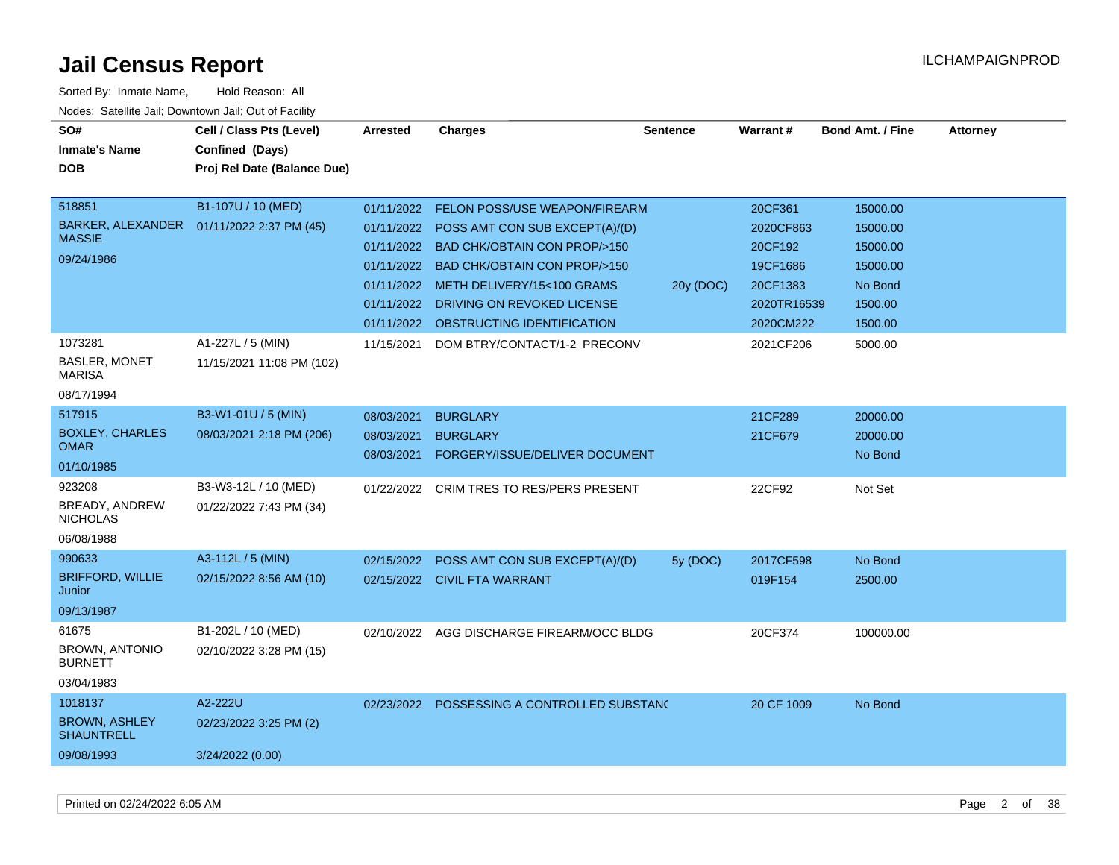| SO#                                       | Cell / Class Pts (Level)                   | <b>Arrested</b> | <b>Charges</b>                              | <b>Sentence</b> | Warrant#    | <b>Bond Amt. / Fine</b> | <b>Attorney</b> |
|-------------------------------------------|--------------------------------------------|-----------------|---------------------------------------------|-----------------|-------------|-------------------------|-----------------|
| <b>Inmate's Name</b>                      | Confined (Days)                            |                 |                                             |                 |             |                         |                 |
| <b>DOB</b>                                | Proj Rel Date (Balance Due)                |                 |                                             |                 |             |                         |                 |
| 518851                                    | B1-107U / 10 (MED)                         |                 |                                             |                 |             |                         |                 |
|                                           |                                            | 01/11/2022      | <b>FELON POSS/USE WEAPON/FIREARM</b>        |                 | 20CF361     | 15000.00                |                 |
| <b>MASSIE</b>                             | BARKER, ALEXANDER  01/11/2022 2:37 PM (45) |                 | 01/11/2022 POSS AMT CON SUB EXCEPT(A)/(D)   |                 | 2020CF863   | 15000.00                |                 |
| 09/24/1986                                |                                            | 01/11/2022      | <b>BAD CHK/OBTAIN CON PROP/&gt;150</b>      |                 | 20CF192     | 15000.00                |                 |
|                                           |                                            | 01/11/2022      | <b>BAD CHK/OBTAIN CON PROP/&gt;150</b>      |                 | 19CF1686    | 15000.00                |                 |
|                                           |                                            | 01/11/2022      | METH DELIVERY/15<100 GRAMS                  | 20y (DOC)       | 20CF1383    | No Bond                 |                 |
|                                           |                                            |                 | 01/11/2022 DRIVING ON REVOKED LICENSE       |                 | 2020TR16539 | 1500.00                 |                 |
|                                           |                                            |                 | 01/11/2022 OBSTRUCTING IDENTIFICATION       |                 | 2020CM222   | 1500.00                 |                 |
| 1073281                                   | A1-227L / 5 (MIN)                          | 11/15/2021      | DOM BTRY/CONTACT/1-2 PRECONV                |                 | 2021CF206   | 5000.00                 |                 |
| BASLER, MONET<br><b>MARISA</b>            | 11/15/2021 11:08 PM (102)                  |                 |                                             |                 |             |                         |                 |
| 08/17/1994                                |                                            |                 |                                             |                 |             |                         |                 |
| 517915                                    | B3-W1-01U / 5 (MIN)                        | 08/03/2021      | <b>BURGLARY</b>                             |                 | 21CF289     | 20000.00                |                 |
| <b>BOXLEY, CHARLES</b>                    | 08/03/2021 2:18 PM (206)                   | 08/03/2021      | <b>BURGLARY</b>                             |                 | 21CF679     | 20000.00                |                 |
| <b>OMAR</b>                               |                                            | 08/03/2021      | FORGERY/ISSUE/DELIVER DOCUMENT              |                 |             | No Bond                 |                 |
| 01/10/1985                                |                                            |                 |                                             |                 |             |                         |                 |
| 923208                                    | B3-W3-12L / 10 (MED)                       | 01/22/2022      | CRIM TRES TO RES/PERS PRESENT               |                 | 22CF92      | Not Set                 |                 |
| <b>BREADY, ANDREW</b><br><b>NICHOLAS</b>  | 01/22/2022 7:43 PM (34)                    |                 |                                             |                 |             |                         |                 |
| 06/08/1988                                |                                            |                 |                                             |                 |             |                         |                 |
| 990633                                    | A3-112L / 5 (MIN)                          | 02/15/2022      | POSS AMT CON SUB EXCEPT(A)/(D)              | 5y (DOC)        | 2017CF598   | No Bond                 |                 |
| <b>BRIFFORD, WILLIE</b><br>Junior         | 02/15/2022 8:56 AM (10)                    |                 | 02/15/2022 CIVIL FTA WARRANT                |                 | 019F154     | 2500.00                 |                 |
| 09/13/1987                                |                                            |                 |                                             |                 |             |                         |                 |
| 61675                                     | B1-202L / 10 (MED)                         | 02/10/2022      | AGG DISCHARGE FIREARM/OCC BLDG              |                 | 20CF374     | 100000.00               |                 |
| <b>BROWN, ANTONIO</b><br><b>BURNETT</b>   | 02/10/2022 3:28 PM (15)                    |                 |                                             |                 |             |                         |                 |
| 03/04/1983                                |                                            |                 |                                             |                 |             |                         |                 |
| 1018137                                   | A2-222U                                    |                 | 02/23/2022 POSSESSING A CONTROLLED SUBSTANC |                 | 20 CF 1009  | No Bond                 |                 |
| <b>BROWN, ASHLEY</b><br><b>SHAUNTRELL</b> | 02/23/2022 3:25 PM (2)                     |                 |                                             |                 |             |                         |                 |
| 09/08/1993                                | 3/24/2022 (0.00)                           |                 |                                             |                 |             |                         |                 |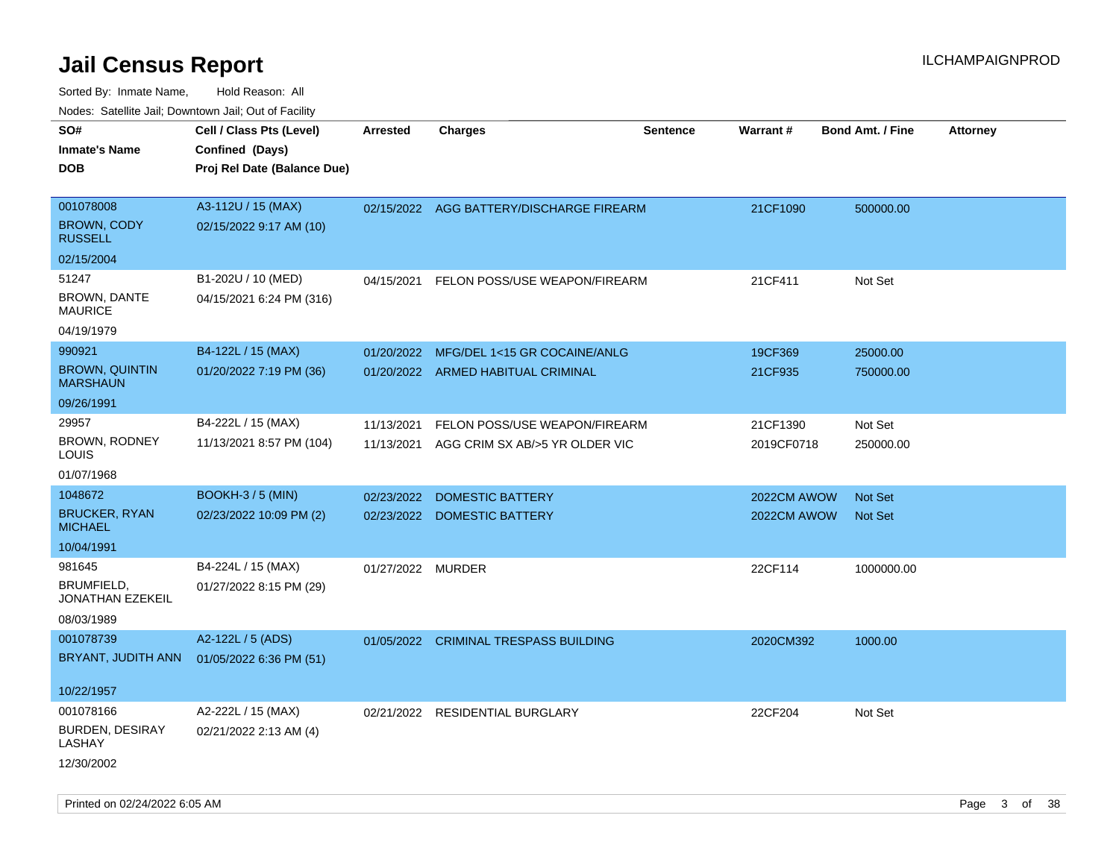| rouco. Calcillo Jali, Downtown Jali, Out of Facility |                             |                   |                                          |                 |             |                         |                 |
|------------------------------------------------------|-----------------------------|-------------------|------------------------------------------|-----------------|-------------|-------------------------|-----------------|
| SO#                                                  | Cell / Class Pts (Level)    | <b>Arrested</b>   | Charges                                  | <b>Sentence</b> | Warrant#    | <b>Bond Amt. / Fine</b> | <b>Attorney</b> |
| <b>Inmate's Name</b>                                 | Confined (Days)             |                   |                                          |                 |             |                         |                 |
| DOB                                                  | Proj Rel Date (Balance Due) |                   |                                          |                 |             |                         |                 |
|                                                      |                             |                   |                                          |                 |             |                         |                 |
| 001078008                                            | A3-112U / 15 (MAX)          |                   | 02/15/2022 AGG BATTERY/DISCHARGE FIREARM |                 | 21CF1090    | 500000.00               |                 |
| <b>BROWN, CODY</b><br>RUSSELL                        | 02/15/2022 9:17 AM (10)     |                   |                                          |                 |             |                         |                 |
| 02/15/2004                                           |                             |                   |                                          |                 |             |                         |                 |
| 51247                                                | B1-202U / 10 (MED)          | 04/15/2021        | FELON POSS/USE WEAPON/FIREARM            |                 | 21CF411     | Not Set                 |                 |
| <b>BROWN, DANTE</b><br>MAURICE                       | 04/15/2021 6:24 PM (316)    |                   |                                          |                 |             |                         |                 |
| 04/19/1979                                           |                             |                   |                                          |                 |             |                         |                 |
| 990921                                               | B4-122L / 15 (MAX)          | 01/20/2022        | MFG/DEL 1<15 GR COCAINE/ANLG             |                 | 19CF369     | 25000.00                |                 |
| <b>BROWN, QUINTIN</b><br>MARSHAUN                    | 01/20/2022 7:19 PM (36)     |                   | 01/20/2022 ARMED HABITUAL CRIMINAL       |                 | 21CF935     | 750000.00               |                 |
| 09/26/1991                                           |                             |                   |                                          |                 |             |                         |                 |
| 29957                                                | B4-222L / 15 (MAX)          | 11/13/2021        | FELON POSS/USE WEAPON/FIREARM            |                 | 21CF1390    | Not Set                 |                 |
| <b>BROWN, RODNEY</b><br>LOUIS                        | 11/13/2021 8:57 PM (104)    | 11/13/2021        | AGG CRIM SX AB/>5 YR OLDER VIC           |                 | 2019CF0718  | 250000.00               |                 |
| 01/07/1968                                           |                             |                   |                                          |                 |             |                         |                 |
| 1048672                                              | <b>BOOKH-3 / 5 (MIN)</b>    | 02/23/2022        | <b>DOMESTIC BATTERY</b>                  |                 | 2022CM AWOW | <b>Not Set</b>          |                 |
| <b>BRUCKER, RYAN</b><br><b>MICHAEL</b>               | 02/23/2022 10:09 PM (2)     |                   | 02/23/2022 DOMESTIC BATTERY              |                 | 2022CM AWOW | <b>Not Set</b>          |                 |
| 10/04/1991                                           |                             |                   |                                          |                 |             |                         |                 |
| 981645                                               | B4-224L / 15 (MAX)          | 01/27/2022 MURDER |                                          |                 | 22CF114     | 1000000.00              |                 |
| BRUMFIELD,<br>JONATHAN EZEKEIL                       | 01/27/2022 8:15 PM (29)     |                   |                                          |                 |             |                         |                 |
| 08/03/1989                                           |                             |                   |                                          |                 |             |                         |                 |
| 001078739                                            | A2-122L / 5 (ADS)           | 01/05/2022        | <b>CRIMINAL TRESPASS BUILDING</b>        |                 | 2020CM392   | 1000.00                 |                 |
| BRYANT, JUDITH ANN                                   | 01/05/2022 6:36 PM (51)     |                   |                                          |                 |             |                         |                 |
| 10/22/1957                                           |                             |                   |                                          |                 |             |                         |                 |
| 001078166                                            | A2-222L / 15 (MAX)          | 02/21/2022        | <b>RESIDENTIAL BURGLARY</b>              |                 | 22CF204     | Not Set                 |                 |
| <b>BURDEN, DESIRAY</b><br>LASHAY                     | 02/21/2022 2:13 AM (4)      |                   |                                          |                 |             |                         |                 |
| 12/30/2002                                           |                             |                   |                                          |                 |             |                         |                 |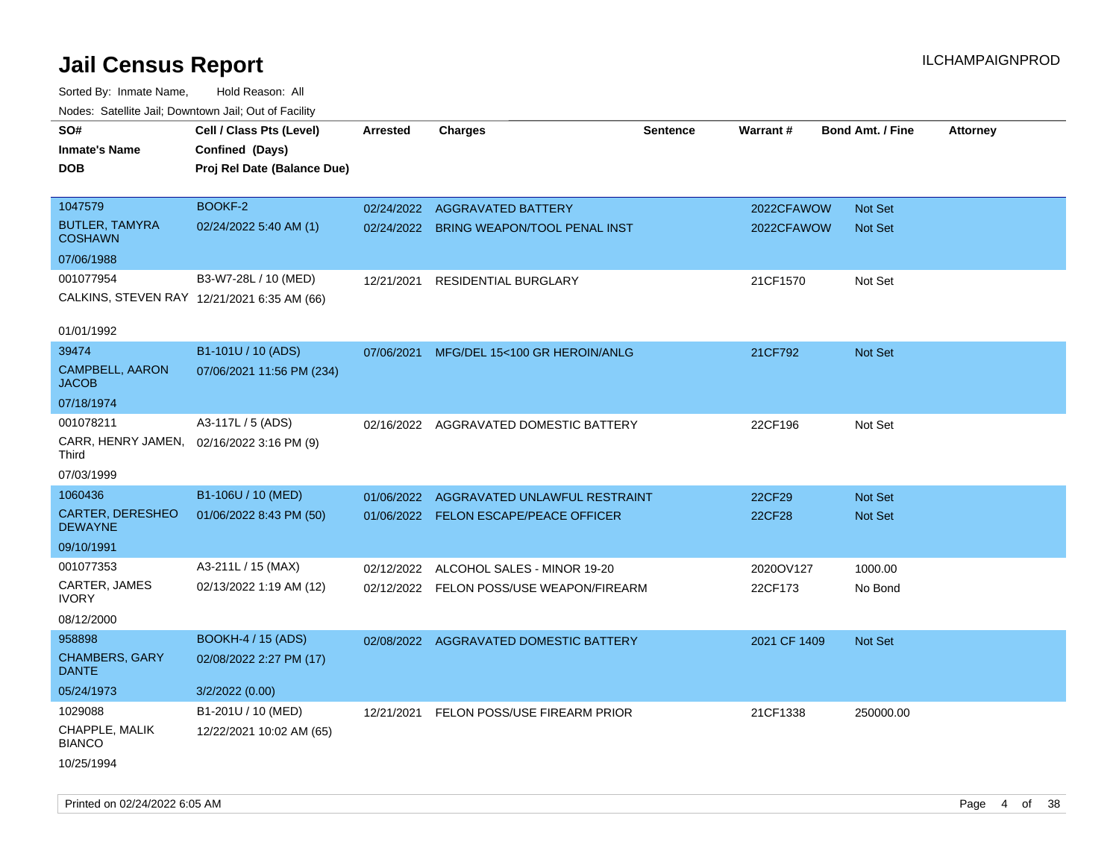| roaco. Calcinio dan, Downtown dan, Out or Fability |                                             |                 |                                          |                 |              |                         |                 |
|----------------------------------------------------|---------------------------------------------|-----------------|------------------------------------------|-----------------|--------------|-------------------------|-----------------|
| SO#                                                | Cell / Class Pts (Level)                    | <b>Arrested</b> | <b>Charges</b>                           | <b>Sentence</b> | Warrant#     | <b>Bond Amt. / Fine</b> | <b>Attorney</b> |
| Inmate's Name                                      | Confined (Days)                             |                 |                                          |                 |              |                         |                 |
| DOB                                                | Proj Rel Date (Balance Due)                 |                 |                                          |                 |              |                         |                 |
|                                                    |                                             |                 |                                          |                 |              |                         |                 |
| 1047579                                            | BOOKF-2                                     |                 | 02/24/2022 AGGRAVATED BATTERY            |                 | 2022CFAWOW   | Not Set                 |                 |
| <b>BUTLER, TAMYRA</b><br><b>COSHAWN</b>            | 02/24/2022 5:40 AM (1)                      |                 | 02/24/2022 BRING WEAPON/TOOL PENAL INST  |                 | 2022CFAWOW   | <b>Not Set</b>          |                 |
| 07/06/1988                                         |                                             |                 |                                          |                 |              |                         |                 |
| 001077954                                          | B3-W7-28L / 10 (MED)                        | 12/21/2021      | <b>RESIDENTIAL BURGLARY</b>              |                 | 21CF1570     | Not Set                 |                 |
|                                                    | CALKINS, STEVEN RAY 12/21/2021 6:35 AM (66) |                 |                                          |                 |              |                         |                 |
| 01/01/1992                                         |                                             |                 |                                          |                 |              |                         |                 |
| 39474                                              | B1-101U / 10 (ADS)                          | 07/06/2021      | MFG/DEL 15<100 GR HEROIN/ANLG            |                 | 21CF792      | <b>Not Set</b>          |                 |
| CAMPBELL, AARON<br><b>JACOB</b>                    | 07/06/2021 11:56 PM (234)                   |                 |                                          |                 |              |                         |                 |
| 07/18/1974                                         |                                             |                 |                                          |                 |              |                         |                 |
| 001078211                                          | A3-117L / 5 (ADS)                           |                 | 02/16/2022 AGGRAVATED DOMESTIC BATTERY   |                 | 22CF196      | Not Set                 |                 |
| CARR, HENRY JAMEN, 02/16/2022 3:16 PM (9)<br>Third |                                             |                 |                                          |                 |              |                         |                 |
| 07/03/1999                                         |                                             |                 |                                          |                 |              |                         |                 |
| 1060436                                            | B1-106U / 10 (MED)                          | 01/06/2022      | AGGRAVATED UNLAWFUL RESTRAINT            |                 | 22CF29       | <b>Not Set</b>          |                 |
| CARTER, DERESHEO<br><b>DEWAYNE</b>                 | 01/06/2022 8:43 PM (50)                     |                 | 01/06/2022 FELON ESCAPE/PEACE OFFICER    |                 | 22CF28       | Not Set                 |                 |
| 09/10/1991                                         |                                             |                 |                                          |                 |              |                         |                 |
| 001077353                                          | A3-211L / 15 (MAX)                          | 02/12/2022      | ALCOHOL SALES - MINOR 19-20              |                 | 2020OV127    | 1000.00                 |                 |
| CARTER, JAMES<br><b>IVORY</b>                      | 02/13/2022 1:19 AM (12)                     |                 | 02/12/2022 FELON POSS/USE WEAPON/FIREARM |                 | 22CF173      | No Bond                 |                 |
| 08/12/2000                                         |                                             |                 |                                          |                 |              |                         |                 |
| 958898                                             | <b>BOOKH-4 / 15 (ADS)</b>                   |                 | 02/08/2022 AGGRAVATED DOMESTIC BATTERY   |                 | 2021 CF 1409 | <b>Not Set</b>          |                 |
| <b>CHAMBERS, GARY</b><br><b>DANTE</b>              | 02/08/2022 2:27 PM (17)                     |                 |                                          |                 |              |                         |                 |
| 05/24/1973                                         | 3/2/2022 (0.00)                             |                 |                                          |                 |              |                         |                 |
| 1029088                                            | B1-201U / 10 (MED)                          | 12/21/2021      | FELON POSS/USE FIREARM PRIOR             |                 | 21CF1338     | 250000.00               |                 |
| CHAPPLE, MALIK<br><b>BIANCO</b>                    | 12/22/2021 10:02 AM (65)                    |                 |                                          |                 |              |                         |                 |
| 10/25/1994                                         |                                             |                 |                                          |                 |              |                         |                 |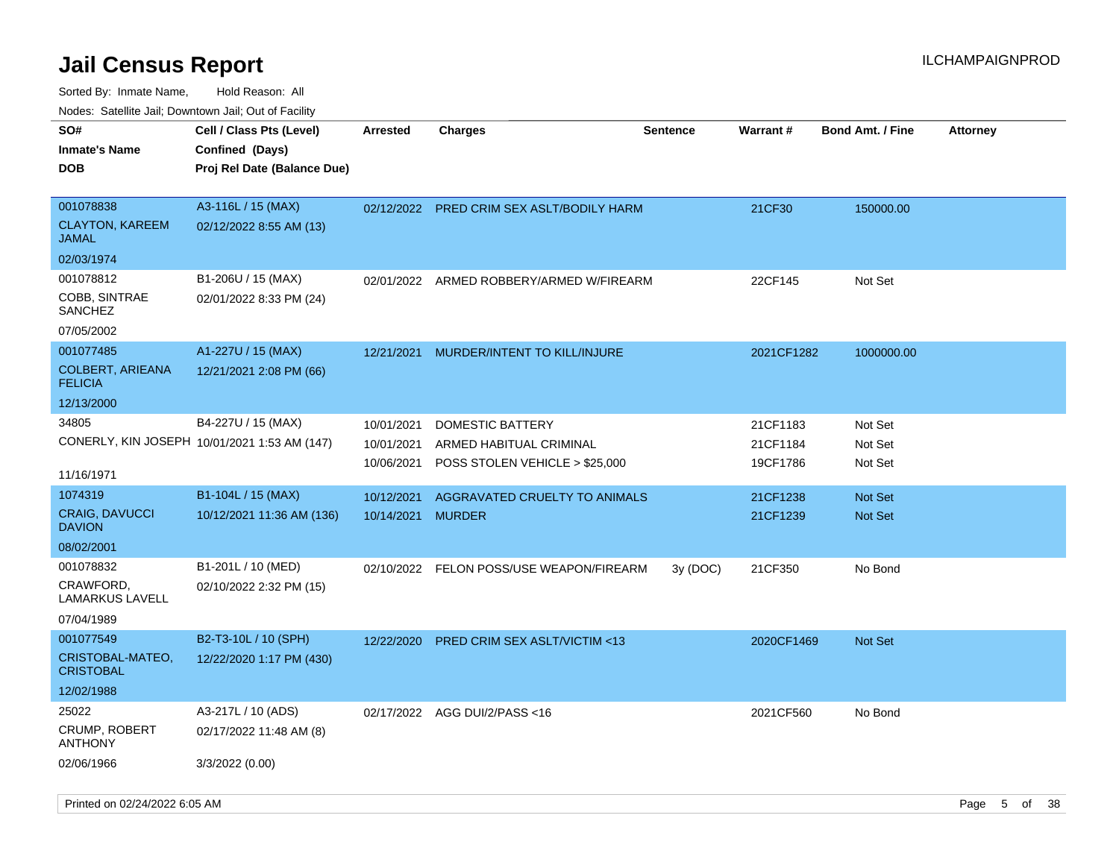| roaco. Catolino dall, Downtown dall, Out of Fability |                                                                            |                 |                                          |                 |                 |                         |                 |
|------------------------------------------------------|----------------------------------------------------------------------------|-----------------|------------------------------------------|-----------------|-----------------|-------------------------|-----------------|
| SO#<br><b>Inmate's Name</b><br><b>DOB</b>            | Cell / Class Pts (Level)<br>Confined (Days)<br>Proj Rel Date (Balance Due) | <b>Arrested</b> | Charges                                  | <b>Sentence</b> | <b>Warrant#</b> | <b>Bond Amt. / Fine</b> | <b>Attorney</b> |
| 001078838<br><b>CLAYTON, KAREEM</b><br>JAMAL         | A3-116L / 15 (MAX)<br>02/12/2022 8:55 AM (13)                              | 02/12/2022      | PRED CRIM SEX ASLT/BODILY HARM           |                 | 21CF30          | 150000.00               |                 |
| 02/03/1974                                           |                                                                            |                 |                                          |                 |                 |                         |                 |
| 001078812                                            | B1-206U / 15 (MAX)                                                         | 02/01/2022      | ARMED ROBBERY/ARMED W/FIREARM            |                 | 22CF145         | Not Set                 |                 |
| COBB, SINTRAE<br><b>SANCHEZ</b>                      | 02/01/2022 8:33 PM (24)                                                    |                 |                                          |                 |                 |                         |                 |
| 07/05/2002                                           |                                                                            |                 |                                          |                 |                 |                         |                 |
| 001077485                                            | A1-227U / 15 (MAX)                                                         | 12/21/2021      | MURDER/INTENT TO KILL/INJURE             |                 | 2021CF1282      | 1000000.00              |                 |
| COLBERT, ARIEANA<br><b>FELICIA</b>                   | 12/21/2021 2:08 PM (66)                                                    |                 |                                          |                 |                 |                         |                 |
| 12/13/2000                                           |                                                                            |                 |                                          |                 |                 |                         |                 |
| 34805                                                | B4-227U / 15 (MAX)                                                         | 10/01/2021      | DOMESTIC BATTERY                         |                 | 21CF1183        | Not Set                 |                 |
|                                                      | CONERLY, KIN JOSEPH 10/01/2021 1:53 AM (147)                               | 10/01/2021      | ARMED HABITUAL CRIMINAL                  |                 | 21CF1184        | Not Set                 |                 |
| 11/16/1971                                           |                                                                            | 10/06/2021      | POSS STOLEN VEHICLE > \$25,000           |                 | 19CF1786        | Not Set                 |                 |
| 1074319                                              | B1-104L / 15 (MAX)                                                         | 10/12/2021      | AGGRAVATED CRUELTY TO ANIMALS            |                 | 21CF1238        | Not Set                 |                 |
| CRAIG, DAVUCCI<br><b>DAVION</b>                      | 10/12/2021 11:36 AM (136)                                                  | 10/14/2021      | MURDER                                   |                 | 21CF1239        | <b>Not Set</b>          |                 |
| 08/02/2001                                           |                                                                            |                 |                                          |                 |                 |                         |                 |
| 001078832<br>CRAWFORD,                               | B1-201L / 10 (MED)<br>02/10/2022 2:32 PM (15)                              |                 | 02/10/2022 FELON POSS/USE WEAPON/FIREARM | 3y(DOC)         | 21CF350         | No Bond                 |                 |
| LAMARKUS LAVELL<br>07/04/1989                        |                                                                            |                 |                                          |                 |                 |                         |                 |
| 001077549                                            | B2-T3-10L / 10 (SPH)                                                       | 12/22/2020      | PRED CRIM SEX ASLT/VICTIM <13            |                 | 2020CF1469      | Not Set                 |                 |
| CRISTOBAL-MATEO,<br><b>CRISTOBAL</b>                 | 12/22/2020 1:17 PM (430)                                                   |                 |                                          |                 |                 |                         |                 |
| 12/02/1988                                           |                                                                            |                 |                                          |                 |                 |                         |                 |
| 25022                                                | A3-217L / 10 (ADS)                                                         |                 | 02/17/2022 AGG DUI/2/PASS<16             |                 | 2021CF560       | No Bond                 |                 |
| CRUMP, ROBERT<br>ANTHONY                             | 02/17/2022 11:48 AM (8)                                                    |                 |                                          |                 |                 |                         |                 |
| 02/06/1966                                           | 3/3/2022 (0.00)                                                            |                 |                                          |                 |                 |                         |                 |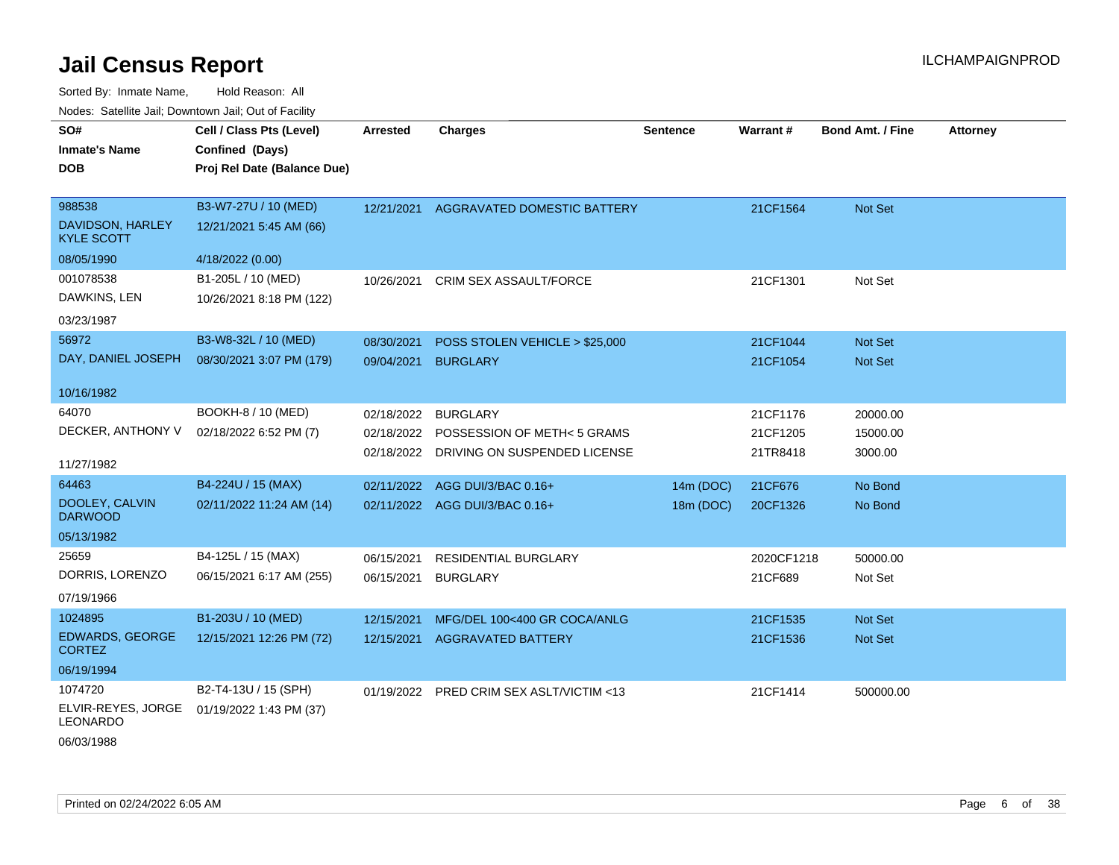Sorted By: Inmate Name, Hold Reason: All Nodes: Satellite Jail; Downtown Jail; Out of Facility

| SO#<br><b>Inmate's Name</b><br><b>DOB</b>        | Cell / Class Pts (Level)<br>Confined (Days)<br>Proj Rel Date (Balance Due) | <b>Arrested</b> | <b>Charges</b>                         | <b>Sentence</b> | <b>Warrant#</b> | <b>Bond Amt. / Fine</b> | <b>Attorney</b> |
|--------------------------------------------------|----------------------------------------------------------------------------|-----------------|----------------------------------------|-----------------|-----------------|-------------------------|-----------------|
| 988538<br>DAVIDSON, HARLEY<br><b>KYLE SCOTT</b>  | B3-W7-27U / 10 (MED)<br>12/21/2021 5:45 AM (66)                            |                 | 12/21/2021 AGGRAVATED DOMESTIC BATTERY |                 | 21CF1564        | Not Set                 |                 |
| 08/05/1990                                       | 4/18/2022 (0.00)                                                           |                 |                                        |                 |                 |                         |                 |
| 001078538<br>DAWKINS, LEN<br>03/23/1987          | B1-205L / 10 (MED)<br>10/26/2021 8:18 PM (122)                             | 10/26/2021      | <b>CRIM SEX ASSAULT/FORCE</b>          |                 | 21CF1301        | Not Set                 |                 |
| 56972                                            | B3-W8-32L / 10 (MED)                                                       | 08/30/2021      | POSS STOLEN VEHICLE > \$25,000         |                 | 21CF1044        | Not Set                 |                 |
| DAY, DANIEL JOSEPH                               | 08/30/2021 3:07 PM (179)                                                   | 09/04/2021      | <b>BURGLARY</b>                        |                 | 21CF1054        | <b>Not Set</b>          |                 |
| 10/16/1982                                       |                                                                            |                 |                                        |                 |                 |                         |                 |
| 64070                                            | BOOKH-8 / 10 (MED)                                                         | 02/18/2022      | <b>BURGLARY</b>                        |                 | 21CF1176        | 20000.00                |                 |
| DECKER, ANTHONY V                                | 02/18/2022 6:52 PM (7)                                                     | 02/18/2022      | POSSESSION OF METH< 5 GRAMS            |                 | 21CF1205        | 15000.00                |                 |
| 11/27/1982                                       |                                                                            | 02/18/2022      | DRIVING ON SUSPENDED LICENSE           |                 | 21TR8418        | 3000.00                 |                 |
| 64463                                            | B4-224U / 15 (MAX)                                                         | 02/11/2022      | AGG DUI/3/BAC 0.16+                    | 14m (DOC)       | 21CF676         | No Bond                 |                 |
| DOOLEY, CALVIN<br><b>DARWOOD</b>                 | 02/11/2022 11:24 AM (14)                                                   |                 | 02/11/2022 AGG DUI/3/BAC 0.16+         | 18m (DOC)       | 20CF1326        | No Bond                 |                 |
| 05/13/1982                                       |                                                                            |                 |                                        |                 |                 |                         |                 |
| 25659                                            | B4-125L / 15 (MAX)                                                         | 06/15/2021      | <b>RESIDENTIAL BURGLARY</b>            |                 | 2020CF1218      | 50000.00                |                 |
| DORRIS, LORENZO                                  | 06/15/2021 6:17 AM (255)                                                   | 06/15/2021      | <b>BURGLARY</b>                        |                 | 21CF689         | Not Set                 |                 |
| 07/19/1966                                       |                                                                            |                 |                                        |                 |                 |                         |                 |
| 1024895                                          | B1-203U / 10 (MED)                                                         | 12/15/2021      | MFG/DEL 100<400 GR COCA/ANLG           |                 | 21CF1535        | Not Set                 |                 |
| EDWARDS, GEORGE<br><b>CORTEZ</b>                 | 12/15/2021 12:26 PM (72)                                                   | 12/15/2021      | <b>AGGRAVATED BATTERY</b>              |                 | 21CF1536        | Not Set                 |                 |
| 06/19/1994                                       |                                                                            |                 |                                        |                 |                 |                         |                 |
| 1074720<br>ELVIR-REYES, JORGE<br><b>LEONARDO</b> | B2-T4-13U / 15 (SPH)<br>01/19/2022 1:43 PM (37)                            | 01/19/2022      | PRED CRIM SEX ASLT/VICTIM <13          |                 | 21CF1414        | 500000.00               |                 |

06/03/1988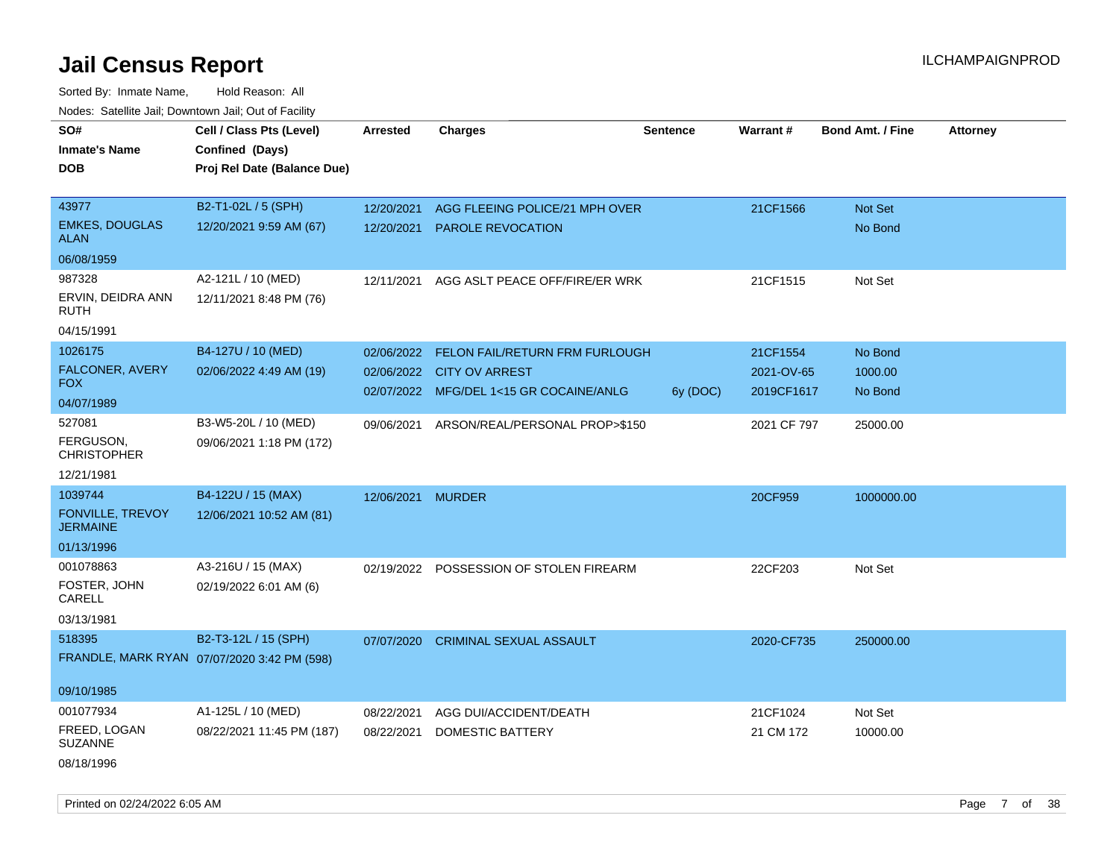Sorted By: Inmate Name, Hold Reason: All Nodes: Satellite Jail; Downtown Jail; Out of Facility

| roaco. Catolino cali, Downtown cali, Out of Facility |                                             |                   |                                         |                 |             |                         |                 |
|------------------------------------------------------|---------------------------------------------|-------------------|-----------------------------------------|-----------------|-------------|-------------------------|-----------------|
| SO#                                                  | Cell / Class Pts (Level)                    | <b>Arrested</b>   | <b>Charges</b>                          | <b>Sentence</b> | Warrant#    | <b>Bond Amt. / Fine</b> | <b>Attorney</b> |
| Inmate's Name                                        | Confined (Days)                             |                   |                                         |                 |             |                         |                 |
| DOB                                                  | Proj Rel Date (Balance Due)                 |                   |                                         |                 |             |                         |                 |
|                                                      |                                             |                   |                                         |                 |             |                         |                 |
| 43977                                                | B2-T1-02L / 5 (SPH)                         | 12/20/2021        | AGG FLEEING POLICE/21 MPH OVER          |                 | 21CF1566    | Not Set                 |                 |
| <b>EMKES, DOUGLAS</b><br><b>ALAN</b>                 | 12/20/2021 9:59 AM (67)                     | 12/20/2021        | <b>PAROLE REVOCATION</b>                |                 |             | No Bond                 |                 |
| 06/08/1959                                           |                                             |                   |                                         |                 |             |                         |                 |
| 987328                                               | A2-121L / 10 (MED)                          | 12/11/2021        | AGG ASLT PEACE OFF/FIRE/ER WRK          |                 | 21CF1515    | Not Set                 |                 |
| ERVIN, DEIDRA ANN<br>RUTH                            | 12/11/2021 8:48 PM (76)                     |                   |                                         |                 |             |                         |                 |
| 04/15/1991                                           |                                             |                   |                                         |                 |             |                         |                 |
| 1026175                                              | B4-127U / 10 (MED)                          | 02/06/2022        | FELON FAIL/RETURN FRM FURLOUGH          |                 | 21CF1554    | No Bond                 |                 |
| FALCONER, AVERY                                      | 02/06/2022 4:49 AM (19)                     | 02/06/2022        | <b>CITY OV ARREST</b>                   |                 | 2021-OV-65  | 1000.00                 |                 |
| FOX.                                                 |                                             |                   | 02/07/2022 MFG/DEL 1<15 GR COCAINE/ANLG | 6y (DOC)        | 2019CF1617  | No Bond                 |                 |
| 04/07/1989                                           |                                             |                   |                                         |                 |             |                         |                 |
| 527081                                               | B3-W5-20L / 10 (MED)                        | 09/06/2021        | ARSON/REAL/PERSONAL PROP>\$150          |                 | 2021 CF 797 | 25000.00                |                 |
| FERGUSON,<br><b>CHRISTOPHER</b>                      | 09/06/2021 1:18 PM (172)                    |                   |                                         |                 |             |                         |                 |
| 12/21/1981                                           |                                             |                   |                                         |                 |             |                         |                 |
| 1039744                                              | B4-122U / 15 (MAX)                          | 12/06/2021 MURDER |                                         |                 | 20CF959     | 1000000.00              |                 |
| <b>FONVILLE, TREVOY</b><br><b>JERMAINE</b>           | 12/06/2021 10:52 AM (81)                    |                   |                                         |                 |             |                         |                 |
| 01/13/1996                                           |                                             |                   |                                         |                 |             |                         |                 |
| 001078863                                            | A3-216U / 15 (MAX)                          |                   | 02/19/2022 POSSESSION OF STOLEN FIREARM |                 | 22CF203     | Not Set                 |                 |
| FOSTER, JOHN<br>CARELL                               | 02/19/2022 6:01 AM (6)                      |                   |                                         |                 |             |                         |                 |
| 03/13/1981                                           |                                             |                   |                                         |                 |             |                         |                 |
| 518395                                               | B2-T3-12L / 15 (SPH)                        | 07/07/2020        | <b>CRIMINAL SEXUAL ASSAULT</b>          |                 | 2020-CF735  | 250000.00               |                 |
|                                                      | FRANDLE, MARK RYAN 07/07/2020 3:42 PM (598) |                   |                                         |                 |             |                         |                 |
| 09/10/1985                                           |                                             |                   |                                         |                 |             |                         |                 |
| 001077934                                            | A1-125L / 10 (MED)                          | 08/22/2021        | AGG DUI/ACCIDENT/DEATH                  |                 | 21CF1024    | Not Set                 |                 |
| FREED, LOGAN<br><b>SUZANNE</b>                       | 08/22/2021 11:45 PM (187)                   | 08/22/2021        | DOMESTIC BATTERY                        |                 | 21 CM 172   | 10000.00                |                 |
| 08/18/1996                                           |                                             |                   |                                         |                 |             |                         |                 |

Printed on 02/24/2022 6:05 AM Page 7 of 38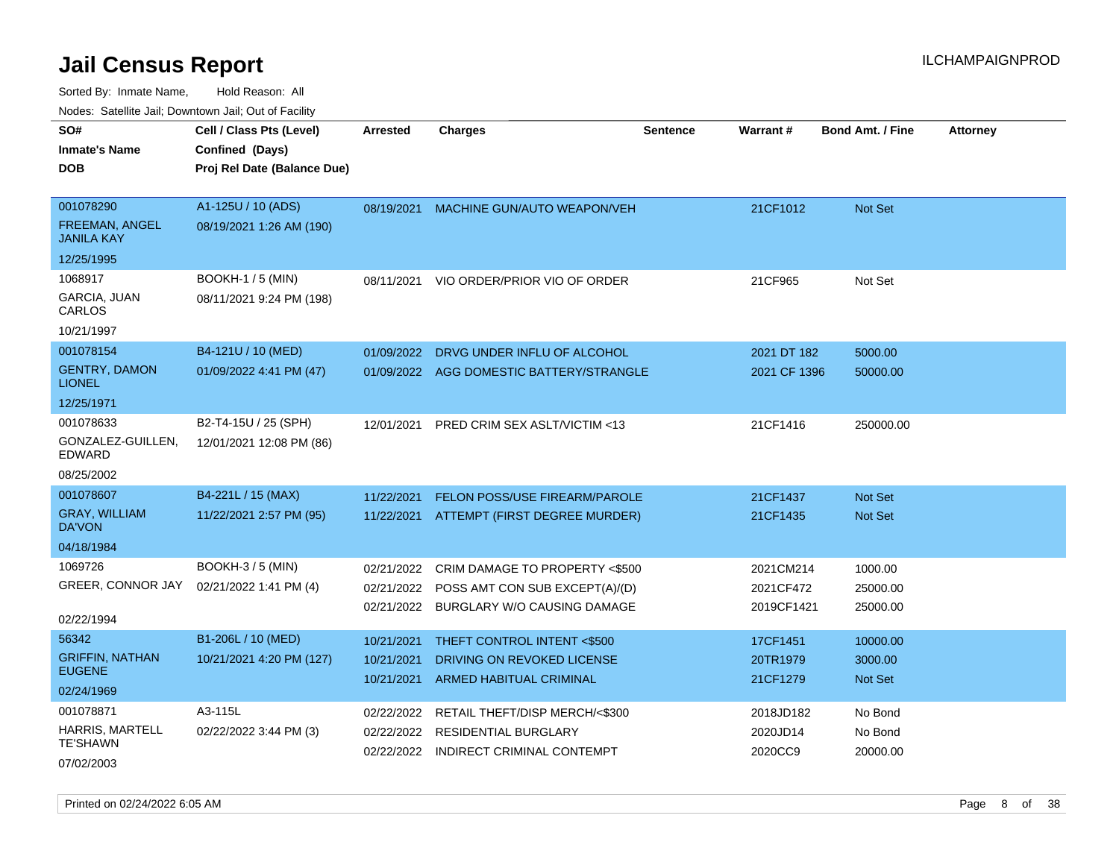Sorted By: Inmate Name, Hold Reason: All

| Nodes: Satellite Jail; Downtown Jail; Out of Facility |                             |                 |                                         |                 |                 |                         |                 |
|-------------------------------------------------------|-----------------------------|-----------------|-----------------------------------------|-----------------|-----------------|-------------------------|-----------------|
| SO#                                                   | Cell / Class Pts (Level)    | <b>Arrested</b> | <b>Charges</b>                          | <b>Sentence</b> | <b>Warrant#</b> | <b>Bond Amt. / Fine</b> | <b>Attorney</b> |
| <b>Inmate's Name</b>                                  | Confined (Days)             |                 |                                         |                 |                 |                         |                 |
| <b>DOB</b>                                            | Proj Rel Date (Balance Due) |                 |                                         |                 |                 |                         |                 |
|                                                       |                             |                 |                                         |                 |                 |                         |                 |
| 001078290                                             | A1-125U / 10 (ADS)          |                 | 08/19/2021 MACHINE GUN/AUTO WEAPON/VEH  |                 | 21CF1012        | Not Set                 |                 |
| <b>FREEMAN, ANGEL</b><br><b>JANILA KAY</b>            | 08/19/2021 1:26 AM (190)    |                 |                                         |                 |                 |                         |                 |
| 12/25/1995                                            |                             |                 |                                         |                 |                 |                         |                 |
| 1068917                                               | <b>BOOKH-1 / 5 (MIN)</b>    | 08/11/2021      | VIO ORDER/PRIOR VIO OF ORDER            |                 | 21CF965         | Not Set                 |                 |
| GARCIA, JUAN<br>CARLOS                                | 08/11/2021 9:24 PM (198)    |                 |                                         |                 |                 |                         |                 |
| 10/21/1997                                            |                             |                 |                                         |                 |                 |                         |                 |
| 001078154                                             | B4-121U / 10 (MED)          | 01/09/2022      | DRVG UNDER INFLU OF ALCOHOL             |                 | 2021 DT 182     | 5000.00                 |                 |
| <b>GENTRY, DAMON</b><br><b>LIONEL</b>                 | 01/09/2022 4:41 PM (47)     | 01/09/2022      | AGG DOMESTIC BATTERY/STRANGLE           |                 | 2021 CF 1396    | 50000.00                |                 |
| 12/25/1971                                            |                             |                 |                                         |                 |                 |                         |                 |
| 001078633                                             | B2-T4-15U / 25 (SPH)        | 12/01/2021      | <b>PRED CRIM SEX ASLT/VICTIM &lt;13</b> |                 | 21CF1416        | 250000.00               |                 |
| GONZALEZ-GUILLEN,<br><b>EDWARD</b>                    | 12/01/2021 12:08 PM (86)    |                 |                                         |                 |                 |                         |                 |
| 08/25/2002                                            |                             |                 |                                         |                 |                 |                         |                 |
| 001078607                                             | B4-221L / 15 (MAX)          | 11/22/2021      | <b>FELON POSS/USE FIREARM/PAROLE</b>    |                 | 21CF1437        | Not Set                 |                 |
| <b>GRAY, WILLIAM</b><br><b>DA'VON</b>                 | 11/22/2021 2:57 PM (95)     | 11/22/2021      | ATTEMPT (FIRST DEGREE MURDER)           |                 | 21CF1435        | <b>Not Set</b>          |                 |
| 04/18/1984                                            |                             |                 |                                         |                 |                 |                         |                 |
| 1069726                                               | <b>BOOKH-3 / 5 (MIN)</b>    | 02/21/2022      | CRIM DAMAGE TO PROPERTY <\$500          |                 | 2021CM214       | 1000.00                 |                 |
| GREER, CONNOR JAY                                     | 02/21/2022 1:41 PM (4)      | 02/21/2022      | POSS AMT CON SUB EXCEPT(A)/(D)          |                 | 2021CF472       | 25000.00                |                 |
|                                                       |                             | 02/21/2022      | BURGLARY W/O CAUSING DAMAGE             |                 | 2019CF1421      | 25000.00                |                 |
| 02/22/1994                                            |                             |                 |                                         |                 |                 |                         |                 |
| 56342                                                 | B1-206L / 10 (MED)          | 10/21/2021      | THEFT CONTROL INTENT <\$500             |                 | 17CF1451        | 10000.00                |                 |
| <b>GRIFFIN, NATHAN</b><br><b>EUGENE</b>               | 10/21/2021 4:20 PM (127)    | 10/21/2021      | DRIVING ON REVOKED LICENSE              |                 | 20TR1979        | 3000.00                 |                 |
| 02/24/1969                                            |                             | 10/21/2021      | <b>ARMED HABITUAL CRIMINAL</b>          |                 | 21CF1279        | Not Set                 |                 |
| 001078871                                             | A3-115L                     | 02/22/2022      | RETAIL THEFT/DISP MERCH/<\$300          |                 | 2018JD182       | No Bond                 |                 |
| HARRIS, MARTELL                                       | 02/22/2022 3:44 PM (3)      | 02/22/2022      | RESIDENTIAL BURGLARY                    |                 | 2020JD14        | No Bond                 |                 |
| <b>TE'SHAWN</b>                                       |                             | 02/22/2022      | INDIRECT CRIMINAL CONTEMPT              |                 | 2020CC9         | 20000.00                |                 |
| 07/02/2003                                            |                             |                 |                                         |                 |                 |                         |                 |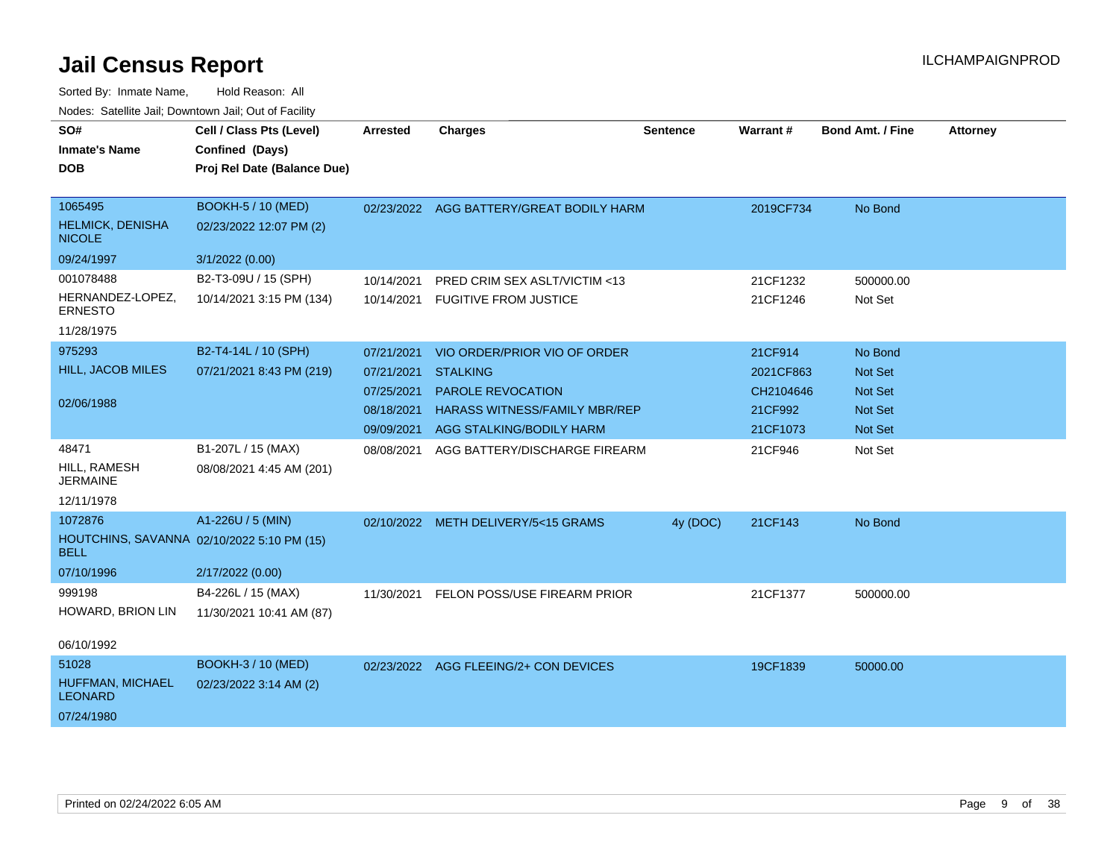| SO#<br><b>Inmate's Name</b><br><b>DOB</b>                 | Cell / Class Pts (Level)<br>Confined (Days)<br>Proj Rel Date (Balance Due) | <b>Arrested</b> | <b>Charges</b>                           | <b>Sentence</b> | Warrant#  | <b>Bond Amt. / Fine</b> | <b>Attorney</b> |
|-----------------------------------------------------------|----------------------------------------------------------------------------|-----------------|------------------------------------------|-----------------|-----------|-------------------------|-----------------|
| 1065495<br><b>HELMICK, DENISHA</b><br><b>NICOLE</b>       | <b>BOOKH-5 / 10 (MED)</b><br>02/23/2022 12:07 PM (2)                       |                 | 02/23/2022 AGG BATTERY/GREAT BODILY HARM |                 | 2019CF734 | No Bond                 |                 |
| 09/24/1997                                                | 3/1/2022 (0.00)                                                            |                 |                                          |                 |           |                         |                 |
| 001078488                                                 | B2-T3-09U / 15 (SPH)                                                       | 10/14/2021      | PRED CRIM SEX ASLT/VICTIM <13            |                 | 21CF1232  | 500000.00               |                 |
| HERNANDEZ-LOPEZ,<br><b>ERNESTO</b>                        | 10/14/2021 3:15 PM (134)                                                   | 10/14/2021      | <b>FUGITIVE FROM JUSTICE</b>             |                 | 21CF1246  | Not Set                 |                 |
| 11/28/1975                                                |                                                                            |                 |                                          |                 |           |                         |                 |
| 975293                                                    | B2-T4-14L / 10 (SPH)                                                       | 07/21/2021      | VIO ORDER/PRIOR VIO OF ORDER             |                 | 21CF914   | No Bond                 |                 |
| <b>HILL, JACOB MILES</b>                                  | 07/21/2021 8:43 PM (219)                                                   | 07/21/2021      | <b>STALKING</b>                          |                 | 2021CF863 | Not Set                 |                 |
|                                                           |                                                                            | 07/25/2021      | PAROLE REVOCATION                        |                 | CH2104646 | Not Set                 |                 |
| 02/06/1988                                                |                                                                            | 08/18/2021      | <b>HARASS WITNESS/FAMILY MBR/REP</b>     |                 | 21CF992   | Not Set                 |                 |
|                                                           |                                                                            | 09/09/2021      | AGG STALKING/BODILY HARM                 |                 | 21CF1073  | Not Set                 |                 |
| 48471<br>HILL, RAMESH<br><b>JERMAINE</b><br>12/11/1978    | B1-207L / 15 (MAX)<br>08/08/2021 4:45 AM (201)                             | 08/08/2021      | AGG BATTERY/DISCHARGE FIREARM            |                 | 21CF946   | Not Set                 |                 |
| 1072876                                                   | A1-226U / 5 (MIN)                                                          |                 | 02/10/2022 METH DELIVERY/5<15 GRAMS      | 4y (DOC)        | 21CF143   | No Bond                 |                 |
| HOUTCHINS, SAVANNA 02/10/2022 5:10 PM (15)<br><b>BELL</b> |                                                                            |                 |                                          |                 |           |                         |                 |
| 07/10/1996                                                | 2/17/2022 (0.00)                                                           |                 |                                          |                 |           |                         |                 |
| 999198<br>HOWARD, BRION LIN                               | B4-226L / 15 (MAX)<br>11/30/2021 10:41 AM (87)                             | 11/30/2021      | FELON POSS/USE FIREARM PRIOR             |                 | 21CF1377  | 500000.00               |                 |
| 06/10/1992                                                |                                                                            |                 |                                          |                 |           |                         |                 |
| 51028                                                     | <b>BOOKH-3 / 10 (MED)</b>                                                  |                 | 02/23/2022 AGG FLEEING/2+ CON DEVICES    |                 | 19CF1839  | 50000.00                |                 |
| HUFFMAN, MICHAEL<br><b>LEONARD</b>                        | 02/23/2022 3:14 AM (2)                                                     |                 |                                          |                 |           |                         |                 |
| 07/24/1980                                                |                                                                            |                 |                                          |                 |           |                         |                 |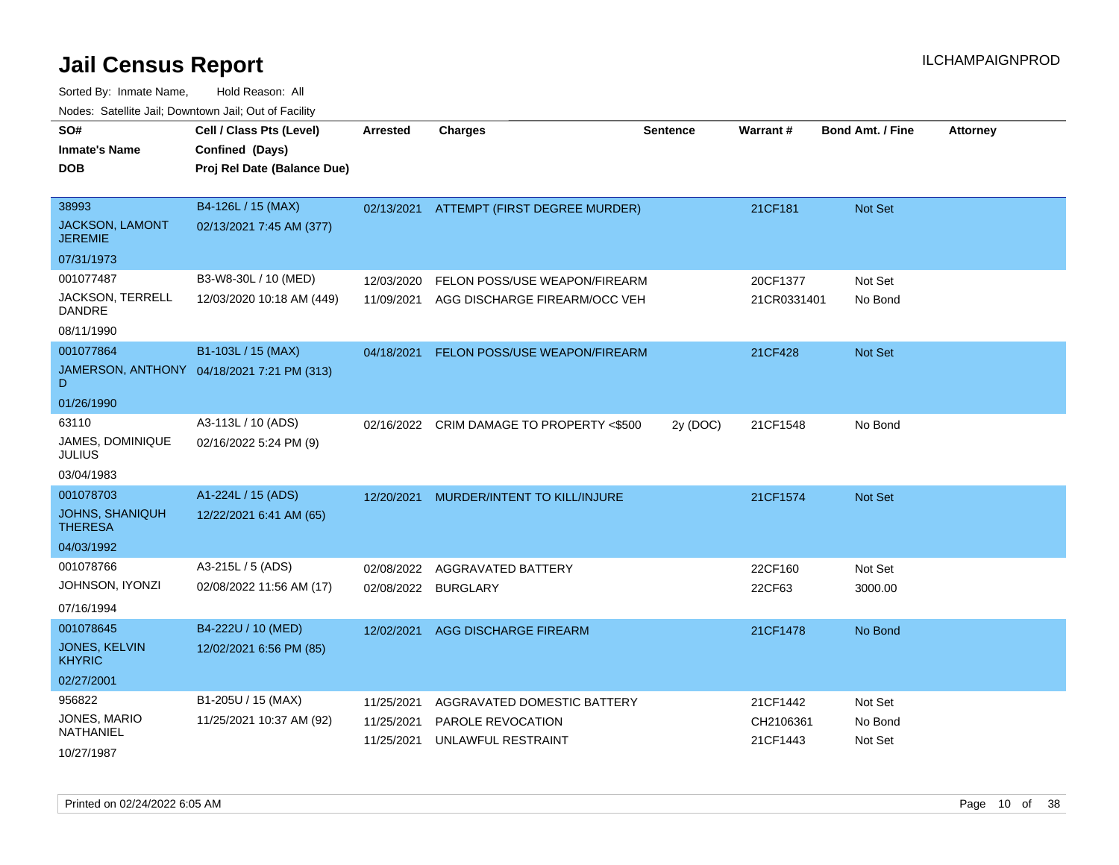| SO#<br><b>Inmate's Name</b><br><b>DOB</b>  | Cell / Class Pts (Level)<br>Confined (Days)<br>Proj Rel Date (Balance Due) | <b>Arrested</b>     | <b>Charges</b>                       | <b>Sentence</b> | Warrant#    | <b>Bond Amt. / Fine</b> | <b>Attorney</b> |
|--------------------------------------------|----------------------------------------------------------------------------|---------------------|--------------------------------------|-----------------|-------------|-------------------------|-----------------|
| 38993<br>JACKSON, LAMONT<br><b>JEREMIE</b> | B4-126L / 15 (MAX)<br>02/13/2021 7:45 AM (377)                             | 02/13/2021          | ATTEMPT (FIRST DEGREE MURDER)        |                 | 21CF181     | Not Set                 |                 |
| 07/31/1973                                 |                                                                            |                     |                                      |                 |             |                         |                 |
| 001077487                                  | B3-W8-30L / 10 (MED)                                                       | 12/03/2020          | FELON POSS/USE WEAPON/FIREARM        |                 | 20CF1377    | Not Set                 |                 |
| <b>JACKSON, TERRELL</b><br>DANDRE          | 12/03/2020 10:18 AM (449)                                                  | 11/09/2021          | AGG DISCHARGE FIREARM/OCC VEH        |                 | 21CR0331401 | No Bond                 |                 |
| 08/11/1990                                 |                                                                            |                     |                                      |                 |             |                         |                 |
| 001077864                                  | B1-103L / 15 (MAX)                                                         | 04/18/2021          | <b>FELON POSS/USE WEAPON/FIREARM</b> |                 | 21CF428     | Not Set                 |                 |
| D                                          | JAMERSON, ANTHONY 04/18/2021 7:21 PM (313)                                 |                     |                                      |                 |             |                         |                 |
| 01/26/1990                                 |                                                                            |                     |                                      |                 |             |                         |                 |
| 63110                                      | A3-113L / 10 (ADS)                                                         | 02/16/2022          | CRIM DAMAGE TO PROPERTY <\$500       | 2y (DOC)        | 21CF1548    | No Bond                 |                 |
| JAMES, DOMINIQUE<br><b>JULIUS</b>          | 02/16/2022 5:24 PM (9)                                                     |                     |                                      |                 |             |                         |                 |
| 03/04/1983                                 |                                                                            |                     |                                      |                 |             |                         |                 |
| 001078703                                  | A1-224L / 15 (ADS)                                                         | 12/20/2021          | MURDER/INTENT TO KILL/INJURE         |                 | 21CF1574    | Not Set                 |                 |
| <b>JOHNS, SHANIQUH</b><br><b>THERESA</b>   | 12/22/2021 6:41 AM (65)                                                    |                     |                                      |                 |             |                         |                 |
| 04/03/1992                                 |                                                                            |                     |                                      |                 |             |                         |                 |
| 001078766                                  | A3-215L / 5 (ADS)                                                          | 02/08/2022          | AGGRAVATED BATTERY                   |                 | 22CF160     | Not Set                 |                 |
| JOHNSON, IYONZI                            | 02/08/2022 11:56 AM (17)                                                   | 02/08/2022 BURGLARY |                                      |                 | 22CF63      | 3000.00                 |                 |
| 07/16/1994                                 |                                                                            |                     |                                      |                 |             |                         |                 |
| 001078645                                  | B4-222U / 10 (MED)                                                         | 12/02/2021          | AGG DISCHARGE FIREARM                |                 | 21CF1478    | No Bond                 |                 |
| <b>JONES, KELVIN</b><br><b>KHYRIC</b>      | 12/02/2021 6:56 PM (85)                                                    |                     |                                      |                 |             |                         |                 |
| 02/27/2001                                 |                                                                            |                     |                                      |                 |             |                         |                 |
| 956822                                     | B1-205U / 15 (MAX)                                                         | 11/25/2021          | AGGRAVATED DOMESTIC BATTERY          |                 | 21CF1442    | Not Set                 |                 |
| JONES, MARIO<br>NATHANIEL                  | 11/25/2021 10:37 AM (92)                                                   | 11/25/2021          | PAROLE REVOCATION                    |                 | CH2106361   | No Bond                 |                 |
| 10/27/1987                                 |                                                                            | 11/25/2021          | UNLAWFUL RESTRAINT                   |                 | 21CF1443    | Not Set                 |                 |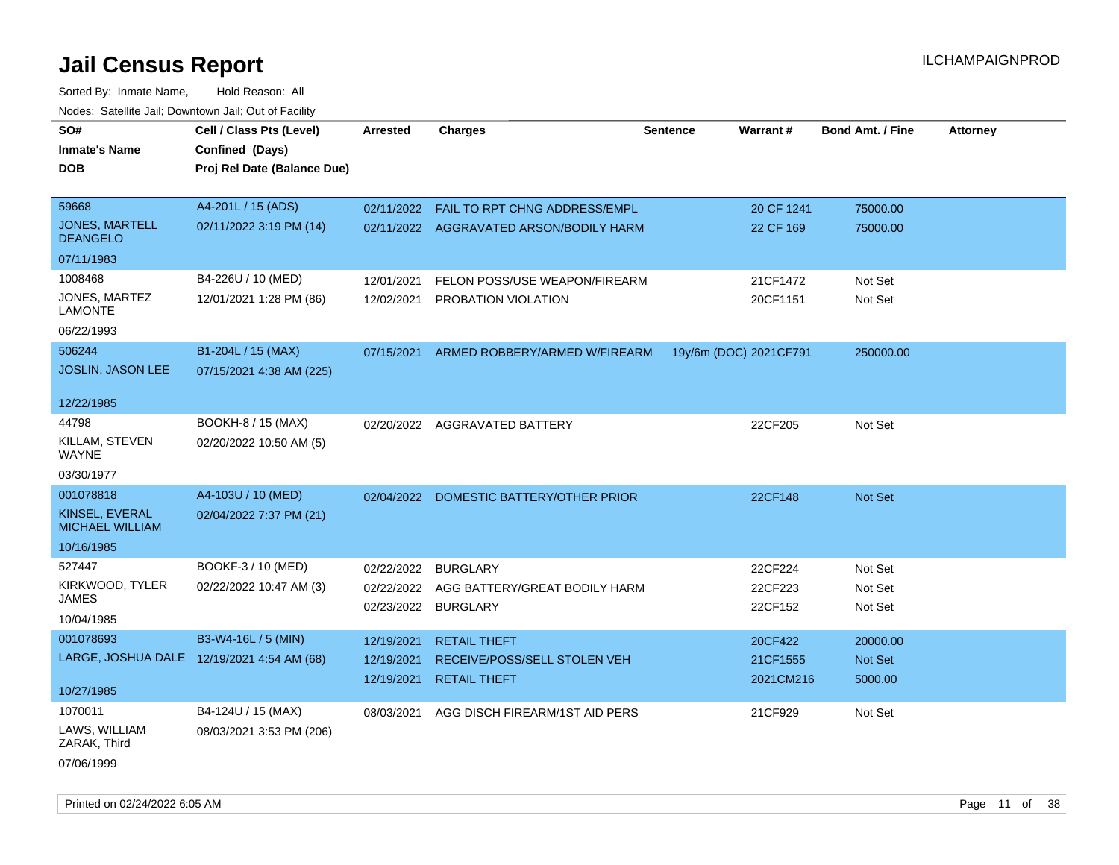Sorted By: Inmate Name, Hold Reason: All Nodes: Satellite Jail; Downtown Jail; Out of Facility

| Cell / Class Pts (Level)<br>Confined (Days)<br>Proj Rel Date (Balance Due) | <b>Arrested</b>                                | <b>Charges</b>                 | <b>Sentence</b>                                                                       |                                                                                                                                            | <b>Bond Amt. / Fine</b>                       | <b>Attorney</b> |
|----------------------------------------------------------------------------|------------------------------------------------|--------------------------------|---------------------------------------------------------------------------------------|--------------------------------------------------------------------------------------------------------------------------------------------|-----------------------------------------------|-----------------|
| A4-201L / 15 (ADS)                                                         | 02/11/2022                                     |                                |                                                                                       | 20 CF 1241                                                                                                                                 | 75000.00                                      |                 |
| 02/11/2022 3:19 PM (14)                                                    |                                                |                                |                                                                                       | 22 CF 169                                                                                                                                  | 75000.00                                      |                 |
|                                                                            |                                                |                                |                                                                                       |                                                                                                                                            |                                               |                 |
| B4-226U / 10 (MED)                                                         | 12/01/2021                                     |                                |                                                                                       | 21CF1472                                                                                                                                   | Not Set                                       |                 |
| 12/01/2021 1:28 PM (86)                                                    | 12/02/2021                                     | PROBATION VIOLATION            |                                                                                       | 20CF1151                                                                                                                                   | Not Set                                       |                 |
|                                                                            |                                                |                                |                                                                                       |                                                                                                                                            |                                               |                 |
| B1-204L / 15 (MAX)                                                         | 07/15/2021                                     |                                |                                                                                       |                                                                                                                                            | 250000.00                                     |                 |
| 07/15/2021 4:38 AM (225)                                                   |                                                |                                |                                                                                       |                                                                                                                                            |                                               |                 |
|                                                                            |                                                |                                |                                                                                       |                                                                                                                                            |                                               |                 |
| BOOKH-8 / 15 (MAX)                                                         |                                                |                                |                                                                                       | 22CF205                                                                                                                                    | Not Set                                       |                 |
| 02/20/2022 10:50 AM (5)                                                    |                                                |                                |                                                                                       |                                                                                                                                            |                                               |                 |
|                                                                            |                                                |                                |                                                                                       |                                                                                                                                            |                                               |                 |
| A4-103U / 10 (MED)                                                         | 02/04/2022                                     | DOMESTIC BATTERY/OTHER PRIOR   |                                                                                       | 22CF148                                                                                                                                    | Not Set                                       |                 |
| 02/04/2022 7:37 PM (21)                                                    |                                                |                                |                                                                                       |                                                                                                                                            |                                               |                 |
|                                                                            |                                                |                                |                                                                                       |                                                                                                                                            |                                               |                 |
| BOOKF-3 / 10 (MED)                                                         | 02/22/2022                                     | <b>BURGLARY</b>                |                                                                                       | 22CF224                                                                                                                                    | Not Set                                       |                 |
| 02/22/2022 10:47 AM (3)                                                    | 02/22/2022                                     |                                |                                                                                       | 22CF223                                                                                                                                    | Not Set                                       |                 |
|                                                                            |                                                |                                |                                                                                       |                                                                                                                                            |                                               |                 |
| B3-W4-16L / 5 (MIN)                                                        | 12/19/2021                                     | <b>RETAIL THEFT</b>            |                                                                                       | 20CF422                                                                                                                                    | 20000.00                                      |                 |
| LARGE, JOSHUA DALE 12/19/2021 4:54 AM (68)                                 | 12/19/2021                                     | RECEIVE/POSS/SELL STOLEN VEH   |                                                                                       | 21CF1555                                                                                                                                   | Not Set                                       |                 |
|                                                                            | 12/19/2021                                     | <b>RETAIL THEFT</b>            |                                                                                       | 2021CM216                                                                                                                                  | 5000.00                                       |                 |
|                                                                            |                                                |                                |                                                                                       |                                                                                                                                            |                                               |                 |
|                                                                            | 08/03/2021                                     | AGG DISCH FIREARM/1ST AID PERS |                                                                                       | 21CF929                                                                                                                                    | Not Set                                       |                 |
|                                                                            |                                                |                                |                                                                                       |                                                                                                                                            |                                               |                 |
|                                                                            | B4-124U / 15 (MAX)<br>08/03/2021 3:53 PM (206) |                                | FAIL TO RPT CHNG ADDRESS/EMPL<br>02/20/2022 AGGRAVATED BATTERY<br>02/23/2022 BURGLARY | 02/11/2022 AGGRAVATED ARSON/BODILY HARM<br>FELON POSS/USE WEAPON/FIREARM<br>ARMED ROBBERY/ARMED W/FIREARM<br>AGG BATTERY/GREAT BODILY HARM | Warrant#<br>19y/6m (DOC) 2021CF791<br>22CF152 | Not Set         |

07/06/1999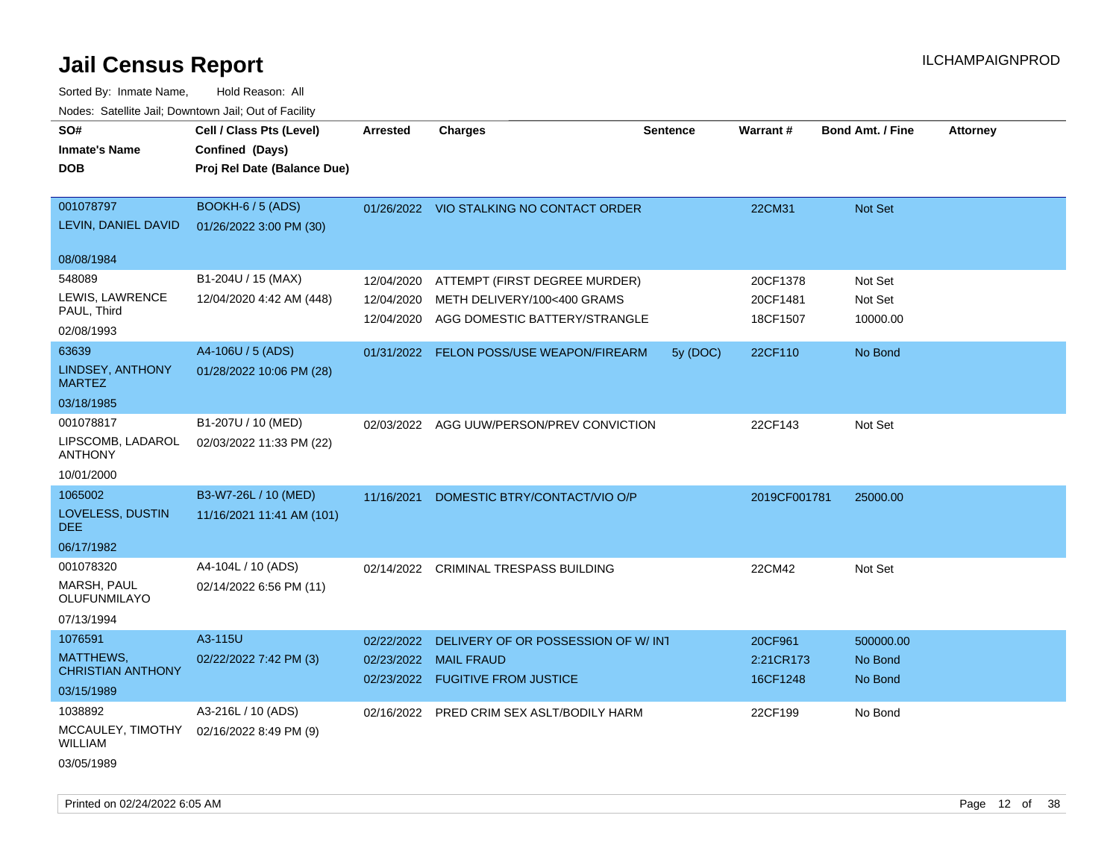| SO#                          | Cell / Class Pts (Level)    | <b>Arrested</b> | <b>Charges</b>                            | <b>Sentence</b> | Warrant#     | <b>Bond Amt. / Fine</b> | <b>Attorney</b> |
|------------------------------|-----------------------------|-----------------|-------------------------------------------|-----------------|--------------|-------------------------|-----------------|
| <b>Inmate's Name</b>         | Confined (Days)             |                 |                                           |                 |              |                         |                 |
| <b>DOB</b>                   | Proj Rel Date (Balance Due) |                 |                                           |                 |              |                         |                 |
|                              |                             |                 |                                           |                 |              |                         |                 |
| 001078797                    | BOOKH-6 / 5 (ADS)           |                 | 01/26/2022 VIO STALKING NO CONTACT ORDER  |                 | 22CM31       | Not Set                 |                 |
| LEVIN, DANIEL DAVID          | 01/26/2022 3:00 PM (30)     |                 |                                           |                 |              |                         |                 |
|                              |                             |                 |                                           |                 |              |                         |                 |
| 08/08/1984                   |                             |                 |                                           |                 |              |                         |                 |
| 548089                       | B1-204U / 15 (MAX)          | 12/04/2020      | ATTEMPT (FIRST DEGREE MURDER)             |                 | 20CF1378     | Not Set                 |                 |
| LEWIS, LAWRENCE              | 12/04/2020 4:42 AM (448)    | 12/04/2020      | METH DELIVERY/100<400 GRAMS               |                 | 20CF1481     | Not Set                 |                 |
| PAUL, Third                  |                             | 12/04/2020      | AGG DOMESTIC BATTERY/STRANGLE             |                 | 18CF1507     | 10000.00                |                 |
| 02/08/1993                   |                             |                 |                                           |                 |              |                         |                 |
| 63639                        | A4-106U / 5 (ADS)           |                 | 01/31/2022 FELON POSS/USE WEAPON/FIREARM  | 5y (DOC)        | 22CF110      | No Bond                 |                 |
| LINDSEY, ANTHONY             | 01/28/2022 10:06 PM (28)    |                 |                                           |                 |              |                         |                 |
| <b>MARTEZ</b>                |                             |                 |                                           |                 |              |                         |                 |
| 03/18/1985                   |                             |                 |                                           |                 |              |                         |                 |
| 001078817                    | B1-207U / 10 (MED)          |                 | 02/03/2022 AGG UUW/PERSON/PREV CONVICTION |                 | 22CF143      | Not Set                 |                 |
| LIPSCOMB, LADAROL            | 02/03/2022 11:33 PM (22)    |                 |                                           |                 |              |                         |                 |
| <b>ANTHONY</b>               |                             |                 |                                           |                 |              |                         |                 |
| 10/01/2000                   |                             |                 |                                           |                 |              |                         |                 |
| 1065002                      | B3-W7-26L / 10 (MED)        | 11/16/2021      | DOMESTIC BTRY/CONTACT/VIO O/P             |                 | 2019CF001781 | 25000.00                |                 |
| LOVELESS, DUSTIN             | 11/16/2021 11:41 AM (101)   |                 |                                           |                 |              |                         |                 |
| <b>DEE</b>                   |                             |                 |                                           |                 |              |                         |                 |
| 06/17/1982                   |                             |                 |                                           |                 |              |                         |                 |
| 001078320                    | A4-104L / 10 (ADS)          | 02/14/2022      | CRIMINAL TRESPASS BUILDING                |                 | 22CM42       | Not Set                 |                 |
| <b>MARSH, PAUL</b>           | 02/14/2022 6:56 PM (11)     |                 |                                           |                 |              |                         |                 |
| OLUFUNMILAYO                 |                             |                 |                                           |                 |              |                         |                 |
| 07/13/1994                   |                             |                 |                                           |                 |              |                         |                 |
| 1076591                      | A3-115U                     | 02/22/2022      | DELIVERY OF OR POSSESSION OF W/INT        |                 | 20CF961      | 500000.00               |                 |
| <b>MATTHEWS,</b>             | 02/22/2022 7:42 PM (3)      |                 | 02/23/2022 MAIL FRAUD                     |                 | 2:21CR173    | No Bond                 |                 |
| <b>CHRISTIAN ANTHONY</b>     |                             |                 | 02/23/2022 FUGITIVE FROM JUSTICE          |                 | 16CF1248     | No Bond                 |                 |
| 03/15/1989                   |                             |                 |                                           |                 |              |                         |                 |
| 1038892                      | A3-216L / 10 (ADS)          |                 | 02/16/2022 PRED CRIM SEX ASLT/BODILY HARM |                 | 22CF199      | No Bond                 |                 |
| MCCAULEY, TIMOTHY<br>WILLIAM | 02/16/2022 8:49 PM (9)      |                 |                                           |                 |              |                         |                 |
| 03/05/1989                   |                             |                 |                                           |                 |              |                         |                 |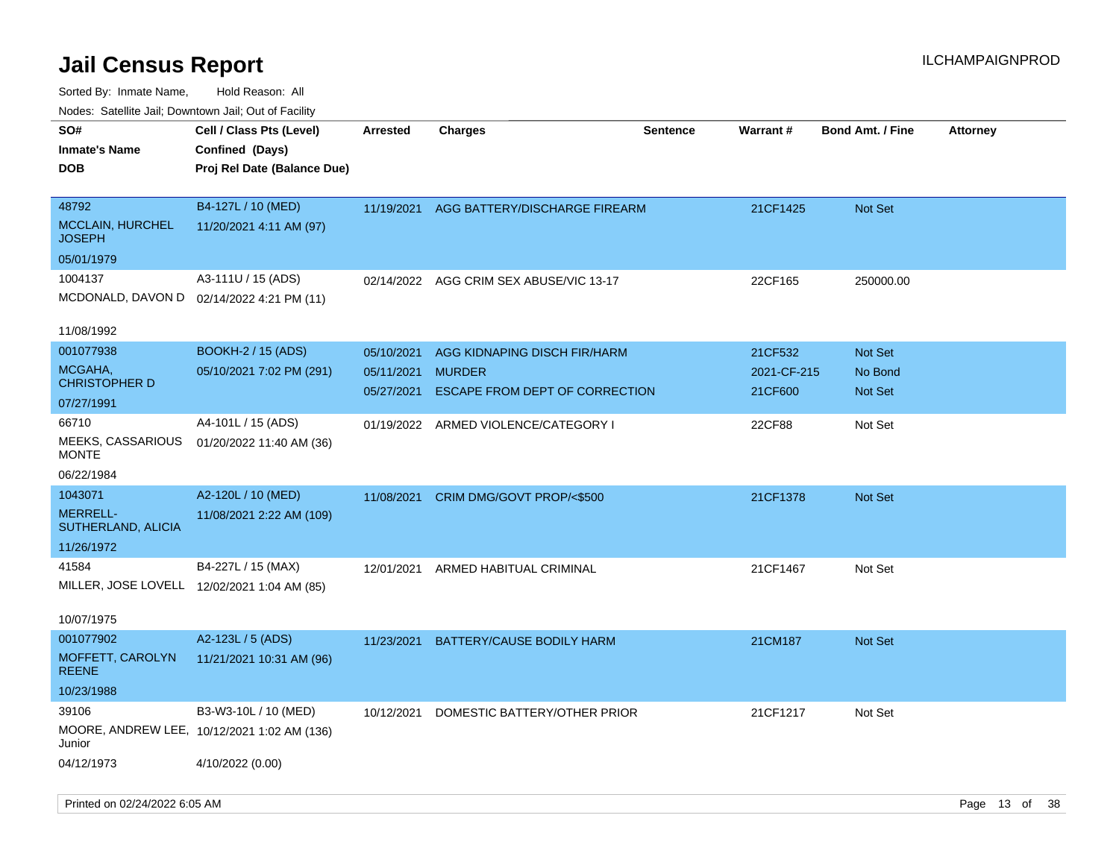| ivouss. Satellite Jali, Downtown Jali, Out of Facility |                                             |                 |                                          |                 |             |                         |                 |
|--------------------------------------------------------|---------------------------------------------|-----------------|------------------------------------------|-----------------|-------------|-------------------------|-----------------|
| SO#                                                    | Cell / Class Pts (Level)                    | <b>Arrested</b> | <b>Charges</b>                           | <b>Sentence</b> | Warrant#    | <b>Bond Amt. / Fine</b> | <b>Attorney</b> |
| Inmate's Name                                          | Confined (Days)                             |                 |                                          |                 |             |                         |                 |
| DOB                                                    | Proj Rel Date (Balance Due)                 |                 |                                          |                 |             |                         |                 |
|                                                        |                                             |                 |                                          |                 |             |                         |                 |
| 48792                                                  | B4-127L / 10 (MED)                          |                 | 11/19/2021 AGG BATTERY/DISCHARGE FIREARM |                 | 21CF1425    | <b>Not Set</b>          |                 |
| <b>MCCLAIN, HURCHEL</b><br>JOSEPH                      | 11/20/2021 4:11 AM (97)                     |                 |                                          |                 |             |                         |                 |
| 05/01/1979                                             |                                             |                 |                                          |                 |             |                         |                 |
| 1004137                                                | A3-111U / 15 (ADS)                          |                 | 02/14/2022 AGG CRIM SEX ABUSE/VIC 13-17  |                 | 22CF165     | 250000.00               |                 |
|                                                        | MCDONALD, DAVON D 02/14/2022 4:21 PM (11)   |                 |                                          |                 |             |                         |                 |
|                                                        |                                             |                 |                                          |                 |             |                         |                 |
| 11/08/1992                                             |                                             |                 |                                          |                 |             |                         |                 |
| 001077938                                              | <b>BOOKH-2 / 15 (ADS)</b>                   | 05/10/2021      | AGG KIDNAPING DISCH FIR/HARM             |                 | 21CF532     | <b>Not Set</b>          |                 |
| MCGAHA,<br>CHRISTOPHER D                               | 05/10/2021 7:02 PM (291)                    | 05/11/2021      | <b>MURDER</b>                            |                 | 2021-CF-215 | No Bond                 |                 |
|                                                        |                                             | 05/27/2021      | ESCAPE FROM DEPT OF CORRECTION           |                 | 21CF600     | <b>Not Set</b>          |                 |
| 07/27/1991                                             |                                             |                 |                                          |                 |             |                         |                 |
| 66710                                                  | A4-101L / 15 (ADS)                          |                 | 01/19/2022 ARMED VIOLENCE/CATEGORY I     |                 | 22CF88      | Not Set                 |                 |
| MEEKS, CASSARIOUS<br>MONTE                             | 01/20/2022 11:40 AM (36)                    |                 |                                          |                 |             |                         |                 |
| 06/22/1984                                             |                                             |                 |                                          |                 |             |                         |                 |
| 1043071                                                | A2-120L / 10 (MED)                          |                 | 11/08/2021 CRIM DMG/GOVT PROP/<\$500     |                 | 21CF1378    | <b>Not Set</b>          |                 |
| <b>MERRELL-</b>                                        | 11/08/2021 2:22 AM (109)                    |                 |                                          |                 |             |                         |                 |
| SUTHERLAND, ALICIA                                     |                                             |                 |                                          |                 |             |                         |                 |
| 11/26/1972                                             |                                             |                 |                                          |                 |             |                         |                 |
| 41584                                                  | B4-227L / 15 (MAX)                          | 12/01/2021      | ARMED HABITUAL CRIMINAL                  |                 | 21CF1467    | Not Set                 |                 |
|                                                        | MILLER, JOSE LOVELL 12/02/2021 1:04 AM (85) |                 |                                          |                 |             |                         |                 |
|                                                        |                                             |                 |                                          |                 |             |                         |                 |
| 10/07/1975                                             |                                             |                 |                                          |                 |             |                         |                 |
| 001077902                                              | A2-123L / 5 (ADS)                           |                 | 11/23/2021 BATTERY/CAUSE BODILY HARM     |                 | 21CM187     | <b>Not Set</b>          |                 |
| MOFFETT, CAROLYN<br>REENE                              | 11/21/2021 10:31 AM (96)                    |                 |                                          |                 |             |                         |                 |
| 10/23/1988                                             |                                             |                 |                                          |                 |             |                         |                 |
| 39106                                                  | B3-W3-10L / 10 (MED)                        | 10/12/2021      | DOMESTIC BATTERY/OTHER PRIOR             |                 | 21CF1217    | Not Set                 |                 |
| Junior                                                 | MOORE, ANDREW LEE, 10/12/2021 1:02 AM (136) |                 |                                          |                 |             |                         |                 |
| 04/12/1973                                             | 4/10/2022 (0.00)                            |                 |                                          |                 |             |                         |                 |
|                                                        |                                             |                 |                                          |                 |             |                         |                 |
|                                                        |                                             |                 |                                          |                 |             |                         |                 |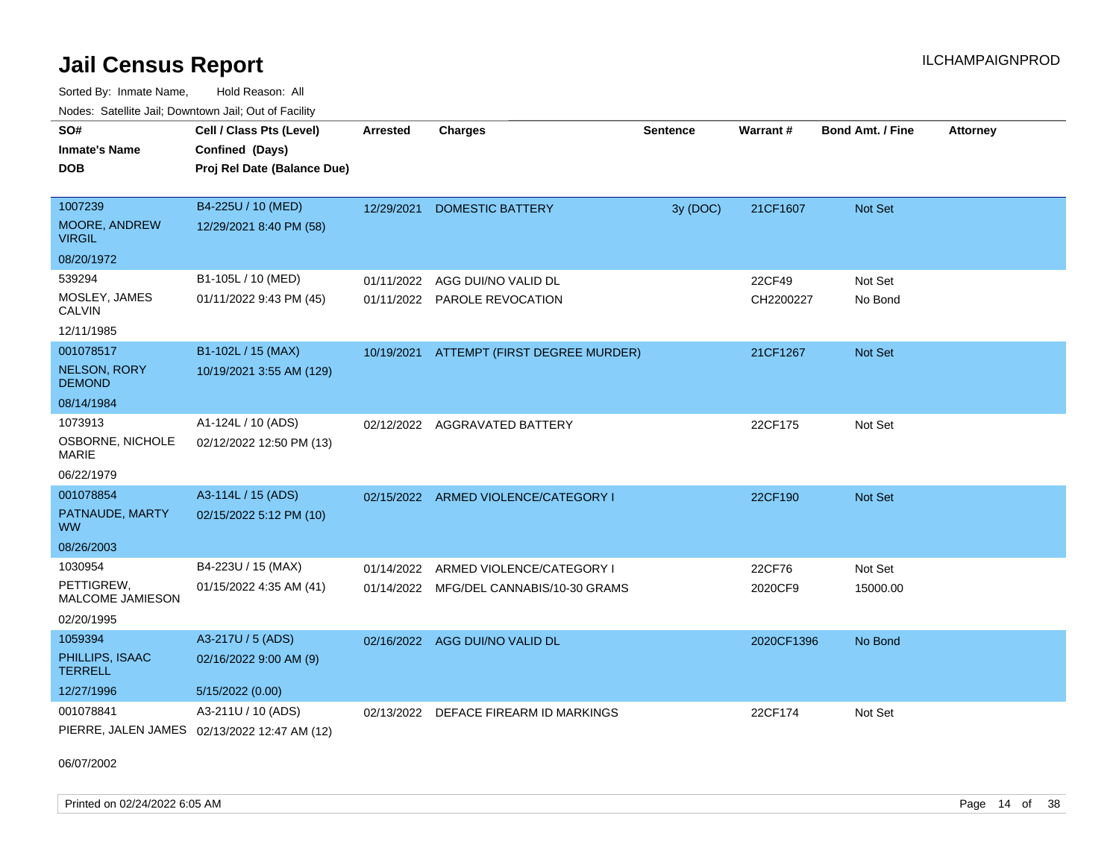Sorted By: Inmate Name, Hold Reason: All Nodes: Satellite Jail; Downtown Jail; Out of Facility

| <u>Houcs.</u> Outchne Juli, Downtown Juli, Out of Facility |                                              |                 |                                          |                 |            |                         |                 |
|------------------------------------------------------------|----------------------------------------------|-----------------|------------------------------------------|-----------------|------------|-------------------------|-----------------|
| SO#                                                        | Cell / Class Pts (Level)                     | <b>Arrested</b> | <b>Charges</b>                           | <b>Sentence</b> | Warrant#   | <b>Bond Amt. / Fine</b> | <b>Attorney</b> |
| <b>Inmate's Name</b>                                       | Confined (Days)                              |                 |                                          |                 |            |                         |                 |
| <b>DOB</b>                                                 | Proj Rel Date (Balance Due)                  |                 |                                          |                 |            |                         |                 |
|                                                            |                                              |                 |                                          |                 |            |                         |                 |
| 1007239                                                    | B4-225U / 10 (MED)                           | 12/29/2021      | DOMESTIC BATTERY                         | 3y (DOC)        | 21CF1607   | <b>Not Set</b>          |                 |
| <b>MOORE, ANDREW</b><br><b>VIRGIL</b>                      | 12/29/2021 8:40 PM (58)                      |                 |                                          |                 |            |                         |                 |
| 08/20/1972                                                 |                                              |                 |                                          |                 |            |                         |                 |
| 539294                                                     | B1-105L / 10 (MED)                           | 01/11/2022      | AGG DUI/NO VALID DL                      |                 | 22CF49     | Not Set                 |                 |
| MOSLEY, JAMES<br>CALVIN                                    | 01/11/2022 9:43 PM (45)                      |                 | 01/11/2022 PAROLE REVOCATION             |                 | CH2200227  | No Bond                 |                 |
| 12/11/1985                                                 |                                              |                 |                                          |                 |            |                         |                 |
| 001078517                                                  | B1-102L / 15 (MAX)                           |                 | 10/19/2021 ATTEMPT (FIRST DEGREE MURDER) |                 | 21CF1267   | Not Set                 |                 |
| <b>NELSON, RORY</b><br><b>DEMOND</b>                       | 10/19/2021 3:55 AM (129)                     |                 |                                          |                 |            |                         |                 |
| 08/14/1984                                                 |                                              |                 |                                          |                 |            |                         |                 |
| 1073913                                                    | A1-124L / 10 (ADS)                           |                 | 02/12/2022 AGGRAVATED BATTERY            |                 | 22CF175    | Not Set                 |                 |
| OSBORNE, NICHOLE<br>MARIE                                  | 02/12/2022 12:50 PM (13)                     |                 |                                          |                 |            |                         |                 |
| 06/22/1979                                                 |                                              |                 |                                          |                 |            |                         |                 |
| 001078854                                                  | A3-114L / 15 (ADS)                           |                 | 02/15/2022 ARMED VIOLENCE/CATEGORY I     |                 | 22CF190    | <b>Not Set</b>          |                 |
| PATNAUDE, MARTY<br>WW.                                     | 02/15/2022 5:12 PM (10)                      |                 |                                          |                 |            |                         |                 |
| 08/26/2003                                                 |                                              |                 |                                          |                 |            |                         |                 |
| 1030954                                                    | B4-223U / 15 (MAX)                           | 01/14/2022      | ARMED VIOLENCE/CATEGORY I                |                 | 22CF76     | Not Set                 |                 |
| PETTIGREW,<br><b>MALCOME JAMIESON</b>                      | 01/15/2022 4:35 AM (41)                      |                 | 01/14/2022 MFG/DEL CANNABIS/10-30 GRAMS  |                 | 2020CF9    | 15000.00                |                 |
| 02/20/1995                                                 |                                              |                 |                                          |                 |            |                         |                 |
| 1059394                                                    | A3-217U / 5 (ADS)                            |                 | 02/16/2022 AGG DUI/NO VALID DL           |                 | 2020CF1396 | No Bond                 |                 |
| PHILLIPS, ISAAC<br><b>TERRELL</b>                          | 02/16/2022 9:00 AM (9)                       |                 |                                          |                 |            |                         |                 |
| 12/27/1996                                                 | 5/15/2022 (0.00)                             |                 |                                          |                 |            |                         |                 |
| 001078841                                                  | A3-211U / 10 (ADS)                           | 02/13/2022      | DEFACE FIREARM ID MARKINGS               |                 | 22CF174    | Not Set                 |                 |
|                                                            | PIERRE, JALEN JAMES 02/13/2022 12:47 AM (12) |                 |                                          |                 |            |                         |                 |

06/07/2002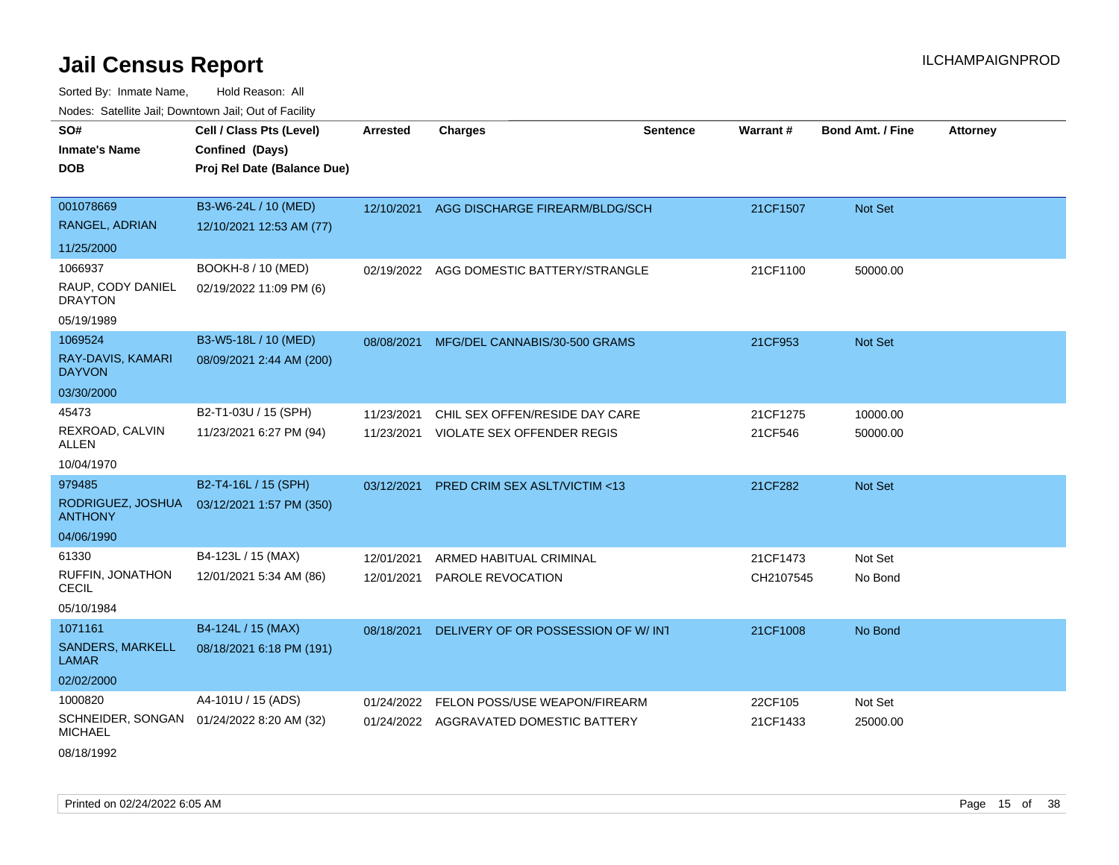Sorted By: Inmate Name, Hold Reason: All Nodes: Satellite Jail; Downtown Jail; Out of Facility

| SO#                                     | Cell / Class Pts (Level)    | Arrested   |                                          | <b>Sentence</b> | Warrant#  | <b>Bond Amt. / Fine</b> | <b>Attorney</b> |
|-----------------------------------------|-----------------------------|------------|------------------------------------------|-----------------|-----------|-------------------------|-----------------|
|                                         |                             |            | <b>Charges</b>                           |                 |           |                         |                 |
| <b>Inmate's Name</b>                    | Confined (Days)             |            |                                          |                 |           |                         |                 |
| <b>DOB</b>                              | Proj Rel Date (Balance Due) |            |                                          |                 |           |                         |                 |
|                                         |                             |            |                                          |                 |           |                         |                 |
| 001078669                               | B3-W6-24L / 10 (MED)        | 12/10/2021 | AGG DISCHARGE FIREARM/BLDG/SCH           |                 | 21CF1507  | Not Set                 |                 |
| RANGEL, ADRIAN                          | 12/10/2021 12:53 AM (77)    |            |                                          |                 |           |                         |                 |
| 11/25/2000                              |                             |            |                                          |                 |           |                         |                 |
| 1066937                                 | BOOKH-8 / 10 (MED)          |            | 02/19/2022 AGG DOMESTIC BATTERY/STRANGLE |                 | 21CF1100  | 50000.00                |                 |
| RAUP, CODY DANIEL<br><b>DRAYTON</b>     | 02/19/2022 11:09 PM (6)     |            |                                          |                 |           |                         |                 |
| 05/19/1989                              |                             |            |                                          |                 |           |                         |                 |
| 1069524                                 | B3-W5-18L / 10 (MED)        | 08/08/2021 | MFG/DEL CANNABIS/30-500 GRAMS            |                 | 21CF953   | Not Set                 |                 |
| RAY-DAVIS, KAMARI<br><b>DAYVON</b>      | 08/09/2021 2:44 AM (200)    |            |                                          |                 |           |                         |                 |
| 03/30/2000                              |                             |            |                                          |                 |           |                         |                 |
| 45473                                   | B2-T1-03U / 15 (SPH)        | 11/23/2021 | CHIL SEX OFFEN/RESIDE DAY CARE           |                 | 21CF1275  | 10000.00                |                 |
| REXROAD, CALVIN<br>ALLEN                | 11/23/2021 6:27 PM (94)     | 11/23/2021 | VIOLATE SEX OFFENDER REGIS               |                 | 21CF546   | 50000.00                |                 |
| 10/04/1970                              |                             |            |                                          |                 |           |                         |                 |
| 979485                                  | B2-T4-16L / 15 (SPH)        | 03/12/2021 | <b>PRED CRIM SEX ASLT/VICTIM &lt;13</b>  |                 | 21CF282   | Not Set                 |                 |
| RODRIGUEZ, JOSHUA<br><b>ANTHONY</b>     | 03/12/2021 1:57 PM (350)    |            |                                          |                 |           |                         |                 |
| 04/06/1990                              |                             |            |                                          |                 |           |                         |                 |
| 61330                                   | B4-123L / 15 (MAX)          | 12/01/2021 | ARMED HABITUAL CRIMINAL                  |                 | 21CF1473  | Not Set                 |                 |
| RUFFIN, JONATHON<br><b>CECIL</b>        | 12/01/2021 5:34 AM (86)     | 12/01/2021 | PAROLE REVOCATION                        |                 | CH2107545 | No Bond                 |                 |
| 05/10/1984                              |                             |            |                                          |                 |           |                         |                 |
| 1071161                                 | B4-124L / 15 (MAX)          | 08/18/2021 | DELIVERY OF OR POSSESSION OF W/INT       |                 | 21CF1008  | No Bond                 |                 |
| <b>SANDERS, MARKELL</b><br><b>LAMAR</b> | 08/18/2021 6:18 PM (191)    |            |                                          |                 |           |                         |                 |
| 02/02/2000                              |                             |            |                                          |                 |           |                         |                 |
| 1000820                                 | A4-101U / 15 (ADS)          | 01/24/2022 | FELON POSS/USE WEAPON/FIREARM            |                 | 22CF105   | Not Set                 |                 |
| SCHNEIDER, SONGAN<br><b>MICHAEL</b>     | 01/24/2022 8:20 AM (32)     |            | 01/24/2022 AGGRAVATED DOMESTIC BATTERY   |                 | 21CF1433  | 25000.00                |                 |
| $        -$                             |                             |            |                                          |                 |           |                         |                 |

08/18/1992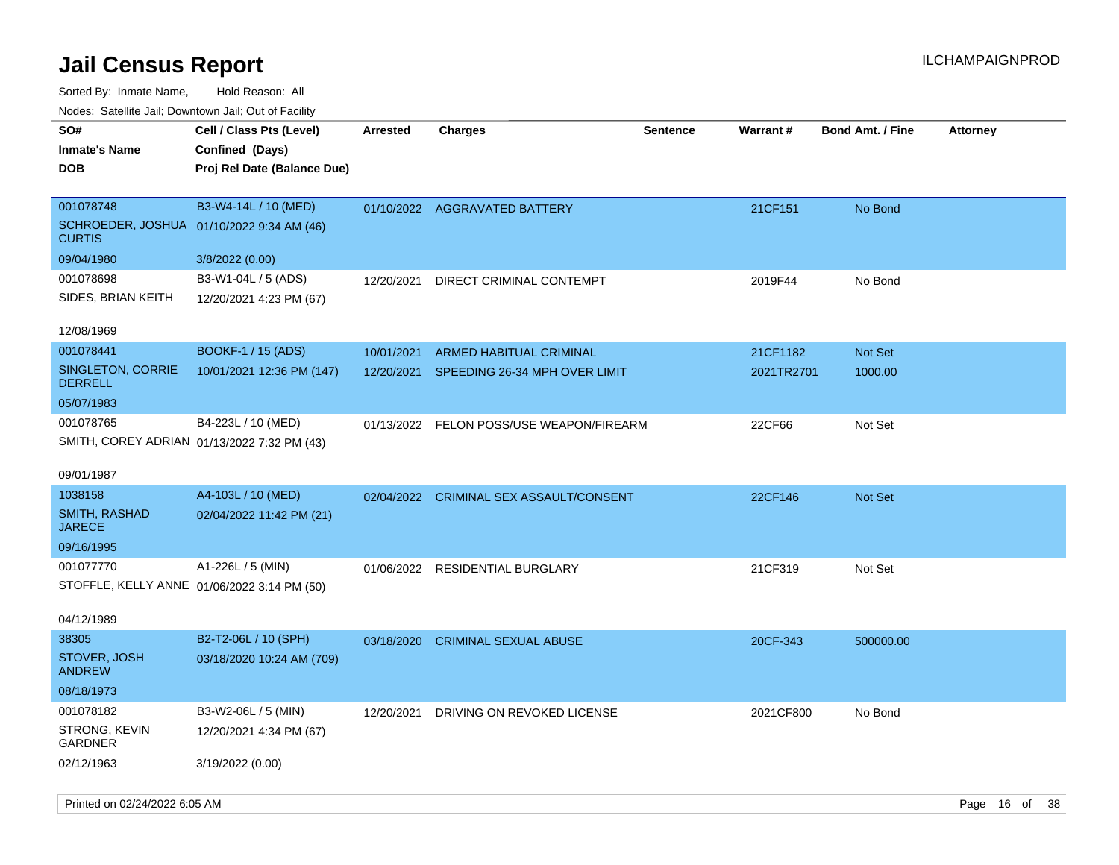| inducts. Satellite Jall, Downtown Jall, Out of Facility    |                             |                 |                                          |                 |            |                         |                 |
|------------------------------------------------------------|-----------------------------|-----------------|------------------------------------------|-----------------|------------|-------------------------|-----------------|
| SO#                                                        | Cell / Class Pts (Level)    | <b>Arrested</b> | <b>Charges</b>                           | <b>Sentence</b> | Warrant#   | <b>Bond Amt. / Fine</b> | <b>Attorney</b> |
| <b>Inmate's Name</b>                                       | Confined (Days)             |                 |                                          |                 |            |                         |                 |
| <b>DOB</b>                                                 | Proj Rel Date (Balance Due) |                 |                                          |                 |            |                         |                 |
|                                                            |                             |                 |                                          |                 |            |                         |                 |
| 001078748                                                  | B3-W4-14L / 10 (MED)        |                 | 01/10/2022 AGGRAVATED BATTERY            |                 | 21CF151    | No Bond                 |                 |
| SCHROEDER, JOSHUA 01/10/2022 9:34 AM (46)<br><b>CURTIS</b> |                             |                 |                                          |                 |            |                         |                 |
| 09/04/1980                                                 | 3/8/2022 (0.00)             |                 |                                          |                 |            |                         |                 |
| 001078698                                                  | B3-W1-04L / 5 (ADS)         | 12/20/2021      | DIRECT CRIMINAL CONTEMPT                 |                 | 2019F44    | No Bond                 |                 |
| SIDES, BRIAN KEITH                                         | 12/20/2021 4:23 PM (67)     |                 |                                          |                 |            |                         |                 |
|                                                            |                             |                 |                                          |                 |            |                         |                 |
| 12/08/1969                                                 |                             |                 |                                          |                 |            |                         |                 |
| 001078441                                                  | <b>BOOKF-1 / 15 (ADS)</b>   | 10/01/2021      | ARMED HABITUAL CRIMINAL                  |                 | 21CF1182   | <b>Not Set</b>          |                 |
| <b>SINGLETON, CORRIE</b>                                   | 10/01/2021 12:36 PM (147)   | 12/20/2021      | SPEEDING 26-34 MPH OVER LIMIT            |                 | 2021TR2701 | 1000.00                 |                 |
| <b>DERRELL</b>                                             |                             |                 |                                          |                 |            |                         |                 |
| 05/07/1983                                                 |                             |                 |                                          |                 |            |                         |                 |
| 001078765                                                  | B4-223L / 10 (MED)          |                 | 01/13/2022 FELON POSS/USE WEAPON/FIREARM |                 | 22CF66     | Not Set                 |                 |
| SMITH, COREY ADRIAN 01/13/2022 7:32 PM (43)                |                             |                 |                                          |                 |            |                         |                 |
| 09/01/1987                                                 |                             |                 |                                          |                 |            |                         |                 |
| 1038158                                                    | A4-103L / 10 (MED)          |                 |                                          |                 |            |                         |                 |
| SMITH, RASHAD                                              |                             | 02/04/2022      | <b>CRIMINAL SEX ASSAULT/CONSENT</b>      |                 | 22CF146    | Not Set                 |                 |
| <b>JARECE</b>                                              | 02/04/2022 11:42 PM (21)    |                 |                                          |                 |            |                         |                 |
| 09/16/1995                                                 |                             |                 |                                          |                 |            |                         |                 |
| 001077770                                                  | A1-226L / 5 (MIN)           |                 | 01/06/2022 RESIDENTIAL BURGLARY          |                 | 21CF319    | Not Set                 |                 |
| STOFFLE, KELLY ANNE 01/06/2022 3:14 PM (50)                |                             |                 |                                          |                 |            |                         |                 |
|                                                            |                             |                 |                                          |                 |            |                         |                 |
| 04/12/1989                                                 |                             |                 |                                          |                 |            |                         |                 |
| 38305                                                      | B2-T2-06L / 10 (SPH)        | 03/18/2020      | <b>CRIMINAL SEXUAL ABUSE</b>             |                 | 20CF-343   | 500000.00               |                 |
| STOVER, JOSH<br><b>ANDREW</b>                              | 03/18/2020 10:24 AM (709)   |                 |                                          |                 |            |                         |                 |
| 08/18/1973                                                 |                             |                 |                                          |                 |            |                         |                 |
| 001078182                                                  | B3-W2-06L / 5 (MIN)         | 12/20/2021      | DRIVING ON REVOKED LICENSE               |                 | 2021CF800  | No Bond                 |                 |
| STRONG, KEVIN<br>GARDNER                                   | 12/20/2021 4:34 PM (67)     |                 |                                          |                 |            |                         |                 |
| 02/12/1963                                                 | 3/19/2022 (0.00)            |                 |                                          |                 |            |                         |                 |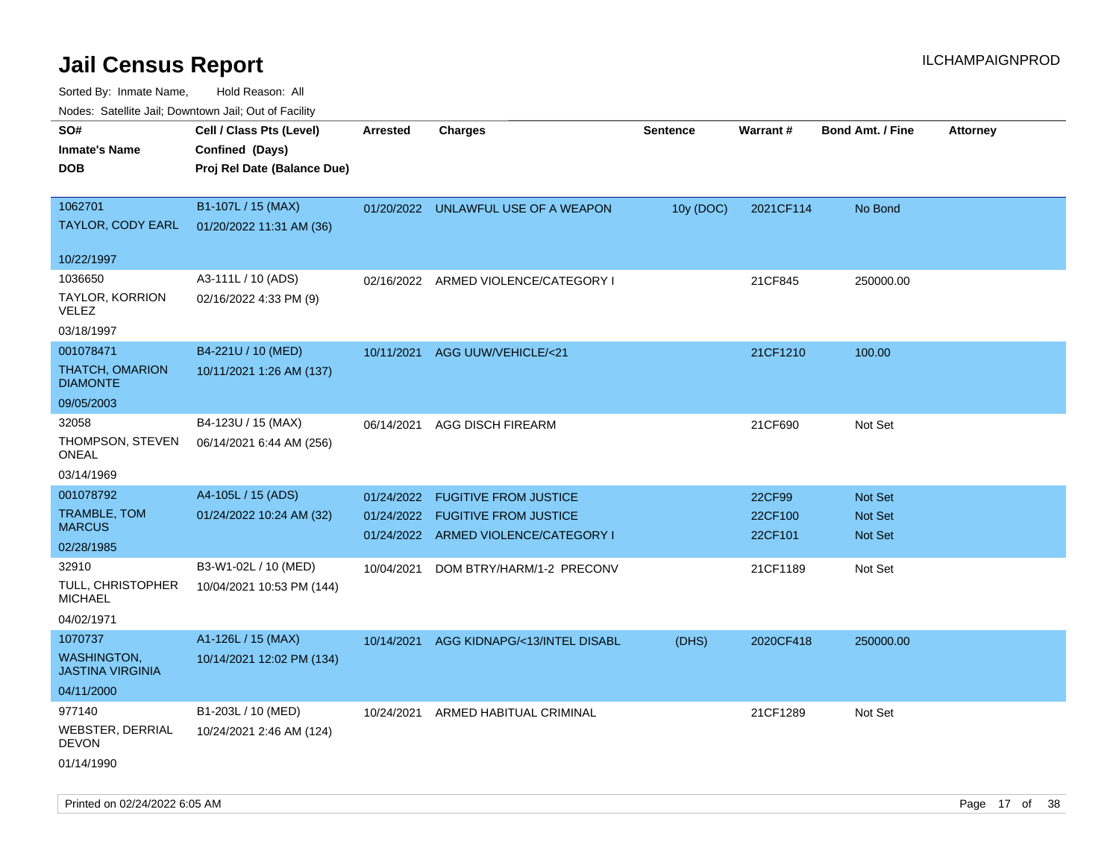| Nodes: Satellite Jali, Downtown Jali, Out of Facility |                             |                 |                                      |                 |                 |                         |                 |
|-------------------------------------------------------|-----------------------------|-----------------|--------------------------------------|-----------------|-----------------|-------------------------|-----------------|
| SO#                                                   | Cell / Class Pts (Level)    | <b>Arrested</b> | <b>Charges</b>                       | <b>Sentence</b> | <b>Warrant#</b> | <b>Bond Amt. / Fine</b> | <b>Attorney</b> |
| <b>Inmate's Name</b>                                  | Confined (Days)             |                 |                                      |                 |                 |                         |                 |
| <b>DOB</b>                                            | Proj Rel Date (Balance Due) |                 |                                      |                 |                 |                         |                 |
|                                                       |                             |                 |                                      |                 |                 |                         |                 |
| 1062701                                               | B1-107L / 15 (MAX)          |                 | 01/20/2022 UNLAWFUL USE OF A WEAPON  | 10y (DOC)       | 2021CF114       | No Bond                 |                 |
| TAYLOR, CODY EARL                                     | 01/20/2022 11:31 AM (36)    |                 |                                      |                 |                 |                         |                 |
| 10/22/1997                                            |                             |                 |                                      |                 |                 |                         |                 |
| 1036650                                               | A3-111L / 10 (ADS)          | 02/16/2022      | ARMED VIOLENCE/CATEGORY I            |                 | 21CF845         | 250000.00               |                 |
| <b>TAYLOR, KORRION</b>                                | 02/16/2022 4:33 PM (9)      |                 |                                      |                 |                 |                         |                 |
| <b>VELEZ</b>                                          |                             |                 |                                      |                 |                 |                         |                 |
| 03/18/1997                                            |                             |                 |                                      |                 |                 |                         |                 |
| 001078471                                             | B4-221U / 10 (MED)          | 10/11/2021      | AGG UUW/VEHICLE/<21                  |                 | 21CF1210        | 100.00                  |                 |
| <b>THATCH, OMARION</b><br><b>DIAMONTE</b>             | 10/11/2021 1:26 AM (137)    |                 |                                      |                 |                 |                         |                 |
| 09/05/2003                                            |                             |                 |                                      |                 |                 |                         |                 |
| 32058                                                 | B4-123U / 15 (MAX)          | 06/14/2021      | AGG DISCH FIREARM                    |                 | 21CF690         | Not Set                 |                 |
| THOMPSON, STEVEN<br><b>ONEAL</b>                      | 06/14/2021 6:44 AM (256)    |                 |                                      |                 |                 |                         |                 |
| 03/14/1969                                            |                             |                 |                                      |                 |                 |                         |                 |
| 001078792                                             | A4-105L / 15 (ADS)          | 01/24/2022      | <b>FUGITIVE FROM JUSTICE</b>         |                 | 22CF99          | Not Set                 |                 |
| TRAMBLE, TOM                                          | 01/24/2022 10:24 AM (32)    | 01/24/2022      | <b>FUGITIVE FROM JUSTICE</b>         |                 | 22CF100         | Not Set                 |                 |
| <b>MARCUS</b>                                         |                             |                 | 01/24/2022 ARMED VIOLENCE/CATEGORY I |                 | 22CF101         | Not Set                 |                 |
| 02/28/1985                                            |                             |                 |                                      |                 |                 |                         |                 |
| 32910                                                 | B3-W1-02L / 10 (MED)        | 10/04/2021      | DOM BTRY/HARM/1-2 PRECONV            |                 | 21CF1189        | Not Set                 |                 |
| TULL, CHRISTOPHER<br><b>MICHAEL</b>                   | 10/04/2021 10:53 PM (144)   |                 |                                      |                 |                 |                         |                 |
| 04/02/1971                                            |                             |                 |                                      |                 |                 |                         |                 |
| 1070737                                               | A1-126L / 15 (MAX)          | 10/14/2021      | AGG KIDNAPG/<13/INTEL DISABL         | (DHS)           | 2020CF418       | 250000.00               |                 |
| <b>WASHINGTON,</b><br><b>JASTINA VIRGINIA</b>         | 10/14/2021 12:02 PM (134)   |                 |                                      |                 |                 |                         |                 |
| 04/11/2000                                            |                             |                 |                                      |                 |                 |                         |                 |
| 977140                                                | B1-203L / 10 (MED)          | 10/24/2021      | ARMED HABITUAL CRIMINAL              |                 | 21CF1289        | Not Set                 |                 |
| WEBSTER, DERRIAL<br><b>DEVON</b>                      | 10/24/2021 2:46 AM (124)    |                 |                                      |                 |                 |                         |                 |
| 01/14/1990                                            |                             |                 |                                      |                 |                 |                         |                 |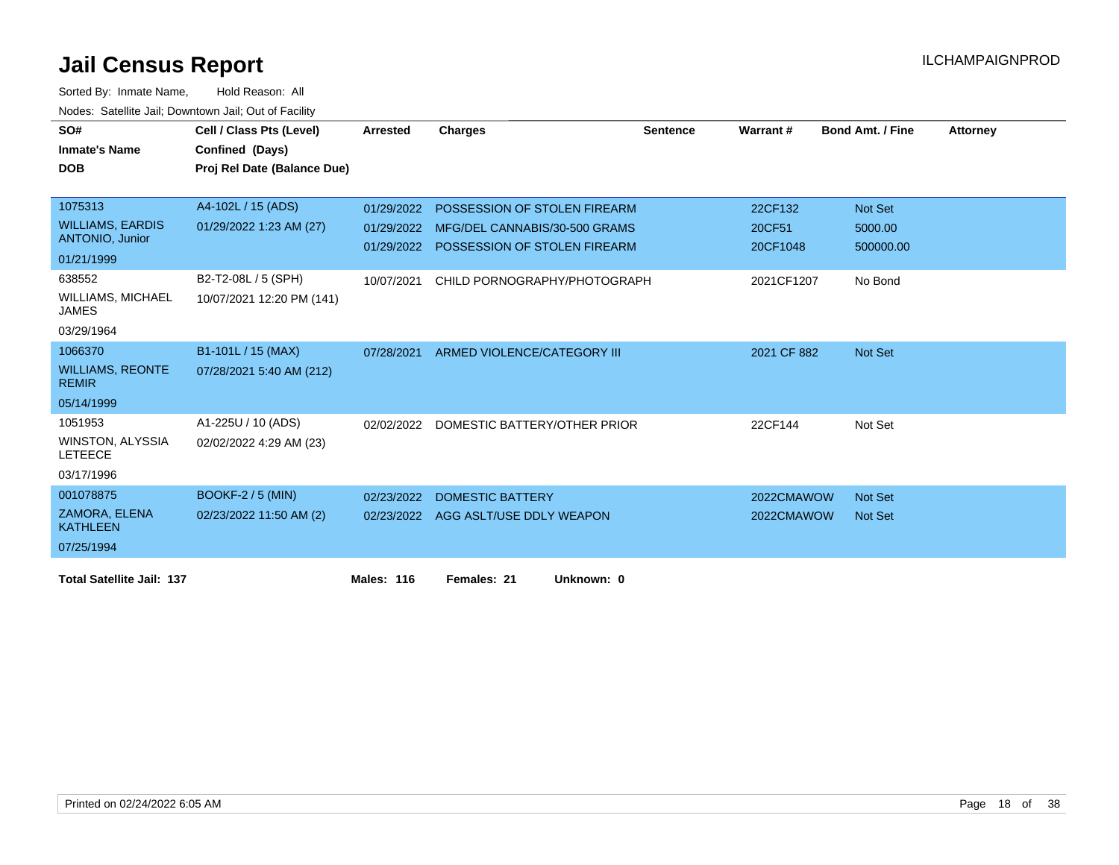| SO#<br><b>Inmate's Name</b>               | Cell / Class Pts (Level)<br>Confined (Days) | <b>Arrested</b>   | <b>Charges</b>                          | <b>Sentence</b> | Warrant#    | <b>Bond Amt. / Fine</b> | <b>Attorney</b> |
|-------------------------------------------|---------------------------------------------|-------------------|-----------------------------------------|-----------------|-------------|-------------------------|-----------------|
| <b>DOB</b>                                |                                             |                   |                                         |                 |             |                         |                 |
|                                           | Proj Rel Date (Balance Due)                 |                   |                                         |                 |             |                         |                 |
| 1075313                                   | A4-102L / 15 (ADS)                          | 01/29/2022        | POSSESSION OF STOLEN FIREARM            |                 | 22CF132     | Not Set                 |                 |
| <b>WILLIAMS, EARDIS</b>                   | 01/29/2022 1:23 AM (27)                     | 01/29/2022        | MFG/DEL CANNABIS/30-500 GRAMS           |                 | 20CF51      | 5000.00                 |                 |
| <b>ANTONIO, Junior</b>                    |                                             |                   | 01/29/2022 POSSESSION OF STOLEN FIREARM |                 | 20CF1048    | 500000.00               |                 |
| 01/21/1999                                |                                             |                   |                                         |                 |             |                         |                 |
| 638552                                    | B2-T2-08L / 5 (SPH)                         | 10/07/2021        | CHILD PORNOGRAPHY/PHOTOGRAPH            |                 | 2021CF1207  | No Bond                 |                 |
| <b>WILLIAMS, MICHAEL</b><br><b>JAMES</b>  | 10/07/2021 12:20 PM (141)                   |                   |                                         |                 |             |                         |                 |
| 03/29/1964                                |                                             |                   |                                         |                 |             |                         |                 |
| 1066370                                   | B1-101L / 15 (MAX)                          | 07/28/2021        | ARMED VIOLENCE/CATEGORY III             |                 | 2021 CF 882 | Not Set                 |                 |
| <b>WILLIAMS, REONTE</b><br><b>REMIR</b>   | 07/28/2021 5:40 AM (212)                    |                   |                                         |                 |             |                         |                 |
| 05/14/1999                                |                                             |                   |                                         |                 |             |                         |                 |
| 1051953                                   | A1-225U / 10 (ADS)                          | 02/02/2022        | DOMESTIC BATTERY/OTHER PRIOR            |                 | 22CF144     | Not Set                 |                 |
| <b>WINSTON, ALYSSIA</b><br><b>LETEECE</b> | 02/02/2022 4:29 AM (23)                     |                   |                                         |                 |             |                         |                 |
| 03/17/1996                                |                                             |                   |                                         |                 |             |                         |                 |
| 001078875                                 | <b>BOOKF-2 / 5 (MIN)</b>                    | 02/23/2022        | DOMESTIC BATTERY                        |                 | 2022CMAWOW  | <b>Not Set</b>          |                 |
| <b>ZAMORA, ELENA</b><br><b>KATHLEEN</b>   | 02/23/2022 11:50 AM (2)                     | 02/23/2022        | AGG ASLT/USE DDLY WEAPON                |                 | 2022CMAWOW  | <b>Not Set</b>          |                 |
| 07/25/1994                                |                                             |                   |                                         |                 |             |                         |                 |
| <b>Total Satellite Jail: 137</b>          |                                             | <b>Males: 116</b> | Females: 21<br>Unknown: 0               |                 |             |                         |                 |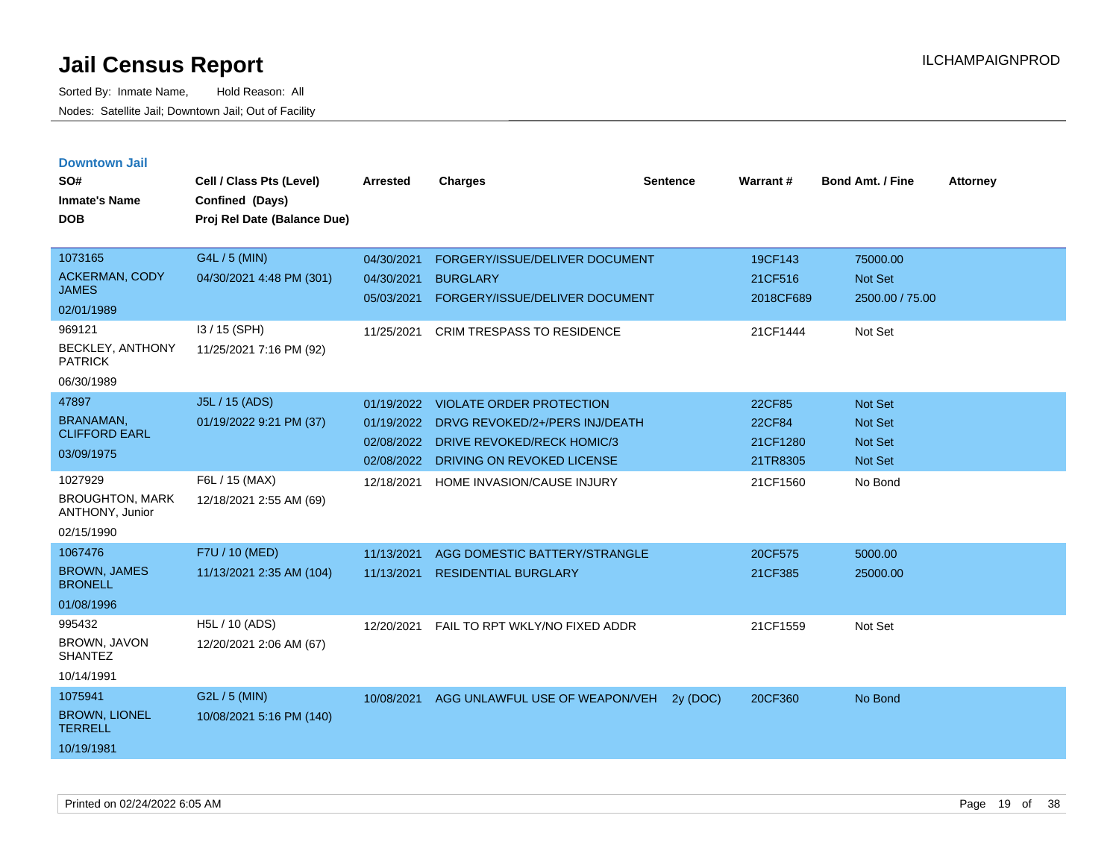| <b>Downtown Jail</b> |  |
|----------------------|--|
|                      |  |
|                      |  |

| SO#<br><b>Inmate's Name</b><br><b>DOB</b>                                                                      | Cell / Class Pts (Level)<br>Confined (Days)<br>Proj Rel Date (Balance Due)            | <b>Arrested</b>                                      | <b>Charges</b>                                                                                                                | <b>Sentence</b> | <b>Warrant#</b>                             | <b>Bond Amt. / Fine</b>                                       | <b>Attorney</b> |
|----------------------------------------------------------------------------------------------------------------|---------------------------------------------------------------------------------------|------------------------------------------------------|-------------------------------------------------------------------------------------------------------------------------------|-----------------|---------------------------------------------|---------------------------------------------------------------|-----------------|
| 1073165<br><b>ACKERMAN, CODY</b><br><b>JAMES</b><br>02/01/1989<br>969121<br>BECKLEY, ANTHONY<br><b>PATRICK</b> | G4L / 5 (MIN)<br>04/30/2021 4:48 PM (301)<br>I3 / 15 (SPH)<br>11/25/2021 7:16 PM (92) | 04/30/2021<br>04/30/2021<br>05/03/2021<br>11/25/2021 | FORGERY/ISSUE/DELIVER DOCUMENT<br><b>BURGLARY</b><br>FORGERY/ISSUE/DELIVER DOCUMENT<br><b>CRIM TRESPASS TO RESIDENCE</b>      |                 | 19CF143<br>21CF516<br>2018CF689<br>21CF1444 | 75000.00<br><b>Not Set</b><br>2500.00 / 75.00<br>Not Set      |                 |
| 06/30/1989<br>47897<br><b>BRANAMAN</b><br><b>CLIFFORD EARL</b><br>03/09/1975                                   | J5L / 15 (ADS)<br>01/19/2022 9:21 PM (37)                                             | 01/19/2022<br>01/19/2022<br>02/08/2022<br>02/08/2022 | <b>VIOLATE ORDER PROTECTION</b><br>DRVG REVOKED/2+/PERS INJ/DEATH<br>DRIVE REVOKED/RECK HOMIC/3<br>DRIVING ON REVOKED LICENSE |                 | 22CF85<br>22CF84<br>21CF1280<br>21TR8305    | <b>Not Set</b><br><b>Not Set</b><br><b>Not Set</b><br>Not Set |                 |
| 1027929<br><b>BROUGHTON, MARK</b><br>ANTHONY, Junior<br>02/15/1990                                             | F6L / 15 (MAX)<br>12/18/2021 2:55 AM (69)                                             | 12/18/2021                                           | HOME INVASION/CAUSE INJURY                                                                                                    |                 | 21CF1560                                    | No Bond                                                       |                 |
| 1067476<br><b>BROWN, JAMES</b><br><b>BRONELL</b><br>01/08/1996                                                 | F7U / 10 (MED)<br>11/13/2021 2:35 AM (104)                                            | 11/13/2021<br>11/13/2021                             | AGG DOMESTIC BATTERY/STRANGLE<br><b>RESIDENTIAL BURGLARY</b>                                                                  |                 | 20CF575<br>21CF385                          | 5000.00<br>25000.00                                           |                 |
| 995432<br>BROWN, JAVON<br><b>SHANTEZ</b><br>10/14/1991                                                         | H5L / 10 (ADS)<br>12/20/2021 2:06 AM (67)                                             | 12/20/2021                                           | FAIL TO RPT WKLY/NO FIXED ADDR                                                                                                |                 | 21CF1559                                    | Not Set                                                       |                 |
| 1075941<br><b>BROWN, LIONEL</b><br><b>TERRELL</b><br>10/19/1981                                                | G2L / 5 (MIN)<br>10/08/2021 5:16 PM (140)                                             | 10/08/2021                                           | AGG UNLAWFUL USE OF WEAPON/VEH                                                                                                | 2y (DOC)        | 20CF360                                     | No Bond                                                       |                 |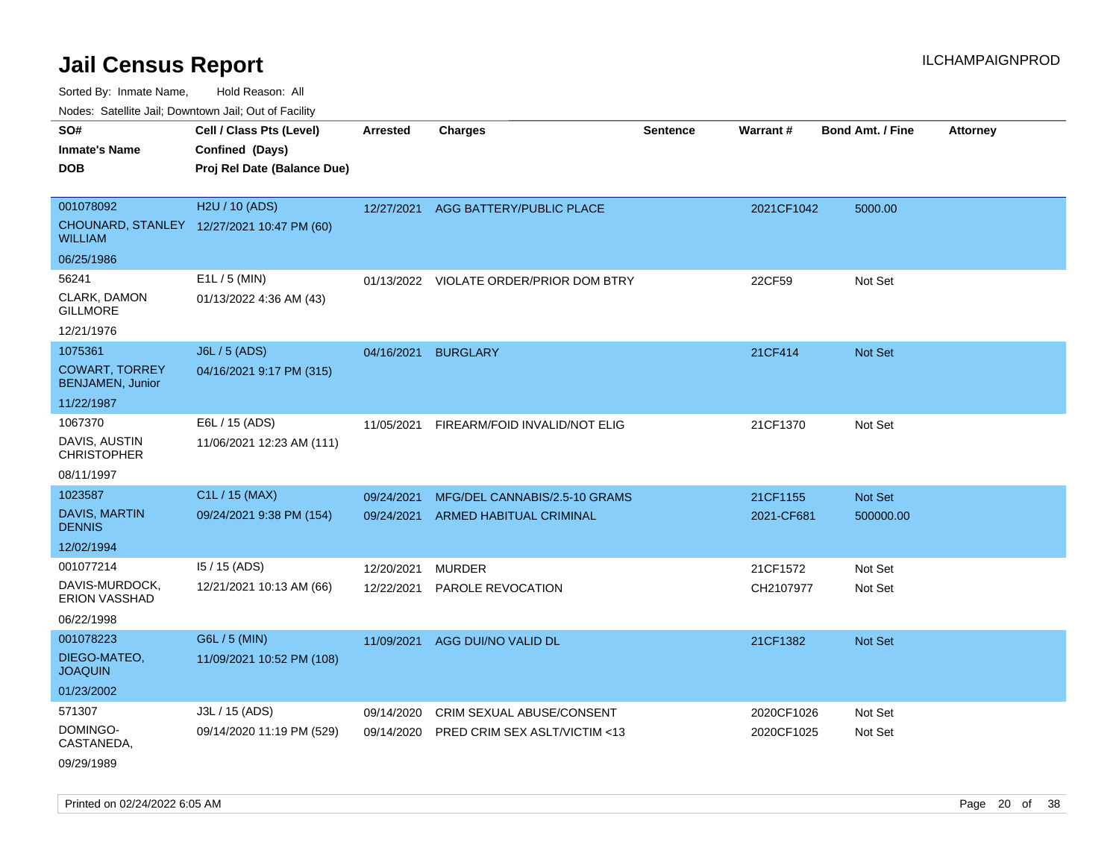Sorted By: Inmate Name, Hold Reason: All

Nodes: Satellite Jail; Downtown Jail; Out of Facility

| SO#                                              | Cell / Class Pts (Level)                   | <b>Arrested</b> | <b>Charges</b>                          | <b>Sentence</b> | Warrant#   | <b>Bond Amt. / Fine</b> | <b>Attorney</b> |
|--------------------------------------------------|--------------------------------------------|-----------------|-----------------------------------------|-----------------|------------|-------------------------|-----------------|
| <b>Inmate's Name</b>                             | Confined (Days)                            |                 |                                         |                 |            |                         |                 |
| <b>DOB</b>                                       | Proj Rel Date (Balance Due)                |                 |                                         |                 |            |                         |                 |
|                                                  |                                            |                 |                                         |                 |            |                         |                 |
| 001078092                                        | H2U / 10 (ADS)                             | 12/27/2021      | AGG BATTERY/PUBLIC PLACE                |                 | 2021CF1042 | 5000.00                 |                 |
| <b>WILLIAM</b>                                   | CHOUNARD, STANLEY 12/27/2021 10:47 PM (60) |                 |                                         |                 |            |                         |                 |
| 06/25/1986                                       |                                            |                 |                                         |                 |            |                         |                 |
| 56241                                            | E1L / 5 (MIN)                              |                 | 01/13/2022 VIOLATE ORDER/PRIOR DOM BTRY |                 | 22CF59     | Not Set                 |                 |
| CLARK, DAMON<br><b>GILLMORE</b>                  | 01/13/2022 4:36 AM (43)                    |                 |                                         |                 |            |                         |                 |
| 12/21/1976                                       |                                            |                 |                                         |                 |            |                         |                 |
| 1075361                                          | <b>J6L / 5 (ADS)</b>                       | 04/16/2021      | <b>BURGLARY</b>                         |                 | 21CF414    | <b>Not Set</b>          |                 |
| <b>COWART, TORREY</b><br><b>BENJAMEN, Junior</b> | 04/16/2021 9:17 PM (315)                   |                 |                                         |                 |            |                         |                 |
| 11/22/1987                                       |                                            |                 |                                         |                 |            |                         |                 |
| 1067370                                          | E6L / 15 (ADS)                             | 11/05/2021      | FIREARM/FOID INVALID/NOT ELIG           |                 | 21CF1370   | Not Set                 |                 |
| DAVIS, AUSTIN<br><b>CHRISTOPHER</b>              | 11/06/2021 12:23 AM (111)                  |                 |                                         |                 |            |                         |                 |
| 08/11/1997                                       |                                            |                 |                                         |                 |            |                         |                 |
| 1023587                                          | C1L / 15 (MAX)                             | 09/24/2021      | MFG/DEL CANNABIS/2.5-10 GRAMS           |                 | 21CF1155   | Not Set                 |                 |
| <b>DAVIS, MARTIN</b><br><b>DENNIS</b>            | 09/24/2021 9:38 PM (154)                   | 09/24/2021      | <b>ARMED HABITUAL CRIMINAL</b>          |                 | 2021-CF681 | 500000.00               |                 |
| 12/02/1994                                       |                                            |                 |                                         |                 |            |                         |                 |
| 001077214                                        | 15 / 15 (ADS)                              | 12/20/2021      | <b>MURDER</b>                           |                 | 21CF1572   | Not Set                 |                 |
| DAVIS-MURDOCK,<br>ERION VASSHAD                  | 12/21/2021 10:13 AM (66)                   | 12/22/2021      | PAROLE REVOCATION                       |                 | CH2107977  | Not Set                 |                 |
| 06/22/1998                                       |                                            |                 |                                         |                 |            |                         |                 |
| 001078223                                        | G6L / 5 (MIN)                              | 11/09/2021      | AGG DUI/NO VALID DL                     |                 | 21CF1382   | <b>Not Set</b>          |                 |
| DIEGO-MATEO,<br><b>JOAQUIN</b>                   | 11/09/2021 10:52 PM (108)                  |                 |                                         |                 |            |                         |                 |
| 01/23/2002                                       |                                            |                 |                                         |                 |            |                         |                 |
| 571307                                           | J3L / 15 (ADS)                             | 09/14/2020      | CRIM SEXUAL ABUSE/CONSENT               |                 | 2020CF1026 | Not Set                 |                 |
| DOMINGO-<br>CASTANEDA,                           | 09/14/2020 11:19 PM (529)                  | 09/14/2020      | PRED CRIM SEX ASLT/VICTIM <13           |                 | 2020CF1025 | Not Set                 |                 |
|                                                  |                                            |                 |                                         |                 |            |                         |                 |

09/29/1989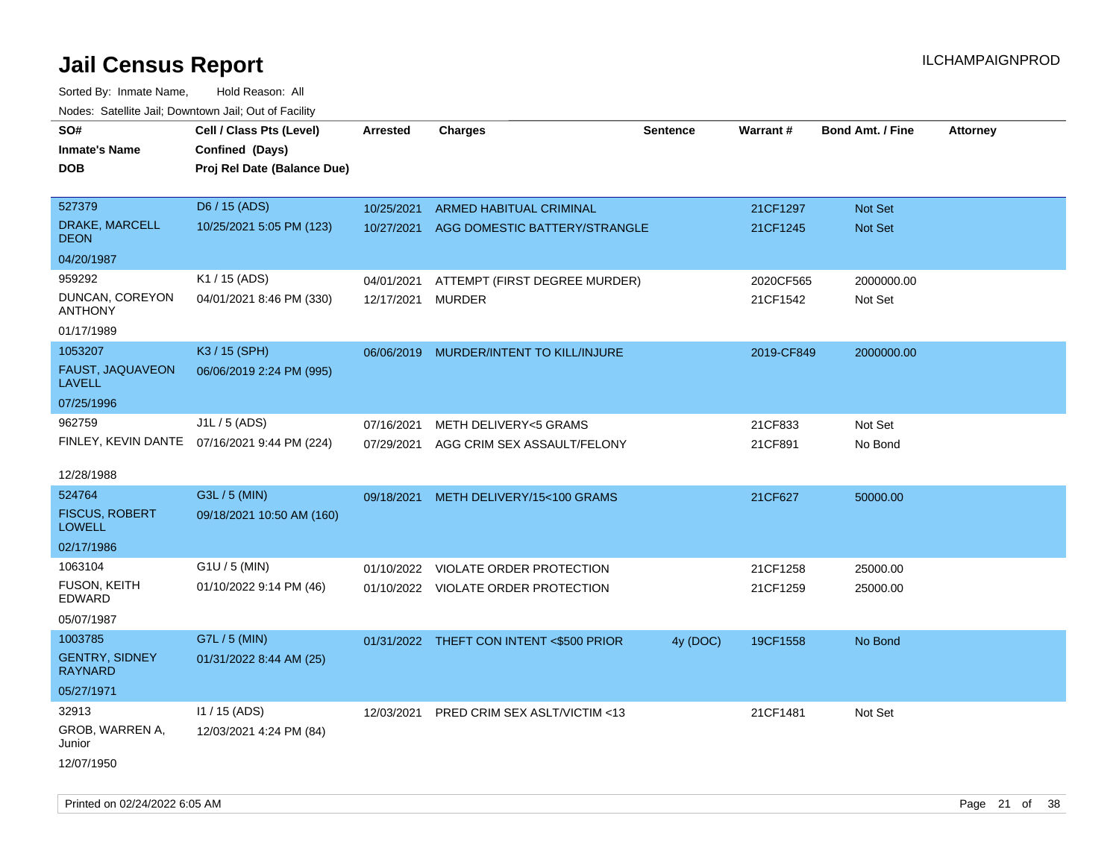Sorted By: Inmate Name, Hold Reason: All Nodes: Satellite Jail; Downtown Jail; Out of Facility

| <u>Rodos.</u> Odiolino dali, Downtown dali, Odi of Fabilit |                                              |            |                                          |                 |            |                         |                 |
|------------------------------------------------------------|----------------------------------------------|------------|------------------------------------------|-----------------|------------|-------------------------|-----------------|
| SO#                                                        | Cell / Class Pts (Level)                     | Arrested   | <b>Charges</b>                           | <b>Sentence</b> | Warrant#   | <b>Bond Amt. / Fine</b> | <b>Attorney</b> |
| <b>Inmate's Name</b>                                       | Confined (Days)                              |            |                                          |                 |            |                         |                 |
| <b>DOB</b>                                                 | Proj Rel Date (Balance Due)                  |            |                                          |                 |            |                         |                 |
|                                                            |                                              |            |                                          |                 |            |                         |                 |
| 527379                                                     | D6 / 15 (ADS)                                | 10/25/2021 | ARMED HABITUAL CRIMINAL                  |                 | 21CF1297   | Not Set                 |                 |
| DRAKE, MARCELL<br><b>DEON</b>                              | 10/25/2021 5:05 PM (123)                     | 10/27/2021 | AGG DOMESTIC BATTERY/STRANGLE            |                 | 21CF1245   | Not Set                 |                 |
| 04/20/1987                                                 |                                              |            |                                          |                 |            |                         |                 |
| 959292                                                     | K1 / 15 (ADS)                                | 04/01/2021 | ATTEMPT (FIRST DEGREE MURDER)            |                 | 2020CF565  | 2000000.00              |                 |
| DUNCAN, COREYON<br><b>ANTHONY</b>                          | 04/01/2021 8:46 PM (330)                     | 12/17/2021 | <b>MURDER</b>                            |                 | 21CF1542   | Not Set                 |                 |
| 01/17/1989                                                 |                                              |            |                                          |                 |            |                         |                 |
| 1053207                                                    | K3 / 15 (SPH)                                | 06/06/2019 | MURDER/INTENT TO KILL/INJURE             |                 | 2019-CF849 | 2000000.00              |                 |
| FAUST, JAQUAVEON<br><b>LAVELL</b>                          | 06/06/2019 2:24 PM (995)                     |            |                                          |                 |            |                         |                 |
| 07/25/1996                                                 |                                              |            |                                          |                 |            |                         |                 |
| 962759                                                     | J1L / 5 (ADS)                                | 07/16/2021 | METH DELIVERY<5 GRAMS                    |                 | 21CF833    | Not Set                 |                 |
|                                                            | FINLEY, KEVIN DANTE 07/16/2021 9:44 PM (224) | 07/29/2021 | AGG CRIM SEX ASSAULT/FELONY              |                 | 21CF891    | No Bond                 |                 |
|                                                            |                                              |            |                                          |                 |            |                         |                 |
| 12/28/1988                                                 |                                              |            |                                          |                 |            |                         |                 |
| 524764                                                     | G3L / 5 (MIN)                                | 09/18/2021 | METH DELIVERY/15<100 GRAMS               |                 | 21CF627    | 50000.00                |                 |
| <b>FISCUS, ROBERT</b><br><b>LOWELL</b>                     | 09/18/2021 10:50 AM (160)                    |            |                                          |                 |            |                         |                 |
| 02/17/1986                                                 |                                              |            |                                          |                 |            |                         |                 |
| 1063104                                                    | G1U / 5 (MIN)                                |            | 01/10/2022 VIOLATE ORDER PROTECTION      |                 | 21CF1258   | 25000.00                |                 |
| FUSON, KEITH<br>EDWARD                                     | 01/10/2022 9:14 PM (46)                      |            | 01/10/2022 VIOLATE ORDER PROTECTION      |                 | 21CF1259   | 25000.00                |                 |
| 05/07/1987                                                 |                                              |            |                                          |                 |            |                         |                 |
| 1003785                                                    | G7L / 5 (MIN)                                |            | 01/31/2022 THEFT CON INTENT <\$500 PRIOR | 4y (DOC)        | 19CF1558   | No Bond                 |                 |
| <b>GENTRY, SIDNEY</b><br><b>RAYNARD</b>                    | 01/31/2022 8:44 AM (25)                      |            |                                          |                 |            |                         |                 |
| 05/27/1971                                                 |                                              |            |                                          |                 |            |                         |                 |
| 32913                                                      | 11 / 15 (ADS)                                | 12/03/2021 | PRED CRIM SEX ASLT/VICTIM <13            |                 | 21CF1481   | Not Set                 |                 |
| GROB, WARREN A,<br>Junior                                  | 12/03/2021 4:24 PM (84)                      |            |                                          |                 |            |                         |                 |
| 12/07/1950                                                 |                                              |            |                                          |                 |            |                         |                 |

Printed on 02/24/2022 6:05 AM Page 21 of 38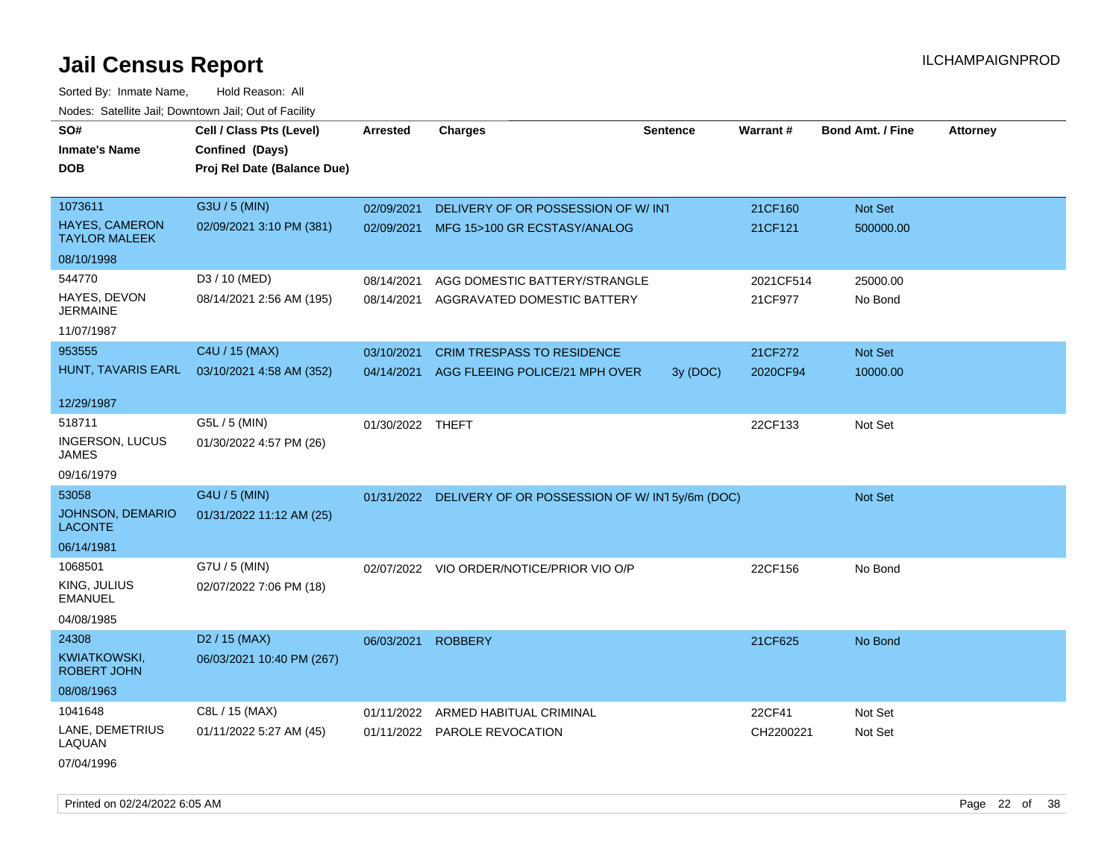Sorted By: Inmate Name, Hold Reason: All Nodes: Satellite Jail; Downtown Jail; Out of Facility

| SO#                                           | Cell / Class Pts (Level)    | <b>Arrested</b>  | <b>Charges</b>                                           | <b>Sentence</b> | <b>Warrant#</b> | <b>Bond Amt. / Fine</b> | <b>Attorney</b> |
|-----------------------------------------------|-----------------------------|------------------|----------------------------------------------------------|-----------------|-----------------|-------------------------|-----------------|
| <b>Inmate's Name</b>                          | Confined (Days)             |                  |                                                          |                 |                 |                         |                 |
| <b>DOB</b>                                    | Proj Rel Date (Balance Due) |                  |                                                          |                 |                 |                         |                 |
|                                               |                             |                  |                                                          |                 |                 |                         |                 |
| 1073611                                       | G3U / 5 (MIN)               | 02/09/2021       | DELIVERY OF OR POSSESSION OF W/INT                       |                 | 21CF160         | Not Set                 |                 |
| <b>HAYES, CAMERON</b><br><b>TAYLOR MALEEK</b> | 02/09/2021 3:10 PM (381)    |                  | 02/09/2021 MFG 15>100 GR ECSTASY/ANALOG                  |                 | 21CF121         | 500000.00               |                 |
| 08/10/1998                                    |                             |                  |                                                          |                 |                 |                         |                 |
| 544770                                        | D3 / 10 (MED)               | 08/14/2021       | AGG DOMESTIC BATTERY/STRANGLE                            |                 | 2021CF514       | 25000.00                |                 |
| HAYES, DEVON<br><b>JERMAINE</b>               | 08/14/2021 2:56 AM (195)    | 08/14/2021       | AGGRAVATED DOMESTIC BATTERY                              |                 | 21CF977         | No Bond                 |                 |
| 11/07/1987                                    |                             |                  |                                                          |                 |                 |                         |                 |
| 953555                                        | C4U / 15 (MAX)              | 03/10/2021       | <b>CRIM TRESPASS TO RESIDENCE</b>                        |                 | 21CF272         | Not Set                 |                 |
| HUNT, TAVARIS EARL                            | 03/10/2021 4:58 AM (352)    | 04/14/2021       | AGG FLEEING POLICE/21 MPH OVER                           | 3y (DOC)        | 2020CF94        | 10000.00                |                 |
| 12/29/1987                                    |                             |                  |                                                          |                 |                 |                         |                 |
| 518711                                        | G5L / 5 (MIN)               | 01/30/2022 THEFT |                                                          |                 | 22CF133         | Not Set                 |                 |
| INGERSON, LUCUS<br><b>JAMES</b>               | 01/30/2022 4:57 PM (26)     |                  |                                                          |                 |                 |                         |                 |
| 09/16/1979                                    |                             |                  |                                                          |                 |                 |                         |                 |
| 53058                                         | G4U / 5 (MIN)               |                  | 01/31/2022 DELIVERY OF OR POSSESSION OF W/IN15y/6m (DOC) |                 |                 | Not Set                 |                 |
| JOHNSON, DEMARIO<br><b>LACONTE</b>            | 01/31/2022 11:12 AM (25)    |                  |                                                          |                 |                 |                         |                 |
| 06/14/1981                                    |                             |                  |                                                          |                 |                 |                         |                 |
| 1068501                                       | G7U / 5 (MIN)               |                  | 02/07/2022 VIO ORDER/NOTICE/PRIOR VIO O/P                |                 | 22CF156         | No Bond                 |                 |
| KING, JULIUS<br><b>EMANUEL</b>                | 02/07/2022 7:06 PM (18)     |                  |                                                          |                 |                 |                         |                 |
| 04/08/1985                                    |                             |                  |                                                          |                 |                 |                         |                 |
| 24308                                         | D <sub>2</sub> / 15 (MAX)   | 06/03/2021       | <b>ROBBERY</b>                                           |                 | 21CF625         | No Bond                 |                 |
| <b>KWIATKOWSKI,</b><br><b>ROBERT JOHN</b>     | 06/03/2021 10:40 PM (267)   |                  |                                                          |                 |                 |                         |                 |
| 08/08/1963                                    |                             |                  |                                                          |                 |                 |                         |                 |
| 1041648                                       | C8L / 15 (MAX)              | 01/11/2022       | ARMED HABITUAL CRIMINAL                                  |                 | 22CF41          | Not Set                 |                 |
| LANE, DEMETRIUS<br>LAQUAN                     | 01/11/2022 5:27 AM (45)     |                  | 01/11/2022 PAROLE REVOCATION                             |                 | CH2200221       | Not Set                 |                 |
| 07/04/1996                                    |                             |                  |                                                          |                 |                 |                         |                 |

Printed on 02/24/2022 6:05 AM Page 22 of 38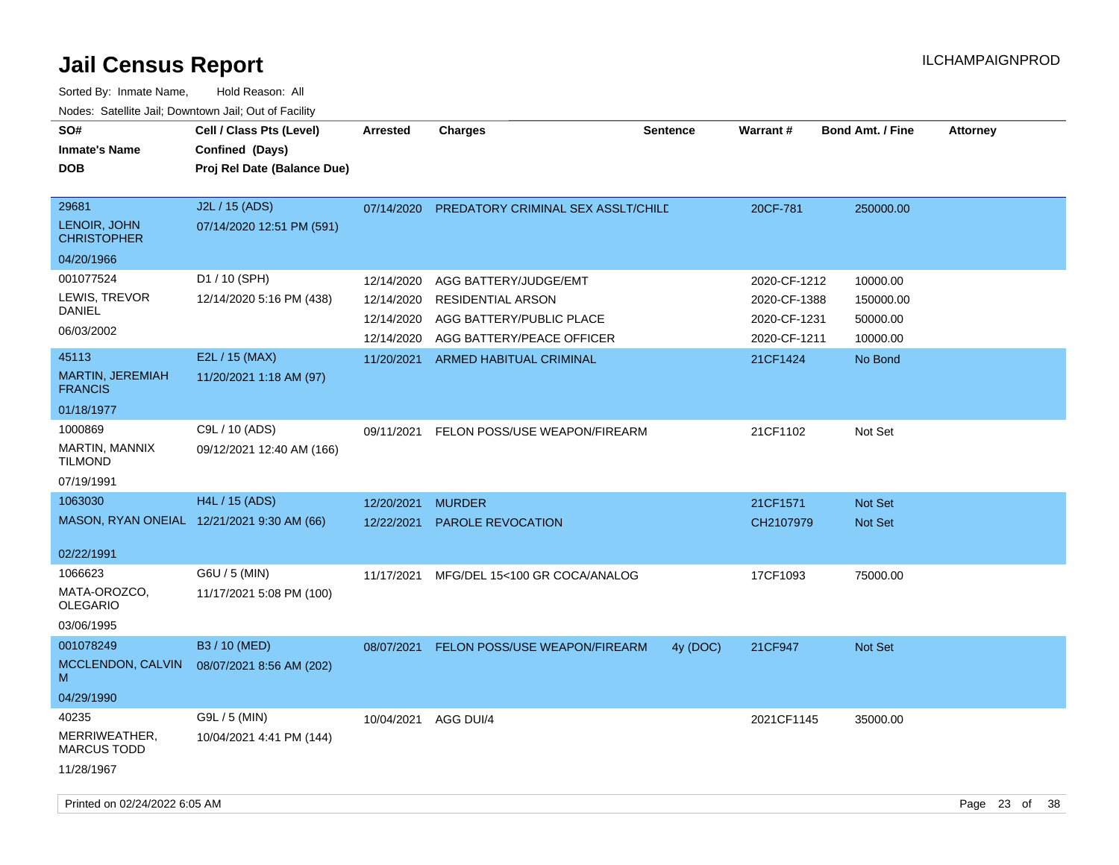| SO#<br><b>Inmate's Name</b><br><b>DOB</b>                  | Cell / Class Pts (Level)<br>Confined (Days)<br>Proj Rel Date (Balance Due) | Arrested                                             | Charges                                                                                                    | <b>Sentence</b> | <b>Warrant#</b>                                              | <b>Bond Amt. / Fine</b>                       | <b>Attorney</b> |
|------------------------------------------------------------|----------------------------------------------------------------------------|------------------------------------------------------|------------------------------------------------------------------------------------------------------------|-----------------|--------------------------------------------------------------|-----------------------------------------------|-----------------|
| 29681<br>LENOIR, JOHN<br><b>CHRISTOPHER</b>                | J2L / 15 (ADS)<br>07/14/2020 12:51 PM (591)                                |                                                      | 07/14/2020 PREDATORY CRIMINAL SEX ASSLT/CHILE                                                              |                 | 20CF-781                                                     | 250000.00                                     |                 |
| 04/20/1966                                                 |                                                                            |                                                      |                                                                                                            |                 |                                                              |                                               |                 |
| 001077524<br>LEWIS, TREVOR<br><b>DANIEL</b><br>06/03/2002  | D1 / 10 (SPH)<br>12/14/2020 5:16 PM (438)                                  | 12/14/2020<br>12/14/2020<br>12/14/2020<br>12/14/2020 | AGG BATTERY/JUDGE/EMT<br><b>RESIDENTIAL ARSON</b><br>AGG BATTERY/PUBLIC PLACE<br>AGG BATTERY/PEACE OFFICER |                 | 2020-CF-1212<br>2020-CF-1388<br>2020-CF-1231<br>2020-CF-1211 | 10000.00<br>150000.00<br>50000.00<br>10000.00 |                 |
| 45113<br>MARTIN, JEREMIAH<br><b>FRANCIS</b><br>01/18/1977  | E2L / 15 (MAX)<br>11/20/2021 1:18 AM (97)                                  |                                                      | 11/20/2021 ARMED HABITUAL CRIMINAL                                                                         |                 | 21CF1424                                                     | No Bond                                       |                 |
| 1000869<br>MARTIN, MANNIX<br><b>TILMOND</b><br>07/19/1991  | C9L / 10 (ADS)<br>09/12/2021 12:40 AM (166)                                |                                                      | 09/11/2021 FELON POSS/USE WEAPON/FIREARM                                                                   |                 | 21CF1102                                                     | Not Set                                       |                 |
| 1063030                                                    | H4L / 15 (ADS)                                                             | 12/20/2021                                           | <b>MURDER</b>                                                                                              |                 | 21CF1571                                                     | Not Set                                       |                 |
|                                                            | MASON, RYAN ONEIAL 12/21/2021 9:30 AM (66)                                 | 12/22/2021                                           | PAROLE REVOCATION                                                                                          |                 | CH2107979                                                    | Not Set                                       |                 |
| 02/22/1991                                                 |                                                                            |                                                      |                                                                                                            |                 |                                                              |                                               |                 |
| 1066623<br>MATA-OROZCO,<br><b>OLEGARIO</b><br>03/06/1995   | G6U / 5 (MIN)<br>11/17/2021 5:08 PM (100)                                  | 11/17/2021                                           | MFG/DEL 15<100 GR COCA/ANALOG                                                                              |                 | 17CF1093                                                     | 75000.00                                      |                 |
| 001078249<br>MCCLENDON, CALVIN<br>м<br>04/29/1990          | B3 / 10 (MED)<br>08/07/2021 8:56 AM (202)                                  | 08/07/2021                                           | FELON POSS/USE WEAPON/FIREARM                                                                              | 4y (DOC)        | 21CF947                                                      | Not Set                                       |                 |
| 40235<br>MERRIWEATHER,<br><b>MARCUS TODD</b><br>11/28/1967 | G9L / 5 (MIN)<br>10/04/2021 4:41 PM (144)                                  | 10/04/2021                                           | AGG DUI/4                                                                                                  |                 | 2021CF1145                                                   | 35000.00                                      |                 |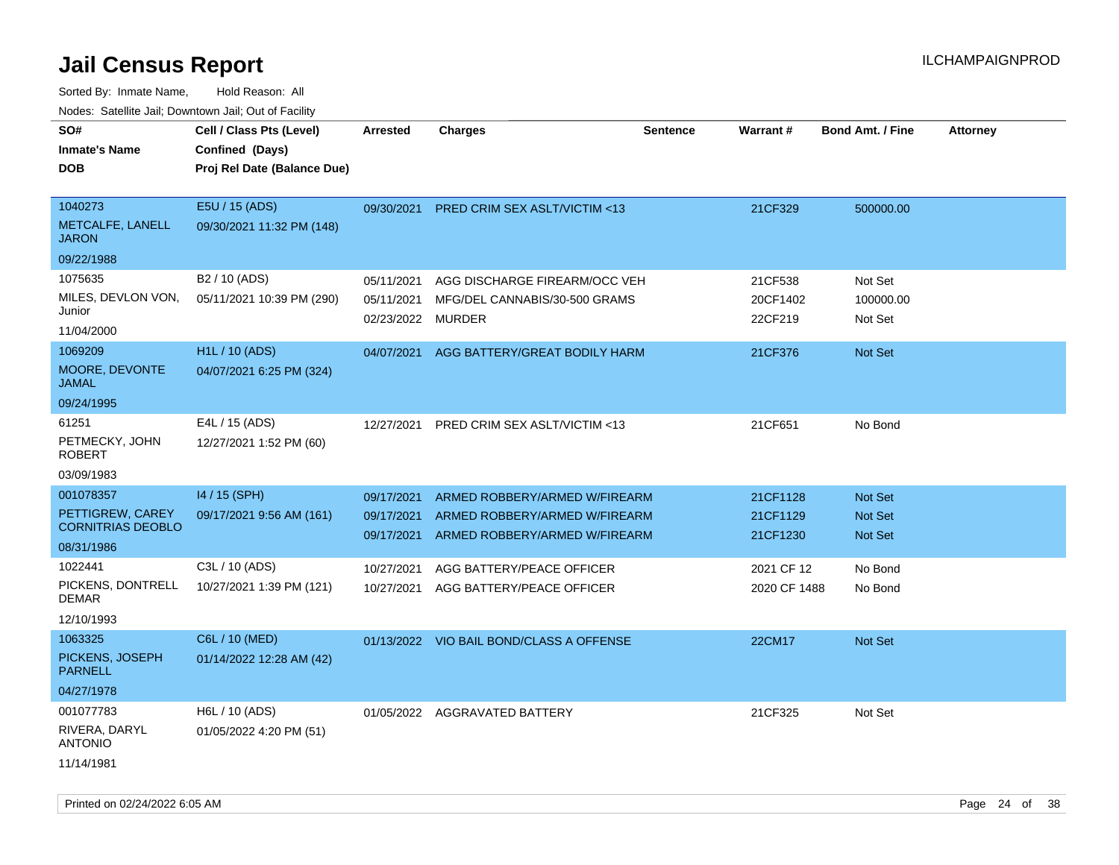| SO#                               | Cell / Class Pts (Level)    | Arrested          | <b>Charges</b>                           | Sentence | Warrant#     | <b>Bond Amt. / Fine</b> | <b>Attorney</b> |
|-----------------------------------|-----------------------------|-------------------|------------------------------------------|----------|--------------|-------------------------|-----------------|
| <b>Inmate's Name</b>              | Confined (Days)             |                   |                                          |          |              |                         |                 |
| <b>DOB</b>                        | Proj Rel Date (Balance Due) |                   |                                          |          |              |                         |                 |
|                                   |                             |                   |                                          |          |              |                         |                 |
| 1040273                           | E5U / 15 (ADS)              | 09/30/2021        | <b>PRED CRIM SEX ASLT/VICTIM &lt;13</b>  |          | 21CF329      | 500000.00               |                 |
| METCALFE, LANELL<br><b>JARON</b>  | 09/30/2021 11:32 PM (148)   |                   |                                          |          |              |                         |                 |
| 09/22/1988                        |                             |                   |                                          |          |              |                         |                 |
| 1075635                           | B <sub>2</sub> / 10 (ADS)   | 05/11/2021        | AGG DISCHARGE FIREARM/OCC VEH            |          | 21CF538      | Not Set                 |                 |
| MILES, DEVLON VON,                | 05/11/2021 10:39 PM (290)   | 05/11/2021        | MFG/DEL CANNABIS/30-500 GRAMS            |          | 20CF1402     | 100000.00               |                 |
| Junior                            |                             | 02/23/2022 MURDER |                                          |          | 22CF219      | Not Set                 |                 |
| 11/04/2000                        |                             |                   |                                          |          |              |                         |                 |
| 1069209                           | H1L / 10 (ADS)              | 04/07/2021        | AGG BATTERY/GREAT BODILY HARM            |          | 21CF376      | Not Set                 |                 |
| MOORE, DEVONTE<br><b>JAMAL</b>    | 04/07/2021 6:25 PM (324)    |                   |                                          |          |              |                         |                 |
| 09/24/1995                        |                             |                   |                                          |          |              |                         |                 |
| 61251                             | E4L / 15 (ADS)              | 12/27/2021        | PRED CRIM SEX ASLT/VICTIM <13            |          | 21CF651      | No Bond                 |                 |
| PETMECKY, JOHN<br><b>ROBERT</b>   | 12/27/2021 1:52 PM (60)     |                   |                                          |          |              |                         |                 |
| 03/09/1983                        |                             |                   |                                          |          |              |                         |                 |
| 001078357                         | 14 / 15 (SPH)               | 09/17/2021        | ARMED ROBBERY/ARMED W/FIREARM            |          | 21CF1128     | Not Set                 |                 |
| PETTIGREW, CAREY                  | 09/17/2021 9:56 AM (161)    | 09/17/2021        | ARMED ROBBERY/ARMED W/FIREARM            |          | 21CF1129     | Not Set                 |                 |
| <b>CORNITRIAS DEOBLO</b>          |                             | 09/17/2021        | ARMED ROBBERY/ARMED W/FIREARM            |          | 21CF1230     | <b>Not Set</b>          |                 |
| 08/31/1986                        |                             |                   |                                          |          |              |                         |                 |
| 1022441                           | C3L / 10 (ADS)              | 10/27/2021        | AGG BATTERY/PEACE OFFICER                |          | 2021 CF 12   | No Bond                 |                 |
| PICKENS, DONTRELL<br><b>DEMAR</b> | 10/27/2021 1:39 PM (121)    | 10/27/2021        | AGG BATTERY/PEACE OFFICER                |          | 2020 CF 1488 | No Bond                 |                 |
| 12/10/1993                        |                             |                   |                                          |          |              |                         |                 |
| 1063325                           | C6L / 10 (MED)              |                   | 01/13/2022 VIO BAIL BOND/CLASS A OFFENSE |          | 22CM17       | Not Set                 |                 |
| PICKENS, JOSEPH<br><b>PARNELL</b> | 01/14/2022 12:28 AM (42)    |                   |                                          |          |              |                         |                 |
| 04/27/1978                        |                             |                   |                                          |          |              |                         |                 |
| 001077783                         | H6L / 10 (ADS)              |                   | 01/05/2022 AGGRAVATED BATTERY            |          | 21CF325      | Not Set                 |                 |
| RIVERA, DARYL<br><b>ANTONIO</b>   | 01/05/2022 4:20 PM (51)     |                   |                                          |          |              |                         |                 |
| 11/14/1981                        |                             |                   |                                          |          |              |                         |                 |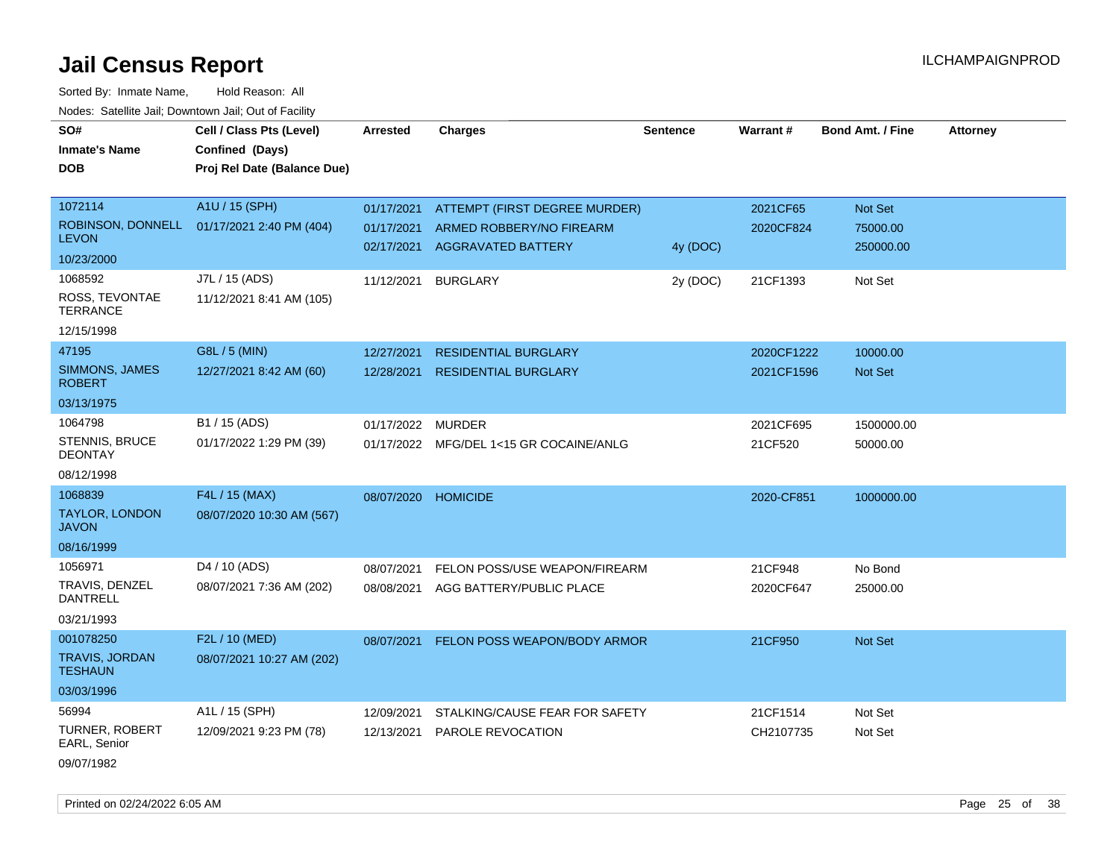Sorted By: Inmate Name, Hold Reason: All Nodes: Satellite Jail; Downtown Jail; Out of Facility

| SO#                                     | Cell / Class Pts (Level)    | <b>Arrested</b>   | <b>Charges</b>                 | <b>Sentence</b> | <b>Warrant#</b> | <b>Bond Amt. / Fine</b> | <b>Attorney</b> |
|-----------------------------------------|-----------------------------|-------------------|--------------------------------|-----------------|-----------------|-------------------------|-----------------|
| <b>Inmate's Name</b>                    | Confined (Days)             |                   |                                |                 |                 |                         |                 |
| <b>DOB</b>                              | Proj Rel Date (Balance Due) |                   |                                |                 |                 |                         |                 |
|                                         |                             |                   |                                |                 |                 |                         |                 |
| 1072114                                 | A1U / 15 (SPH)              | 01/17/2021        | ATTEMPT (FIRST DEGREE MURDER)  |                 | 2021CF65        | Not Set                 |                 |
| ROBINSON, DONNELL                       | 01/17/2021 2:40 PM (404)    | 01/17/2021        | ARMED ROBBERY/NO FIREARM       |                 | 2020CF824       | 75000.00                |                 |
| <b>LEVON</b>                            |                             | 02/17/2021        | <b>AGGRAVATED BATTERY</b>      | 4y (DOC)        |                 | 250000.00               |                 |
| 10/23/2000                              |                             |                   |                                |                 |                 |                         |                 |
| 1068592                                 | J7L / 15 (ADS)              | 11/12/2021        | <b>BURGLARY</b>                | 2y (DOC)        | 21CF1393        | Not Set                 |                 |
| ROSS, TEVONTAE<br><b>TERRANCE</b>       | 11/12/2021 8:41 AM (105)    |                   |                                |                 |                 |                         |                 |
| 12/15/1998                              |                             |                   |                                |                 |                 |                         |                 |
| 47195                                   | G8L / 5 (MIN)               | 12/27/2021        | <b>RESIDENTIAL BURGLARY</b>    |                 | 2020CF1222      | 10000.00                |                 |
| SIMMONS, JAMES<br><b>ROBERT</b>         | 12/27/2021 8:42 AM (60)     | 12/28/2021        | <b>RESIDENTIAL BURGLARY</b>    |                 | 2021CF1596      | <b>Not Set</b>          |                 |
| 03/13/1975                              |                             |                   |                                |                 |                 |                         |                 |
| 1064798                                 | B1 / 15 (ADS)               | 01/17/2022 MURDER |                                |                 | 2021CF695       | 1500000.00              |                 |
| <b>STENNIS, BRUCE</b><br><b>DEONTAY</b> | 01/17/2022 1:29 PM (39)     | 01/17/2022        | MFG/DEL 1<15 GR COCAINE/ANLG   |                 | 21CF520         | 50000.00                |                 |
| 08/12/1998                              |                             |                   |                                |                 |                 |                         |                 |
| 1068839                                 | F4L / 15 (MAX)              | 08/07/2020        | <b>HOMICIDE</b>                |                 | 2020-CF851      | 1000000.00              |                 |
| TAYLOR, LONDON<br><b>JAVON</b>          | 08/07/2020 10:30 AM (567)   |                   |                                |                 |                 |                         |                 |
| 08/16/1999                              |                             |                   |                                |                 |                 |                         |                 |
| 1056971                                 | D4 / 10 (ADS)               | 08/07/2021        | FELON POSS/USE WEAPON/FIREARM  |                 | 21CF948         | No Bond                 |                 |
| TRAVIS, DENZEL<br><b>DANTRELL</b>       | 08/07/2021 7:36 AM (202)    | 08/08/2021        | AGG BATTERY/PUBLIC PLACE       |                 | 2020CF647       | 25000.00                |                 |
| 03/21/1993                              |                             |                   |                                |                 |                 |                         |                 |
| 001078250                               | F2L / 10 (MED)              | 08/07/2021        | FELON POSS WEAPON/BODY ARMOR   |                 | 21CF950         | Not Set                 |                 |
| <b>TRAVIS, JORDAN</b><br><b>TESHAUN</b> | 08/07/2021 10:27 AM (202)   |                   |                                |                 |                 |                         |                 |
| 03/03/1996                              |                             |                   |                                |                 |                 |                         |                 |
| 56994                                   | A1L / 15 (SPH)              | 12/09/2021        | STALKING/CAUSE FEAR FOR SAFETY |                 | 21CF1514        | Not Set                 |                 |
| <b>TURNER, ROBERT</b><br>EARL, Senior   | 12/09/2021 9:23 PM (78)     | 12/13/2021        | PAROLE REVOCATION              |                 | CH2107735       | Not Set                 |                 |
| 09/07/1982                              |                             |                   |                                |                 |                 |                         |                 |

Printed on 02/24/2022 6:05 AM Page 25 of 38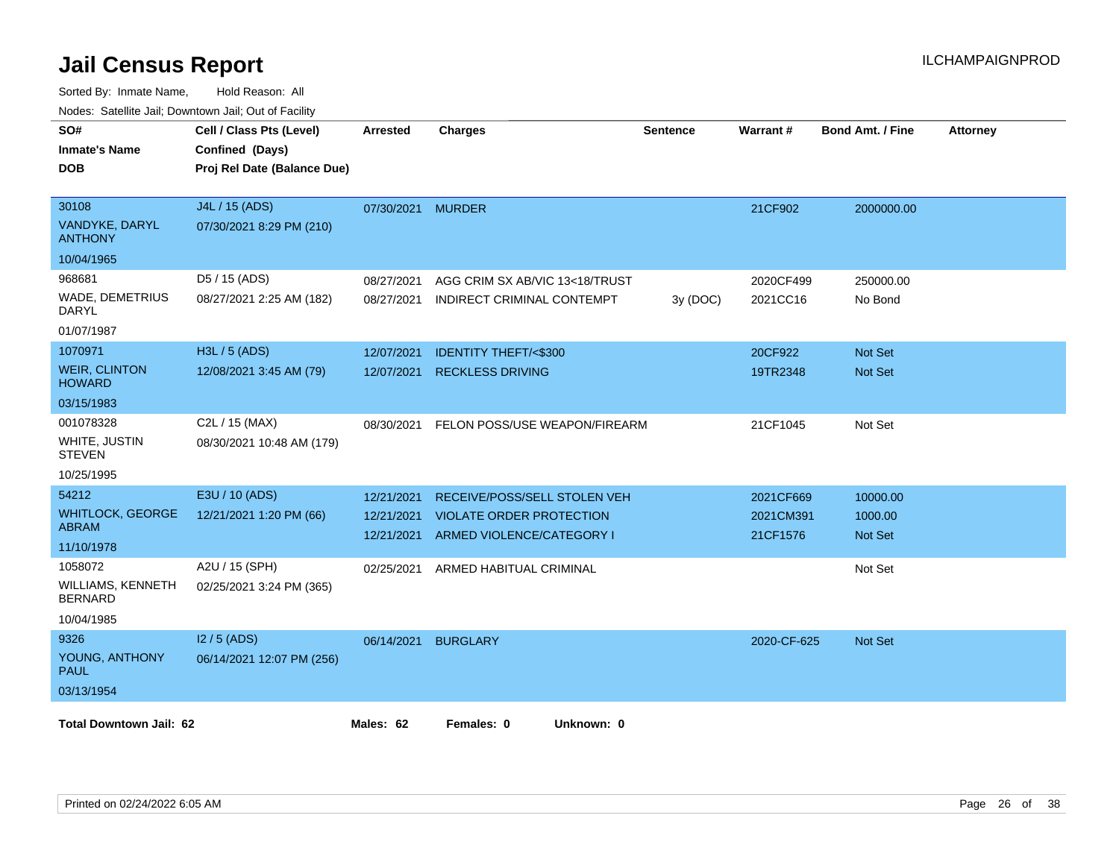| SO#<br><b>Inmate's Name</b><br><b>DOB</b> | Cell / Class Pts (Level)<br>Confined (Days)<br>Proj Rel Date (Balance Due) | <b>Arrested</b> | <b>Charges</b>                     | <b>Sentence</b> | Warrant#    | <b>Bond Amt. / Fine</b> | <b>Attorney</b> |
|-------------------------------------------|----------------------------------------------------------------------------|-----------------|------------------------------------|-----------------|-------------|-------------------------|-----------------|
|                                           |                                                                            |                 |                                    |                 |             |                         |                 |
| 30108                                     | J4L / 15 (ADS)                                                             | 07/30/2021      | <b>MURDER</b>                      |                 | 21CF902     | 2000000.00              |                 |
| VANDYKE, DARYL<br><b>ANTHONY</b>          | 07/30/2021 8:29 PM (210)                                                   |                 |                                    |                 |             |                         |                 |
| 10/04/1965                                |                                                                            |                 |                                    |                 |             |                         |                 |
| 968681                                    | D5 / 15 (ADS)                                                              | 08/27/2021      | AGG CRIM SX AB/VIC 13<18/TRUST     |                 | 2020CF499   | 250000.00               |                 |
| <b>WADE, DEMETRIUS</b><br>DARYL           | 08/27/2021 2:25 AM (182)                                                   | 08/27/2021      | INDIRECT CRIMINAL CONTEMPT         | 3y(DOC)         | 2021CC16    | No Bond                 |                 |
| 01/07/1987                                |                                                                            |                 |                                    |                 |             |                         |                 |
| 1070971                                   | H3L / 5 (ADS)                                                              | 12/07/2021      | <b>IDENTITY THEFT/&lt;\$300</b>    |                 | 20CF922     | Not Set                 |                 |
| <b>WEIR, CLINTON</b><br><b>HOWARD</b>     | 12/08/2021 3:45 AM (79)                                                    | 12/07/2021      | <b>RECKLESS DRIVING</b>            |                 | 19TR2348    | <b>Not Set</b>          |                 |
| 03/15/1983                                |                                                                            |                 |                                    |                 |             |                         |                 |
| 001078328                                 | C2L / 15 (MAX)                                                             | 08/30/2021      | FELON POSS/USE WEAPON/FIREARM      |                 | 21CF1045    | Not Set                 |                 |
| WHITE, JUSTIN<br><b>STEVEN</b>            | 08/30/2021 10:48 AM (179)                                                  |                 |                                    |                 |             |                         |                 |
| 10/25/1995                                |                                                                            |                 |                                    |                 |             |                         |                 |
| 54212                                     | E3U / 10 (ADS)                                                             | 12/21/2021      | RECEIVE/POSS/SELL STOLEN VEH       |                 | 2021CF669   | 10000.00                |                 |
| <b>WHITLOCK, GEORGE</b><br><b>ABRAM</b>   | 12/21/2021 1:20 PM (66)                                                    | 12/21/2021      | <b>VIOLATE ORDER PROTECTION</b>    |                 | 2021CM391   | 1000.00                 |                 |
| 11/10/1978                                |                                                                            | 12/21/2021      | ARMED VIOLENCE/CATEGORY I          |                 | 21CF1576    | Not Set                 |                 |
| 1058072                                   | A2U / 15 (SPH)                                                             |                 | 02/25/2021 ARMED HABITUAL CRIMINAL |                 |             | Not Set                 |                 |
| WILLIAMS, KENNETH<br><b>BERNARD</b>       | 02/25/2021 3:24 PM (365)                                                   |                 |                                    |                 |             |                         |                 |
| 10/04/1985                                |                                                                            |                 |                                    |                 |             |                         |                 |
| 9326                                      | $12/5$ (ADS)                                                               | 06/14/2021      | <b>BURGLARY</b>                    |                 | 2020-CF-625 | <b>Not Set</b>          |                 |
| YOUNG, ANTHONY<br><b>PAUL</b>             | 06/14/2021 12:07 PM (256)                                                  |                 |                                    |                 |             |                         |                 |
| 03/13/1954                                |                                                                            |                 |                                    |                 |             |                         |                 |
| <b>Total Downtown Jail: 62</b>            |                                                                            | Males: 62       | Females: 0<br>Unknown: 0           |                 |             |                         |                 |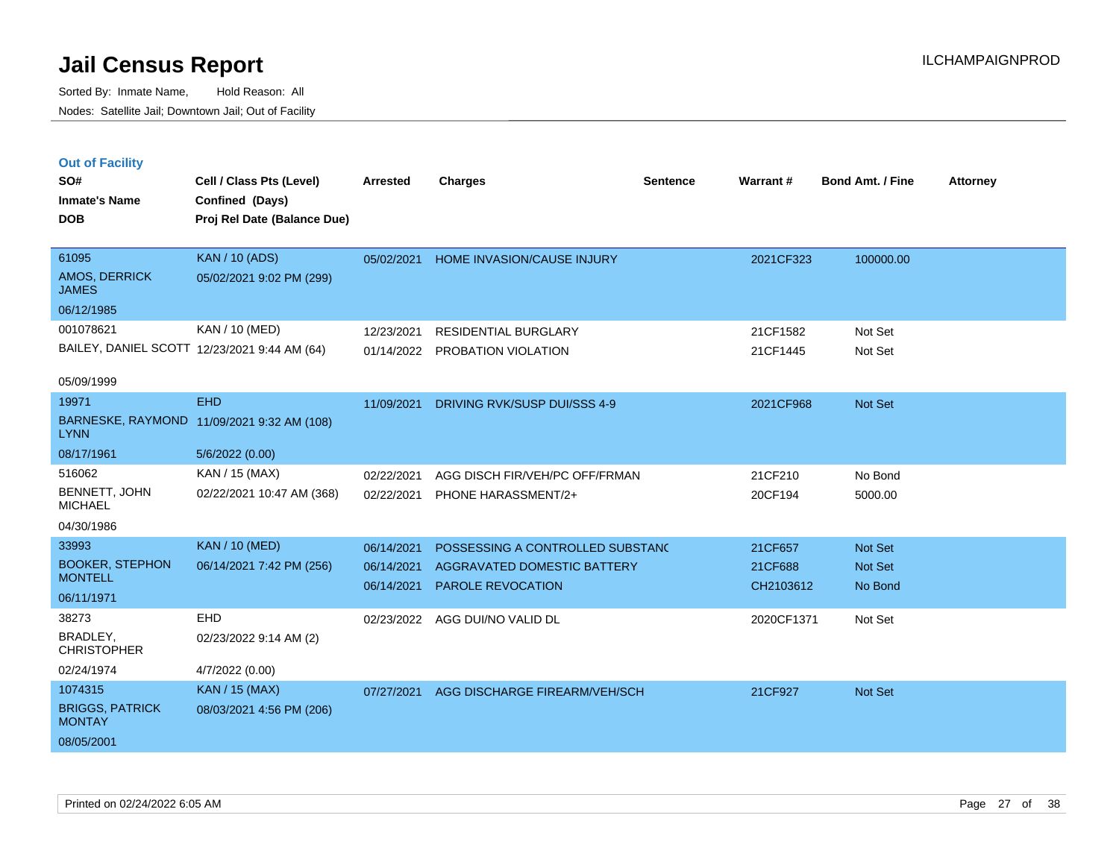Sorted By: Inmate Name, Hold Reason: All Nodes: Satellite Jail; Downtown Jail; Out of Facility

BAILEY, DANIEL SCOTT 12/23/2021 9:44 AM (64)

**Cell / Class Pts (Level) Arrested Charges Warrant # Bond Amt. / Fine Attorney**

| <b>Out of Facility</b>        |                             |                 |                                   |                 |           |                         |
|-------------------------------|-----------------------------|-----------------|-----------------------------------|-----------------|-----------|-------------------------|
| SO#                           | Cell / Class Pts (Level)    | <b>Arrested</b> | <b>Charges</b>                    | <b>Sentence</b> | Warrant#  | <b>Bond Amt. / Fine</b> |
| <b>Inmate's Name</b>          | Confined (Days)             |                 |                                   |                 |           |                         |
| <b>DOB</b>                    | Proj Rel Date (Balance Due) |                 |                                   |                 |           |                         |
|                               |                             |                 |                                   |                 |           |                         |
| 61095                         | <b>KAN</b> / 10 (ADS)       | 05/02/2021      | <b>HOME INVASION/CAUSE INJURY</b> |                 | 2021CF323 | 100000.00               |
| AMOS, DERRICK<br><b>JAMES</b> | 05/02/2021 9:02 PM (299)    |                 |                                   |                 |           |                         |
| 06/12/1985                    |                             |                 |                                   |                 |           |                         |
| 001078621                     | KAN / 10 (MED)              | 12/23/2021      | RESIDENTIAL BURGLARY              |                 | 21CF1582  | Not Set                 |

| 05/09/1999 |  |
|------------|--|
|------------|--|

| UJ/UJ/ 1 JJJ                            |                           |            |                                  |            |                |
|-----------------------------------------|---------------------------|------------|----------------------------------|------------|----------------|
| 19971                                   | <b>EHD</b>                | 11/09/2021 | DRIVING RVK/SUSP DUI/SSS 4-9     | 2021CF968  | Not Set        |
| <b>BARNESKE, RAYMOND</b><br><b>LYNN</b> | 11/09/2021 9:32 AM (108)  |            |                                  |            |                |
| 08/17/1961                              | 5/6/2022(0.00)            |            |                                  |            |                |
| 516062                                  | KAN / 15 (MAX)            | 02/22/2021 | AGG DISCH FIR/VEH/PC OFF/FRMAN   | 21CF210    | No Bond        |
| BENNETT, JOHN<br><b>MICHAEL</b>         | 02/22/2021 10:47 AM (368) | 02/22/2021 | PHONE HARASSMENT/2+              | 20CF194    | 5000.00        |
| 04/30/1986                              |                           |            |                                  |            |                |
| 33993                                   | <b>KAN</b> / 10 (MED)     | 06/14/2021 | POSSESSING A CONTROLLED SUBSTANC | 21CF657    | <b>Not Set</b> |
| <b>BOOKER, STEPHON</b>                  | 06/14/2021 7:42 PM (256)  | 06/14/2021 | AGGRAVATED DOMESTIC BATTERY      | 21CF688    | Not Set        |
| <b>MONTELL</b>                          |                           | 06/14/2021 | PAROLE REVOCATION                | CH2103612  | No Bond        |
| 06/11/1971                              |                           |            |                                  |            |                |
| 38273                                   | <b>EHD</b>                | 02/23/2022 | AGG DUI/NO VALID DL              | 2020CF1371 | Not Set        |
| BRADLEY,<br><b>CHRISTOPHER</b>          | 02/23/2022 9:14 AM (2)    |            |                                  |            |                |
| 02/24/1974                              | 4/7/2022 (0.00)           |            |                                  |            |                |
| 1074315                                 | <b>KAN</b> / 15 (MAX)     | 07/27/2021 | AGG DISCHARGE FIREARM/VEH/SCH    | 21CF927    | <b>Not Set</b> |
| <b>BRIGGS, PATRICK</b><br><b>MONTAY</b> | 08/03/2021 4:56 PM (206)  |            |                                  |            |                |

01/14/2022 PROBATION VIOLATION 21CF1445 Not Set

08/05/2001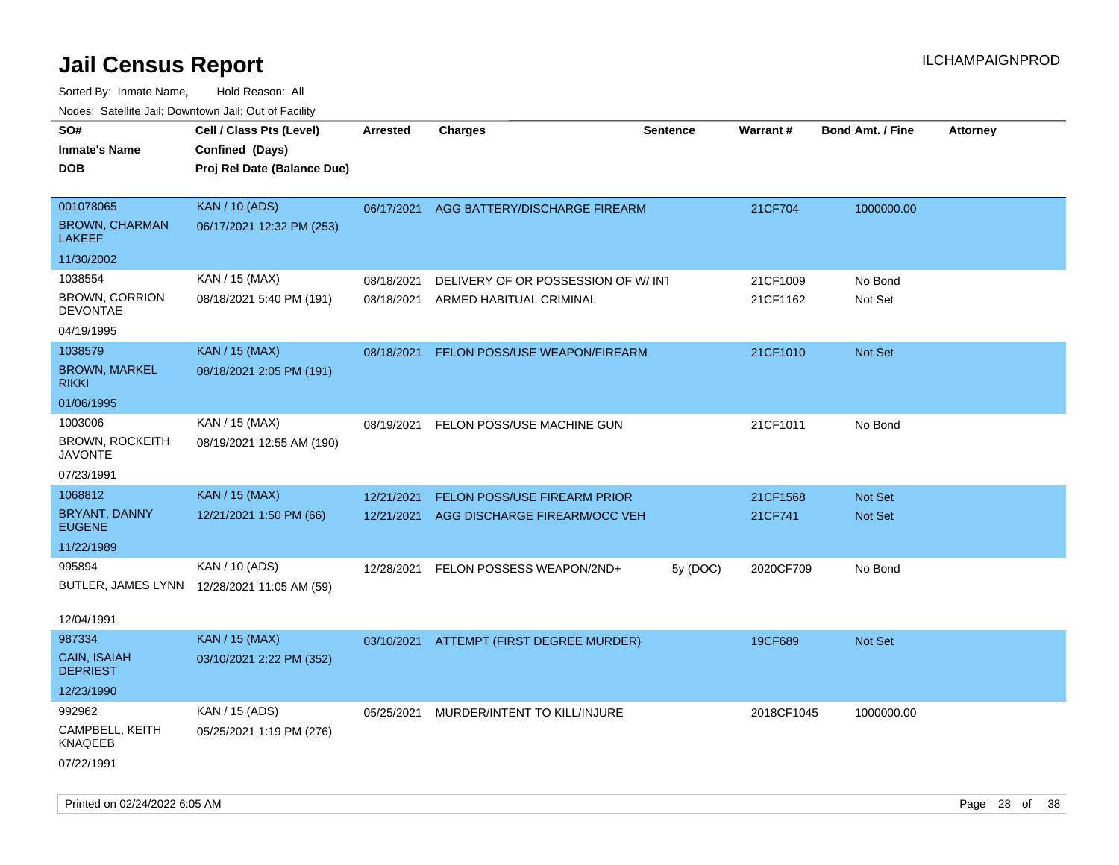| roaco. Catolino dall, Downtown dall, Out of Fability |                                             |                 |                                          |                 |            |                         |                 |
|------------------------------------------------------|---------------------------------------------|-----------------|------------------------------------------|-----------------|------------|-------------------------|-----------------|
| SO#<br><b>Inmate's Name</b>                          | Cell / Class Pts (Level)<br>Confined (Days) | <b>Arrested</b> | <b>Charges</b>                           | <b>Sentence</b> | Warrant#   | <b>Bond Amt. / Fine</b> | <b>Attorney</b> |
| <b>DOB</b>                                           | Proj Rel Date (Balance Due)                 |                 |                                          |                 |            |                         |                 |
|                                                      |                                             |                 |                                          |                 |            |                         |                 |
| 001078065                                            | <b>KAN / 10 (ADS)</b>                       | 06/17/2021      | AGG BATTERY/DISCHARGE FIREARM            |                 | 21CF704    | 1000000.00              |                 |
| <b>BROWN, CHARMAN</b><br><b>LAKEEF</b>               | 06/17/2021 12:32 PM (253)                   |                 |                                          |                 |            |                         |                 |
| 11/30/2002                                           |                                             |                 |                                          |                 |            |                         |                 |
| 1038554                                              | KAN / 15 (MAX)                              | 08/18/2021      | DELIVERY OF OR POSSESSION OF W/INT       |                 | 21CF1009   | No Bond                 |                 |
| <b>BROWN, CORRION</b><br><b>DEVONTAE</b>             | 08/18/2021 5:40 PM (191)                    | 08/18/2021      | ARMED HABITUAL CRIMINAL                  |                 | 21CF1162   | Not Set                 |                 |
| 04/19/1995                                           |                                             |                 |                                          |                 |            |                         |                 |
| 1038579                                              | <b>KAN / 15 (MAX)</b>                       | 08/18/2021      | FELON POSS/USE WEAPON/FIREARM            |                 | 21CF1010   | Not Set                 |                 |
| <b>BROWN, MARKEL</b><br><b>RIKKI</b>                 | 08/18/2021 2:05 PM (191)                    |                 |                                          |                 |            |                         |                 |
| 01/06/1995                                           |                                             |                 |                                          |                 |            |                         |                 |
| 1003006                                              | KAN / 15 (MAX)                              | 08/19/2021      | FELON POSS/USE MACHINE GUN               |                 | 21CF1011   | No Bond                 |                 |
| <b>BROWN, ROCKEITH</b><br><b>JAVONTE</b>             | 08/19/2021 12:55 AM (190)                   |                 |                                          |                 |            |                         |                 |
| 07/23/1991                                           |                                             |                 |                                          |                 |            |                         |                 |
| 1068812                                              | <b>KAN / 15 (MAX)</b>                       | 12/21/2021      | FELON POSS/USE FIREARM PRIOR             |                 | 21CF1568   | Not Set                 |                 |
| BRYANT, DANNY<br><b>EUGENE</b>                       | 12/21/2021 1:50 PM (66)                     | 12/21/2021      | AGG DISCHARGE FIREARM/OCC VEH            |                 | 21CF741    | Not Set                 |                 |
| 11/22/1989                                           |                                             |                 |                                          |                 |            |                         |                 |
| 995894                                               | KAN / 10 (ADS)                              | 12/28/2021      | FELON POSSESS WEAPON/2ND+                | 5y (DOC)        | 2020CF709  | No Bond                 |                 |
|                                                      | BUTLER, JAMES LYNN 12/28/2021 11:05 AM (59) |                 |                                          |                 |            |                         |                 |
| 12/04/1991                                           |                                             |                 |                                          |                 |            |                         |                 |
| 987334                                               | <b>KAN / 15 (MAX)</b>                       |                 |                                          |                 |            |                         |                 |
| CAIN, ISAIAH                                         | 03/10/2021 2:22 PM (352)                    |                 | 03/10/2021 ATTEMPT (FIRST DEGREE MURDER) |                 | 19CF689    | Not Set                 |                 |
| <b>DEPRIEST</b>                                      |                                             |                 |                                          |                 |            |                         |                 |
| 12/23/1990                                           |                                             |                 |                                          |                 |            |                         |                 |
| 992962                                               | KAN / 15 (ADS)                              | 05/25/2021      | MURDER/INTENT TO KILL/INJURE             |                 | 2018CF1045 | 1000000.00              |                 |
| CAMPBELL, KEITH<br><b>KNAQEEB</b>                    | 05/25/2021 1:19 PM (276)                    |                 |                                          |                 |            |                         |                 |
| 07/22/1991                                           |                                             |                 |                                          |                 |            |                         |                 |
|                                                      |                                             |                 |                                          |                 |            |                         |                 |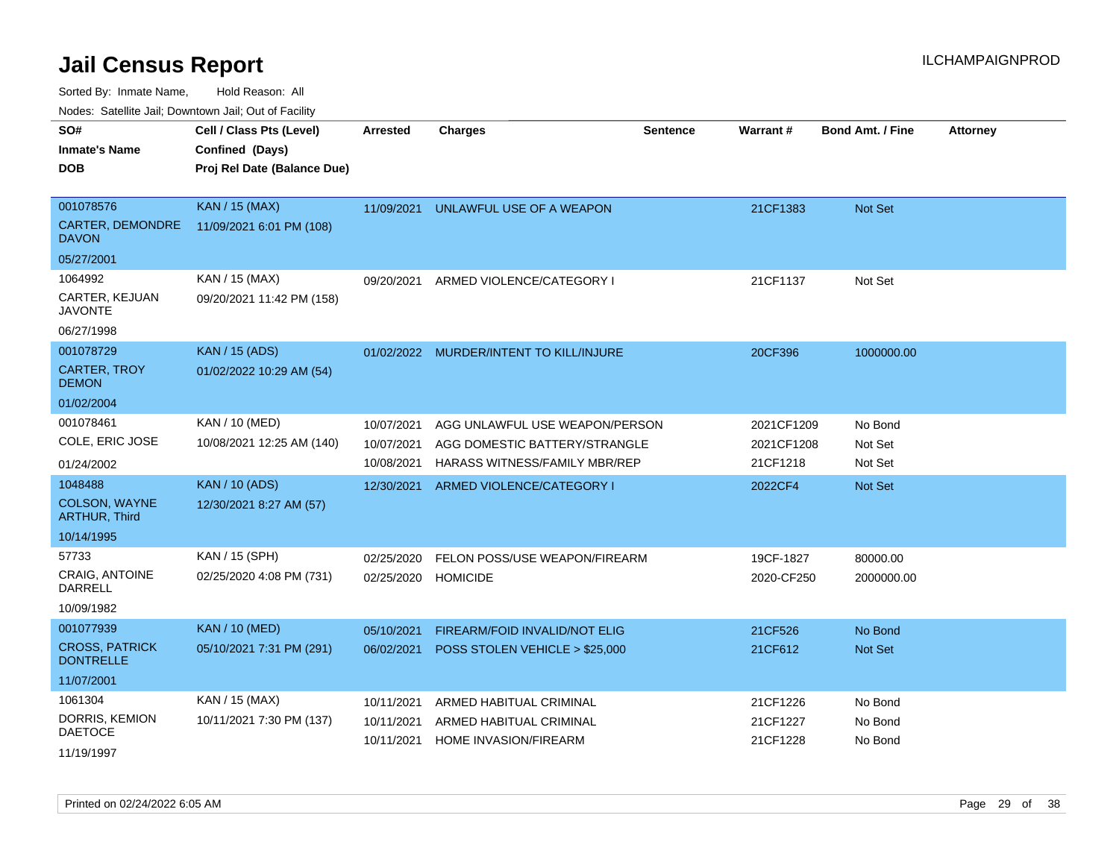Sorted By: Inmate Name, Hold Reason: All

Nodes: Satellite Jail; Downtown Jail; Out of Facility

| SO#<br><b>Inmate's Name</b><br><b>DOB</b>                             | Cell / Class Pts (Level)<br>Confined (Days)<br>Proj Rel Date (Balance Due) | <b>Arrested</b>                        | <b>Charges</b>                                                                                   | Sentence | Warrant#                             | <b>Bond Amt. / Fine</b>       | <b>Attorney</b> |
|-----------------------------------------------------------------------|----------------------------------------------------------------------------|----------------------------------------|--------------------------------------------------------------------------------------------------|----------|--------------------------------------|-------------------------------|-----------------|
| 001078576<br>CARTER, DEMONDRE<br><b>DAVON</b><br>05/27/2001           | <b>KAN / 15 (MAX)</b><br>11/09/2021 6:01 PM (108)                          | 11/09/2021                             | UNLAWFUL USE OF A WEAPON                                                                         |          | 21CF1383                             | <b>Not Set</b>                |                 |
| 1064992<br>CARTER, KEJUAN<br><b>JAVONTE</b><br>06/27/1998             | KAN / 15 (MAX)<br>09/20/2021 11:42 PM (158)                                | 09/20/2021                             | ARMED VIOLENCE/CATEGORY I                                                                        |          | 21CF1137                             | Not Set                       |                 |
| 001078729<br><b>CARTER, TROY</b><br><b>DEMON</b><br>01/02/2004        | <b>KAN / 15 (ADS)</b><br>01/02/2022 10:29 AM (54)                          |                                        | 01/02/2022 MURDER/INTENT TO KILL/INJURE                                                          |          | 20CF396                              | 1000000.00                    |                 |
| 001078461<br>COLE, ERIC JOSE<br>01/24/2002                            | KAN / 10 (MED)<br>10/08/2021 12:25 AM (140)                                | 10/07/2021<br>10/07/2021<br>10/08/2021 | AGG UNLAWFUL USE WEAPON/PERSON<br>AGG DOMESTIC BATTERY/STRANGLE<br>HARASS WITNESS/FAMILY MBR/REP |          | 2021CF1209<br>2021CF1208<br>21CF1218 | No Bond<br>Not Set<br>Not Set |                 |
| 1048488<br><b>COLSON, WAYNE</b><br><b>ARTHUR, Third</b><br>10/14/1995 | <b>KAN / 10 (ADS)</b><br>12/30/2021 8:27 AM (57)                           | 12/30/2021                             | ARMED VIOLENCE/CATEGORY I                                                                        |          | 2022CF4                              | <b>Not Set</b>                |                 |
| 57733<br>CRAIG, ANTOINE<br><b>DARRELL</b><br>10/09/1982               | KAN / 15 (SPH)<br>02/25/2020 4:08 PM (731)                                 | 02/25/2020<br>02/25/2020               | FELON POSS/USE WEAPON/FIREARM<br><b>HOMICIDE</b>                                                 |          | 19CF-1827<br>2020-CF250              | 80000.00<br>2000000.00        |                 |
| 001077939<br><b>CROSS, PATRICK</b><br><b>DONTRELLE</b><br>11/07/2001  | <b>KAN / 10 (MED)</b><br>05/10/2021 7:31 PM (291)                          | 05/10/2021<br>06/02/2021               | FIREARM/FOID INVALID/NOT ELIG<br>POSS STOLEN VEHICLE > \$25,000                                  |          | 21CF526<br>21CF612                   | No Bond<br>Not Set            |                 |
| 1061304<br>DORRIS, KEMION<br><b>DAETOCE</b><br>11/19/1997             | KAN / 15 (MAX)<br>10/11/2021 7:30 PM (137)                                 | 10/11/2021<br>10/11/2021<br>10/11/2021 | ARMED HABITUAL CRIMINAL<br>ARMED HABITUAL CRIMINAL<br><b>HOME INVASION/FIREARM</b>               |          | 21CF1226<br>21CF1227<br>21CF1228     | No Bond<br>No Bond<br>No Bond |                 |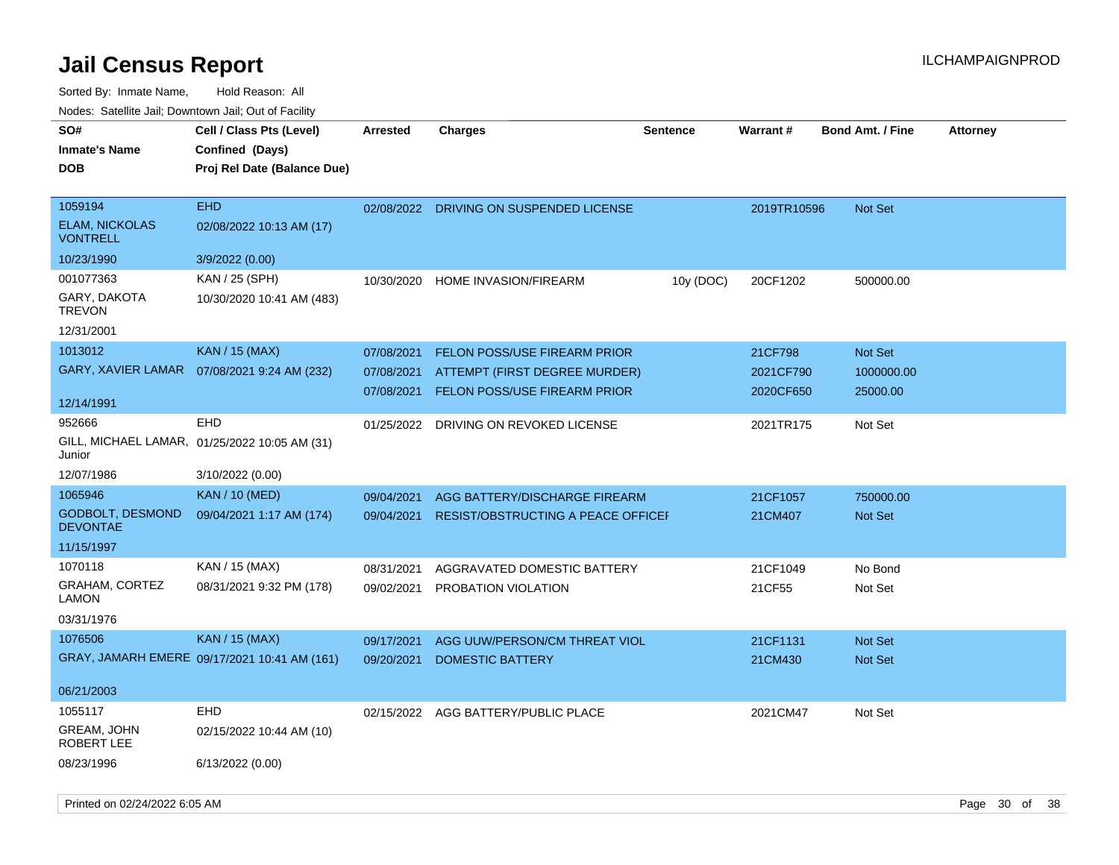| SO#<br>Inmate's Name<br>DOB                                            | Cell / Class Pts (Level)<br>Confined (Days)<br>Proj Rel Date (Balance Due) | <b>Arrested</b>                        | <b>Charges</b>                                                                                       | <b>Sentence</b> | Warrant#                          | <b>Bond Amt. / Fine</b>                  | <b>Attorney</b> |
|------------------------------------------------------------------------|----------------------------------------------------------------------------|----------------------------------------|------------------------------------------------------------------------------------------------------|-----------------|-----------------------------------|------------------------------------------|-----------------|
| 1059194<br><b>ELAM, NICKOLAS</b><br><b>VONTRELL</b>                    | <b>EHD</b><br>02/08/2022 10:13 AM (17)                                     | 02/08/2022                             | DRIVING ON SUSPENDED LICENSE                                                                         |                 | 2019TR10596                       | <b>Not Set</b>                           |                 |
| 10/23/1990<br>001077363<br>GARY, DAKOTA<br><b>TREVON</b><br>12/31/2001 | 3/9/2022 (0.00)<br>KAN / 25 (SPH)<br>10/30/2020 10:41 AM (483)             | 10/30/2020                             | <b>HOME INVASION/FIREARM</b>                                                                         | 10y (DOC)       | 20CF1202                          | 500000.00                                |                 |
| 1013012<br><b>GARY, XAVIER LAMAR</b>                                   | <b>KAN / 15 (MAX)</b><br>07/08/2021 9:24 AM (232)                          | 07/08/2021<br>07/08/2021<br>07/08/2021 | <b>FELON POSS/USE FIREARM PRIOR</b><br>ATTEMPT (FIRST DEGREE MURDER)<br>FELON POSS/USE FIREARM PRIOR |                 | 21CF798<br>2021CF790<br>2020CF650 | <b>Not Set</b><br>1000000.00<br>25000.00 |                 |
| 12/14/1991<br>952666<br>Junior<br>12/07/1986                           | EHD<br>GILL, MICHAEL LAMAR, 01/25/2022 10:05 AM (31)<br>3/10/2022 (0.00)   | 01/25/2022                             | DRIVING ON REVOKED LICENSE                                                                           |                 | 2021TR175                         | Not Set                                  |                 |
| 1065946<br>GODBOLT, DESMOND<br><b>DEVONTAE</b><br>11/15/1997           | <b>KAN / 10 (MED)</b><br>09/04/2021 1:17 AM (174)                          | 09/04/2021<br>09/04/2021               | AGG BATTERY/DISCHARGE FIREARM<br><b>RESIST/OBSTRUCTING A PEACE OFFICEF</b>                           |                 | 21CF1057<br>21CM407               | 750000.00<br>Not Set                     |                 |
| 1070118<br>GRAHAM, CORTEZ<br>LAMON<br>03/31/1976                       | KAN / 15 (MAX)<br>08/31/2021 9:32 PM (178)                                 | 08/31/2021<br>09/02/2021               | AGGRAVATED DOMESTIC BATTERY<br><b>PROBATION VIOLATION</b>                                            |                 | 21CF1049<br>21CF55                | No Bond<br>Not Set                       |                 |
| 1076506<br>06/21/2003                                                  | <b>KAN</b> / 15 (MAX)<br>GRAY, JAMARH EMERE 09/17/2021 10:41 AM (161)      | 09/17/2021<br>09/20/2021               | AGG UUW/PERSON/CM THREAT VIOL<br><b>DOMESTIC BATTERY</b>                                             |                 | 21CF1131<br>21CM430               | <b>Not Set</b><br>Not Set                |                 |
| 1055117<br>GREAM, JOHN<br>ROBERT LEE<br>08/23/1996                     | <b>EHD</b><br>02/15/2022 10:44 AM (10)<br>6/13/2022 (0.00)                 |                                        | 02/15/2022 AGG BATTERY/PUBLIC PLACE                                                                  |                 | 2021CM47                          | Not Set                                  |                 |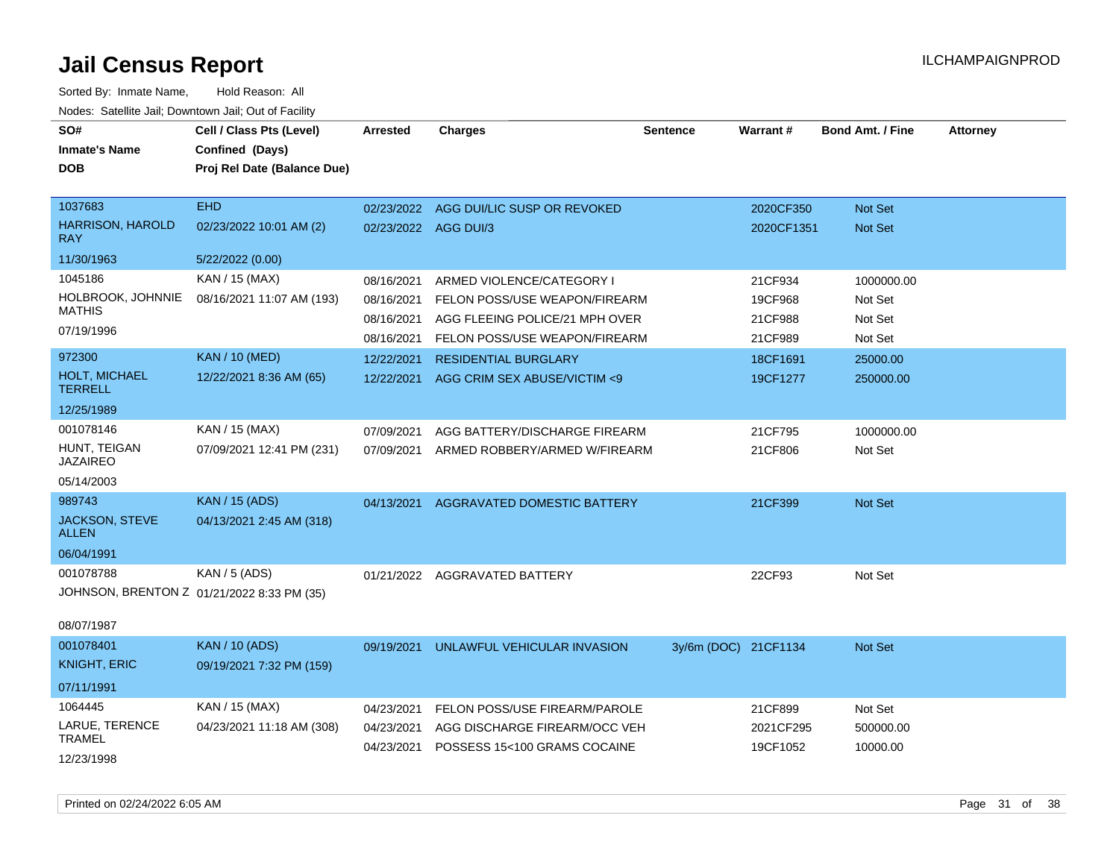| roaco. Calcinio dan, Domnomi dan, Cal or Fability       |                             |                      |                                        |                      |            |                         |                 |
|---------------------------------------------------------|-----------------------------|----------------------|----------------------------------------|----------------------|------------|-------------------------|-----------------|
| SO#                                                     | Cell / Class Pts (Level)    | Arrested             | <b>Charges</b>                         | <b>Sentence</b>      | Warrant#   | <b>Bond Amt. / Fine</b> | <b>Attorney</b> |
| <b>Inmate's Name</b>                                    | Confined (Days)             |                      |                                        |                      |            |                         |                 |
| <b>DOB</b>                                              | Proj Rel Date (Balance Due) |                      |                                        |                      |            |                         |                 |
|                                                         |                             |                      |                                        |                      |            |                         |                 |
| 1037683                                                 | <b>EHD</b>                  |                      | 02/23/2022 AGG DUI/LIC SUSP OR REVOKED |                      | 2020CF350  | Not Set                 |                 |
| <b>HARRISON, HAROLD</b><br><b>RAY</b>                   | 02/23/2022 10:01 AM (2)     | 02/23/2022 AGG DUI/3 |                                        |                      | 2020CF1351 | Not Set                 |                 |
| 11/30/1963                                              | 5/22/2022 (0.00)            |                      |                                        |                      |            |                         |                 |
| 1045186                                                 | KAN / 15 (MAX)              | 08/16/2021           | ARMED VIOLENCE/CATEGORY I              |                      | 21CF934    | 1000000.00              |                 |
| HOLBROOK, JOHNNIE                                       | 08/16/2021 11:07 AM (193)   | 08/16/2021           | FELON POSS/USE WEAPON/FIREARM          |                      | 19CF968    | Not Set                 |                 |
| <b>MATHIS</b>                                           |                             | 08/16/2021           | AGG FLEEING POLICE/21 MPH OVER         |                      | 21CF988    | Not Set                 |                 |
| 07/19/1996                                              |                             | 08/16/2021           | FELON POSS/USE WEAPON/FIREARM          |                      | 21CF989    | Not Set                 |                 |
| 972300                                                  | <b>KAN / 10 (MED)</b>       | 12/22/2021           | <b>RESIDENTIAL BURGLARY</b>            |                      | 18CF1691   | 25000.00                |                 |
| <b>HOLT, MICHAEL</b><br><b>TERRELL</b>                  | 12/22/2021 8:36 AM (65)     | 12/22/2021           | AGG CRIM SEX ABUSE/VICTIM <9           |                      | 19CF1277   | 250000.00               |                 |
| 12/25/1989                                              |                             |                      |                                        |                      |            |                         |                 |
| 001078146                                               | KAN / 15 (MAX)              | 07/09/2021           | AGG BATTERY/DISCHARGE FIREARM          |                      | 21CF795    | 1000000.00              |                 |
| HUNT, TEIGAN<br><b>JAZAIREO</b>                         | 07/09/2021 12:41 PM (231)   | 07/09/2021           | ARMED ROBBERY/ARMED W/FIREARM          |                      | 21CF806    | Not Set                 |                 |
| 05/14/2003                                              |                             |                      |                                        |                      |            |                         |                 |
| 989743                                                  | <b>KAN / 15 (ADS)</b>       | 04/13/2021           | AGGRAVATED DOMESTIC BATTERY            |                      | 21CF399    | Not Set                 |                 |
| <b>JACKSON, STEVE</b><br><b>ALLEN</b>                   | 04/13/2021 2:45 AM (318)    |                      |                                        |                      |            |                         |                 |
| 06/04/1991                                              |                             |                      |                                        |                      |            |                         |                 |
| 001078788<br>JOHNSON, BRENTON Z 01/21/2022 8:33 PM (35) | KAN / 5 (ADS)               | 01/21/2022           | AGGRAVATED BATTERY                     |                      | 22CF93     | Not Set                 |                 |
| 08/07/1987                                              |                             |                      |                                        |                      |            |                         |                 |
| 001078401                                               | <b>KAN / 10 (ADS)</b>       | 09/19/2021           | UNLAWFUL VEHICULAR INVASION            | 3y/6m (DOC) 21CF1134 |            | <b>Not Set</b>          |                 |
| <b>KNIGHT, ERIC</b>                                     | 09/19/2021 7:32 PM (159)    |                      |                                        |                      |            |                         |                 |
| 07/11/1991                                              |                             |                      |                                        |                      |            |                         |                 |
| 1064445                                                 | KAN / 15 (MAX)              | 04/23/2021           | FELON POSS/USE FIREARM/PAROLE          |                      | 21CF899    | Not Set                 |                 |
| LARUE, TERENCE<br><b>TRAMEL</b>                         | 04/23/2021 11:18 AM (308)   | 04/23/2021           | AGG DISCHARGE FIREARM/OCC VEH          |                      | 2021CF295  | 500000.00               |                 |
|                                                         |                             | 04/23/2021           | POSSESS 15<100 GRAMS COCAINE           |                      | 19CF1052   | 10000.00                |                 |
| 12/23/1998                                              |                             |                      |                                        |                      |            |                         |                 |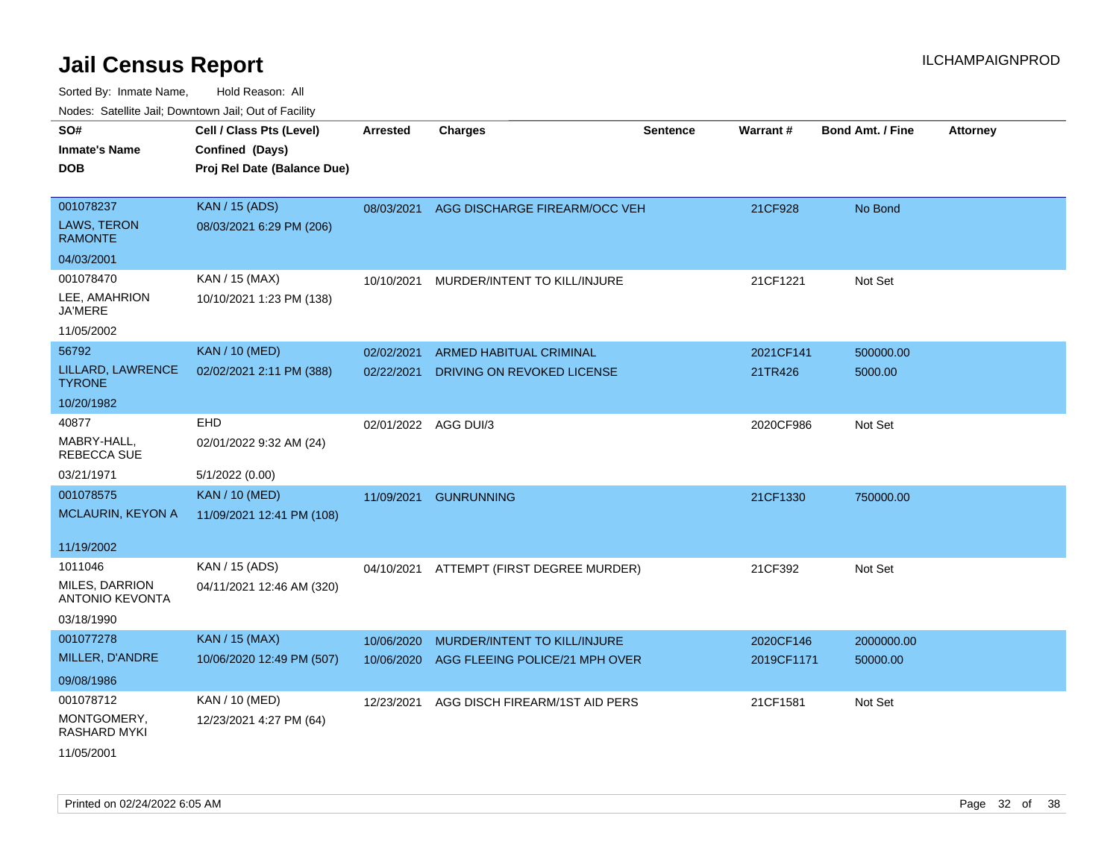| rouco. Calcillo Jali, Downtown Jali, Out of Facility |                 |                              |                                                                               |                                                                                                                                               |                         |                 |
|------------------------------------------------------|-----------------|------------------------------|-------------------------------------------------------------------------------|-----------------------------------------------------------------------------------------------------------------------------------------------|-------------------------|-----------------|
| Cell / Class Pts (Level)                             | <b>Arrested</b> | <b>Charges</b>               | <b>Sentence</b>                                                               |                                                                                                                                               | <b>Bond Amt. / Fine</b> | <b>Attorney</b> |
| Confined (Days)                                      |                 |                              |                                                                               |                                                                                                                                               |                         |                 |
| Proj Rel Date (Balance Due)                          |                 |                              |                                                                               |                                                                                                                                               |                         |                 |
|                                                      |                 |                              |                                                                               |                                                                                                                                               |                         |                 |
| <b>KAN / 15 (ADS)</b>                                | 08/03/2021      |                              |                                                                               | 21CF928                                                                                                                                       | No Bond                 |                 |
| 08/03/2021 6:29 PM (206)                             |                 |                              |                                                                               |                                                                                                                                               |                         |                 |
|                                                      |                 |                              |                                                                               |                                                                                                                                               |                         |                 |
| KAN / 15 (MAX)                                       | 10/10/2021      |                              |                                                                               | 21CF1221                                                                                                                                      | Not Set                 |                 |
| 10/10/2021 1:23 PM (138)                             |                 |                              |                                                                               |                                                                                                                                               |                         |                 |
|                                                      |                 |                              |                                                                               |                                                                                                                                               |                         |                 |
| <b>KAN / 10 (MED)</b>                                | 02/02/2021      | ARMED HABITUAL CRIMINAL      |                                                                               | 2021CF141                                                                                                                                     | 500000.00               |                 |
| 02/02/2021 2:11 PM (388)                             | 02/22/2021      | DRIVING ON REVOKED LICENSE   |                                                                               | 21TR426                                                                                                                                       | 5000.00                 |                 |
|                                                      |                 |                              |                                                                               |                                                                                                                                               |                         |                 |
| EHD                                                  |                 |                              |                                                                               | 2020CF986                                                                                                                                     | Not Set                 |                 |
| 02/01/2022 9:32 AM (24)                              |                 |                              |                                                                               |                                                                                                                                               |                         |                 |
| 5/1/2022 (0.00)                                      |                 |                              |                                                                               |                                                                                                                                               |                         |                 |
| <b>KAN / 10 (MED)</b>                                |                 |                              |                                                                               | 21CF1330                                                                                                                                      | 750000.00               |                 |
| 11/09/2021 12:41 PM (108)                            |                 |                              |                                                                               |                                                                                                                                               |                         |                 |
|                                                      |                 |                              |                                                                               |                                                                                                                                               |                         |                 |
|                                                      |                 |                              |                                                                               |                                                                                                                                               |                         |                 |
| KAN / 15 (ADS)                                       |                 |                              |                                                                               | 21CF392                                                                                                                                       | Not Set                 |                 |
| 04/11/2021 12:46 AM (320)                            |                 |                              |                                                                               |                                                                                                                                               |                         |                 |
|                                                      |                 |                              |                                                                               |                                                                                                                                               |                         |                 |
| <b>KAN / 15 (MAX)</b>                                | 10/06/2020      | MURDER/INTENT TO KILL/INJURE |                                                                               | 2020CF146                                                                                                                                     | 2000000.00              |                 |
| 10/06/2020 12:49 PM (507)                            | 10/06/2020      |                              |                                                                               |                                                                                                                                               | 50000.00                |                 |
|                                                      |                 |                              |                                                                               |                                                                                                                                               |                         |                 |
| KAN / 10 (MED)                                       | 12/23/2021      |                              |                                                                               | 21CF1581                                                                                                                                      | Not Set                 |                 |
| 12/23/2021 4:27 PM (64)                              |                 |                              |                                                                               |                                                                                                                                               |                         |                 |
|                                                      |                 |                              |                                                                               |                                                                                                                                               |                         |                 |
|                                                      |                 |                              | MURDER/INTENT TO KILL/INJURE<br>02/01/2022 AGG DUI/3<br>11/09/2021 GUNRUNNING | AGG DISCHARGE FIREARM/OCC VEH<br>04/10/2021 ATTEMPT (FIRST DEGREE MURDER)<br>AGG FLEEING POLICE/21 MPH OVER<br>AGG DISCH FIREARM/1ST AID PERS | Warrant#<br>2019CF1171  |                 |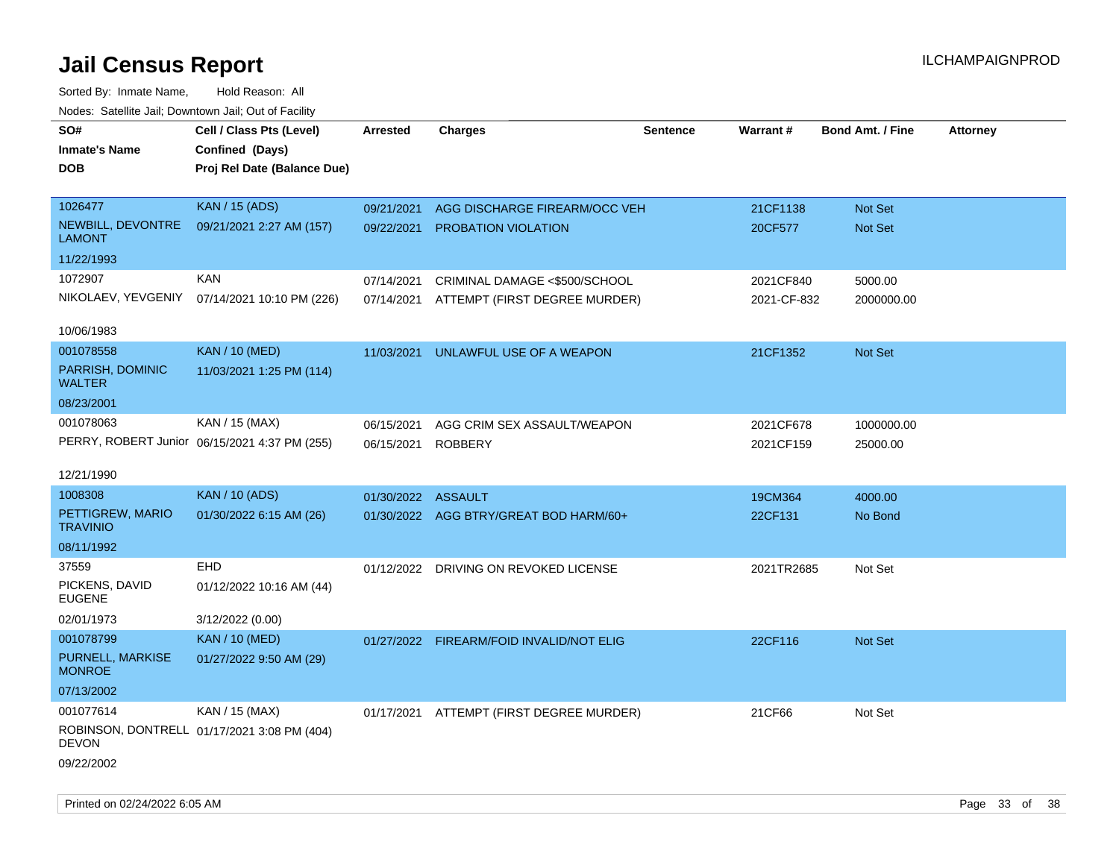| ivuuto. Galeinle Jan, Downlown Jan, Oul of Facility |                                               |                    |                                          |                 |                 |                         |                 |
|-----------------------------------------------------|-----------------------------------------------|--------------------|------------------------------------------|-----------------|-----------------|-------------------------|-----------------|
| SO#                                                 | Cell / Class Pts (Level)                      | Arrested           | <b>Charges</b>                           | <b>Sentence</b> | <b>Warrant#</b> | <b>Bond Amt. / Fine</b> | <b>Attorney</b> |
| <b>Inmate's Name</b>                                | Confined (Days)                               |                    |                                          |                 |                 |                         |                 |
| <b>DOB</b>                                          | Proj Rel Date (Balance Due)                   |                    |                                          |                 |                 |                         |                 |
|                                                     |                                               |                    |                                          |                 |                 |                         |                 |
| 1026477                                             | <b>KAN / 15 (ADS)</b>                         | 09/21/2021         | AGG DISCHARGE FIREARM/OCC VEH            |                 | 21CF1138        | Not Set                 |                 |
| NEWBILL, DEVONTRE<br><b>LAMONT</b>                  | 09/21/2021 2:27 AM (157)                      | 09/22/2021         | <b>PROBATION VIOLATION</b>               |                 | 20CF577         | <b>Not Set</b>          |                 |
| 11/22/1993                                          |                                               |                    |                                          |                 |                 |                         |                 |
| 1072907                                             | <b>KAN</b>                                    | 07/14/2021         | CRIMINAL DAMAGE <\$500/SCHOOL            |                 | 2021CF840       | 5000.00                 |                 |
|                                                     | NIKOLAEV, YEVGENIY 07/14/2021 10:10 PM (226)  | 07/14/2021         | ATTEMPT (FIRST DEGREE MURDER)            |                 | 2021-CF-832     | 2000000.00              |                 |
|                                                     |                                               |                    |                                          |                 |                 |                         |                 |
| 10/06/1983                                          |                                               |                    |                                          |                 |                 |                         |                 |
| 001078558                                           | <b>KAN / 10 (MED)</b>                         | 11/03/2021         | UNLAWFUL USE OF A WEAPON                 |                 | 21CF1352        | Not Set                 |                 |
| PARRISH, DOMINIC<br><b>WALTER</b>                   | 11/03/2021 1:25 PM (114)                      |                    |                                          |                 |                 |                         |                 |
| 08/23/2001                                          |                                               |                    |                                          |                 |                 |                         |                 |
| 001078063                                           | KAN / 15 (MAX)                                | 06/15/2021         | AGG CRIM SEX ASSAULT/WEAPON              |                 | 2021CF678       | 1000000.00              |                 |
|                                                     | PERRY, ROBERT Junior 06/15/2021 4:37 PM (255) | 06/15/2021         | <b>ROBBERY</b>                           |                 | 2021CF159       | 25000.00                |                 |
|                                                     |                                               |                    |                                          |                 |                 |                         |                 |
| 12/21/1990                                          |                                               |                    |                                          |                 |                 |                         |                 |
| 1008308                                             | <b>KAN / 10 (ADS)</b>                         | 01/30/2022 ASSAULT |                                          |                 | 19CM364         | 4000.00                 |                 |
| PETTIGREW, MARIO<br><b>TRAVINIO</b>                 | 01/30/2022 6:15 AM (26)                       |                    | 01/30/2022 AGG BTRY/GREAT BOD HARM/60+   |                 | 22CF131         | No Bond                 |                 |
| 08/11/1992                                          |                                               |                    |                                          |                 |                 |                         |                 |
| 37559                                               | <b>EHD</b>                                    |                    | 01/12/2022 DRIVING ON REVOKED LICENSE    |                 | 2021TR2685      | Not Set                 |                 |
| PICKENS, DAVID<br><b>EUGENE</b>                     | 01/12/2022 10:16 AM (44)                      |                    |                                          |                 |                 |                         |                 |
| 02/01/1973                                          | 3/12/2022 (0.00)                              |                    |                                          |                 |                 |                         |                 |
| 001078799                                           | <b>KAN / 10 (MED)</b>                         |                    | 01/27/2022 FIREARM/FOID INVALID/NOT ELIG |                 | 22CF116         | Not Set                 |                 |
| PURNELL, MARKISE<br><b>MONROE</b>                   | 01/27/2022 9:50 AM (29)                       |                    |                                          |                 |                 |                         |                 |
| 07/13/2002                                          |                                               |                    |                                          |                 |                 |                         |                 |
| 001077614                                           | KAN / 15 (MAX)                                |                    | 01/17/2021 ATTEMPT (FIRST DEGREE MURDER) |                 | 21CF66          | Not Set                 |                 |
| <b>DEVON</b>                                        | ROBINSON, DONTRELL 01/17/2021 3:08 PM (404)   |                    |                                          |                 |                 |                         |                 |
| 09/22/2002                                          |                                               |                    |                                          |                 |                 |                         |                 |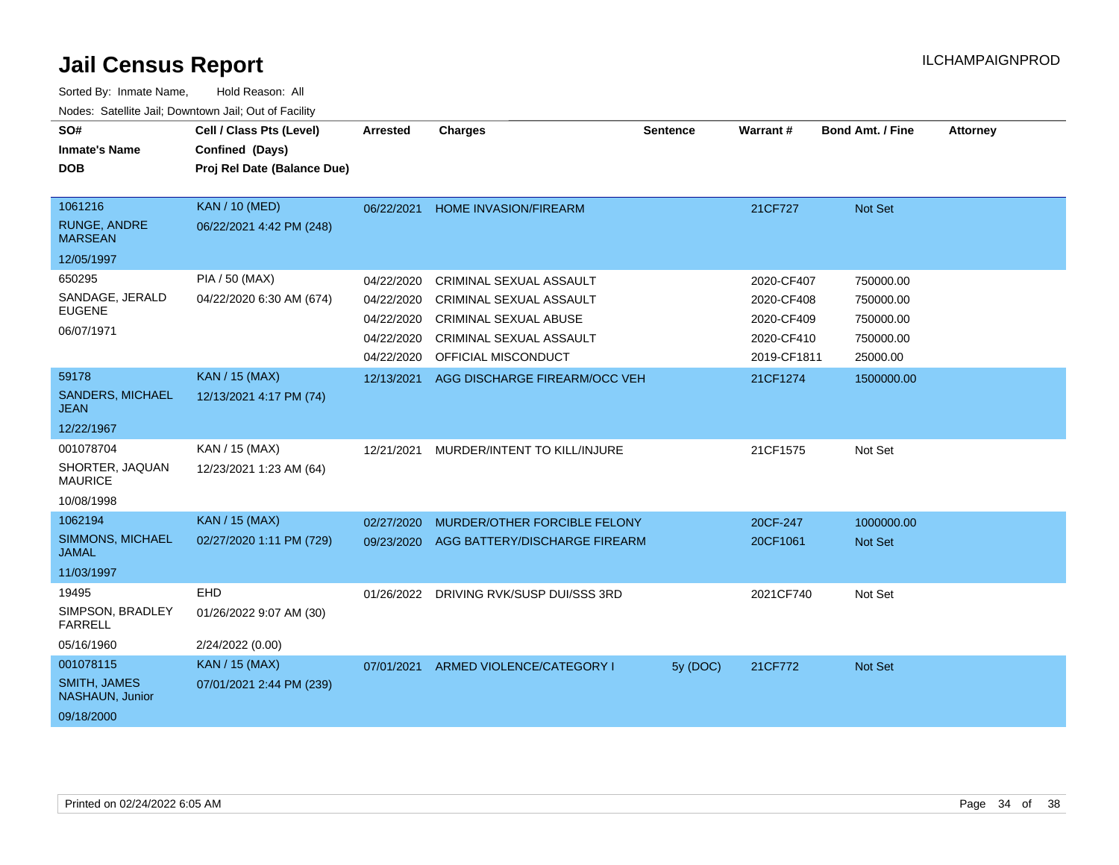| SO#<br><b>Inmate's Name</b><br><b>DOB</b>                         | Cell / Class Pts (Level)<br>Confined (Days)<br>Proj Rel Date (Balance Due) | <b>Arrested</b>                                                    | <b>Charges</b>                                                                                                                                     | <b>Sentence</b> | Warrant #                                                           | Bond Amt. / Fine                                             | <b>Attorney</b> |
|-------------------------------------------------------------------|----------------------------------------------------------------------------|--------------------------------------------------------------------|----------------------------------------------------------------------------------------------------------------------------------------------------|-----------------|---------------------------------------------------------------------|--------------------------------------------------------------|-----------------|
| 1061216<br><b>RUNGE, ANDRE</b><br><b>MARSEAN</b><br>12/05/1997    | <b>KAN / 10 (MED)</b><br>06/22/2021 4:42 PM (248)                          | 06/22/2021                                                         | <b>HOME INVASION/FIREARM</b>                                                                                                                       |                 | 21CF727                                                             | Not Set                                                      |                 |
| 650295<br>SANDAGE, JERALD<br><b>EUGENE</b><br>06/07/1971          | <b>PIA / 50 (MAX)</b><br>04/22/2020 6:30 AM (674)                          | 04/22/2020<br>04/22/2020<br>04/22/2020<br>04/22/2020<br>04/22/2020 | <b>CRIMINAL SEXUAL ASSAULT</b><br><b>CRIMINAL SEXUAL ASSAULT</b><br><b>CRIMINAL SEXUAL ABUSE</b><br>CRIMINAL SEXUAL ASSAULT<br>OFFICIAL MISCONDUCT |                 | 2020-CF407<br>2020-CF408<br>2020-CF409<br>2020-CF410<br>2019-CF1811 | 750000.00<br>750000.00<br>750000.00<br>750000.00<br>25000.00 |                 |
| 59178<br><b>SANDERS, MICHAEL</b><br><b>JEAN</b><br>12/22/1967     | <b>KAN / 15 (MAX)</b><br>12/13/2021 4:17 PM (74)                           | 12/13/2021                                                         | AGG DISCHARGE FIREARM/OCC VEH                                                                                                                      |                 | 21CF1274                                                            | 1500000.00                                                   |                 |
| 001078704<br>SHORTER, JAQUAN<br><b>MAURICE</b><br>10/08/1998      | KAN / 15 (MAX)<br>12/23/2021 1:23 AM (64)                                  | 12/21/2021                                                         | MURDER/INTENT TO KILL/INJURE                                                                                                                       |                 | 21CF1575                                                            | Not Set                                                      |                 |
| 1062194<br>SIMMONS, MICHAEL<br><b>JAMAL</b><br>11/03/1997         | <b>KAN / 15 (MAX)</b><br>02/27/2020 1:11 PM (729)                          | 02/27/2020<br>09/23/2020                                           | MURDER/OTHER FORCIBLE FELONY<br>AGG BATTERY/DISCHARGE FIREARM                                                                                      |                 | 20CF-247<br>20CF1061                                                | 1000000.00<br><b>Not Set</b>                                 |                 |
| 19495<br>SIMPSON, BRADLEY<br><b>FARRELL</b><br>05/16/1960         | <b>EHD</b><br>01/26/2022 9:07 AM (30)<br>2/24/2022 (0.00)                  | 01/26/2022                                                         | DRIVING RVK/SUSP DUI/SSS 3RD                                                                                                                       |                 | 2021CF740                                                           | Not Set                                                      |                 |
| 001078115<br><b>SMITH, JAMES</b><br>NASHAUN, Junior<br>09/18/2000 | <b>KAN / 15 (MAX)</b><br>07/01/2021 2:44 PM (239)                          | 07/01/2021                                                         | ARMED VIOLENCE/CATEGORY I                                                                                                                          | 5y (DOC)        | 21CF772                                                             | <b>Not Set</b>                                               |                 |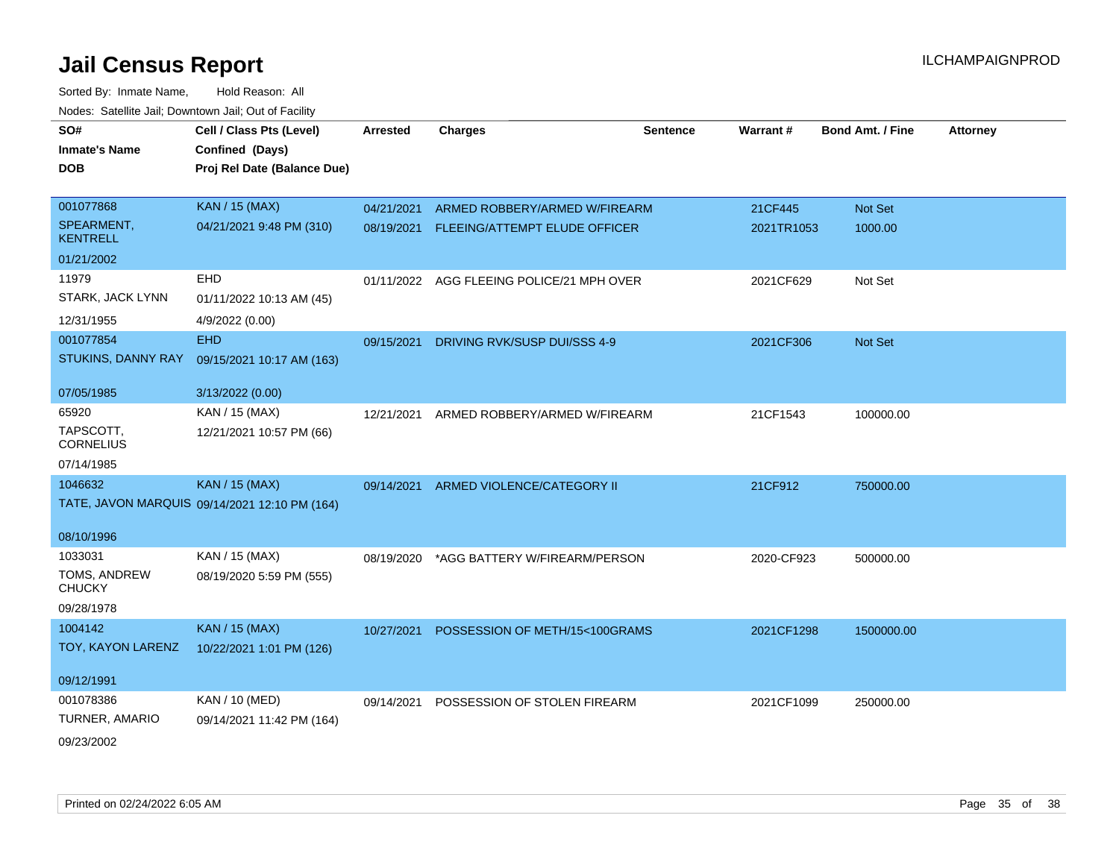| SO#                           | Cell / Class Pts (Level)                      | <b>Arrested</b> | <b>Charges</b>                            | <b>Sentence</b> | Warrant#   | Bond Amt. / Fine | <b>Attorney</b> |
|-------------------------------|-----------------------------------------------|-----------------|-------------------------------------------|-----------------|------------|------------------|-----------------|
| <b>Inmate's Name</b>          | Confined (Days)                               |                 |                                           |                 |            |                  |                 |
| <b>DOB</b>                    | Proj Rel Date (Balance Due)                   |                 |                                           |                 |            |                  |                 |
|                               |                                               |                 |                                           |                 |            |                  |                 |
| 001077868                     | <b>KAN / 15 (MAX)</b>                         | 04/21/2021      | ARMED ROBBERY/ARMED W/FIREARM             |                 | 21CF445    | Not Set          |                 |
| SPEARMENT,<br><b>KENTRELL</b> | 04/21/2021 9:48 PM (310)                      |                 | 08/19/2021 FLEEING/ATTEMPT ELUDE OFFICER  |                 | 2021TR1053 | 1000.00          |                 |
| 01/21/2002                    |                                               |                 |                                           |                 |            |                  |                 |
| 11979                         | <b>EHD</b>                                    |                 | 01/11/2022 AGG FLEEING POLICE/21 MPH OVER |                 | 2021CF629  | Not Set          |                 |
| STARK, JACK LYNN              | 01/11/2022 10:13 AM (45)                      |                 |                                           |                 |            |                  |                 |
| 12/31/1955                    | 4/9/2022 (0.00)                               |                 |                                           |                 |            |                  |                 |
| 001077854                     | <b>EHD</b>                                    | 09/15/2021      | DRIVING RVK/SUSP DUI/SSS 4-9              |                 | 2021CF306  | Not Set          |                 |
| STUKINS, DANNY RAY            | 09/15/2021 10:17 AM (163)                     |                 |                                           |                 |            |                  |                 |
|                               |                                               |                 |                                           |                 |            |                  |                 |
| 07/05/1985                    | 3/13/2022 (0.00)                              |                 |                                           |                 |            |                  |                 |
| 65920                         | KAN / 15 (MAX)                                | 12/21/2021      | ARMED ROBBERY/ARMED W/FIREARM             |                 | 21CF1543   | 100000.00        |                 |
| TAPSCOTT.<br><b>CORNELIUS</b> | 12/21/2021 10:57 PM (66)                      |                 |                                           |                 |            |                  |                 |
| 07/14/1985                    |                                               |                 |                                           |                 |            |                  |                 |
| 1046632                       | <b>KAN / 15 (MAX)</b>                         |                 | 09/14/2021 ARMED VIOLENCE/CATEGORY II     |                 | 21CF912    | 750000.00        |                 |
|                               | TATE, JAVON MARQUIS 09/14/2021 12:10 PM (164) |                 |                                           |                 |            |                  |                 |
| 08/10/1996                    |                                               |                 |                                           |                 |            |                  |                 |
| 1033031                       | KAN / 15 (MAX)                                | 08/19/2020      | *AGG BATTERY W/FIREARM/PERSON             |                 | 2020-CF923 | 500000.00        |                 |
| TOMS, ANDREW<br><b>CHUCKY</b> | 08/19/2020 5:59 PM (555)                      |                 |                                           |                 |            |                  |                 |
| 09/28/1978                    |                                               |                 |                                           |                 |            |                  |                 |
| 1004142                       | <b>KAN / 15 (MAX)</b>                         | 10/27/2021      | POSSESSION OF METH/15<100GRAMS            |                 | 2021CF1298 | 1500000.00       |                 |
| TOY, KAYON LARENZ             | 10/22/2021 1:01 PM (126)                      |                 |                                           |                 |            |                  |                 |
|                               |                                               |                 |                                           |                 |            |                  |                 |
| 09/12/1991                    |                                               |                 |                                           |                 |            |                  |                 |
| 001078386                     | KAN / 10 (MED)                                | 09/14/2021      | POSSESSION OF STOLEN FIREARM              |                 | 2021CF1099 | 250000.00        |                 |
| TURNER, AMARIO                | 09/14/2021 11:42 PM (164)                     |                 |                                           |                 |            |                  |                 |
| 09/23/2002                    |                                               |                 |                                           |                 |            |                  |                 |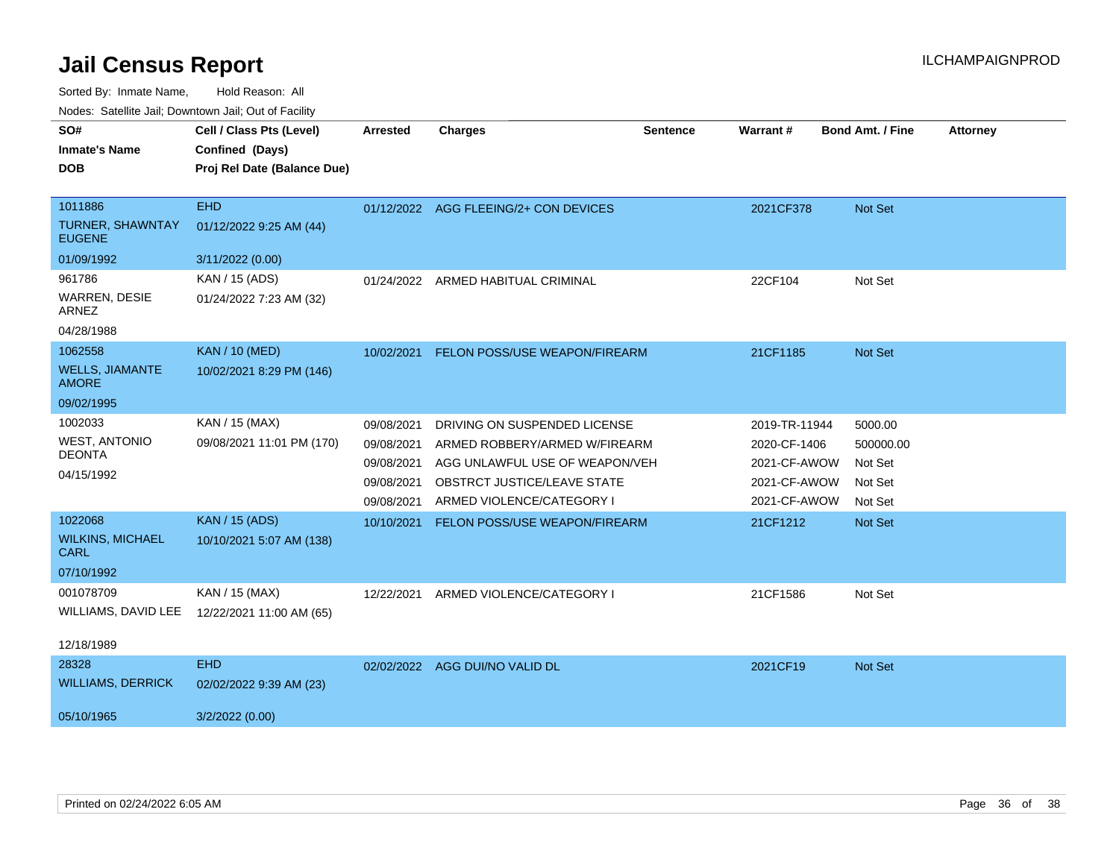Sorted By: Inmate Name, Hold Reason: All

Nodes: Satellite Jail; Downtown Jail; Out of Facility

| SO#<br><b>Inmate's Name</b><br><b>DOB</b>           | Cell / Class Pts (Level)<br>Confined (Days)<br>Proj Rel Date (Balance Due) | <b>Arrested</b> | <b>Charges</b>                        | <b>Sentence</b> | <b>Warrant#</b> | <b>Bond Amt. / Fine</b> | <b>Attorney</b> |
|-----------------------------------------------------|----------------------------------------------------------------------------|-----------------|---------------------------------------|-----------------|-----------------|-------------------------|-----------------|
| 1011886<br><b>TURNER, SHAWNTAY</b><br><b>EUGENE</b> | <b>EHD</b><br>01/12/2022 9:25 AM (44)                                      |                 | 01/12/2022 AGG FLEEING/2+ CON DEVICES |                 | 2021CF378       | Not Set                 |                 |
| 01/09/1992                                          | 3/11/2022 (0.00)                                                           |                 |                                       |                 |                 |                         |                 |
| 961786                                              | KAN / 15 (ADS)                                                             | 01/24/2022      | ARMED HABITUAL CRIMINAL               |                 | 22CF104         | Not Set                 |                 |
| WARREN, DESIE<br>ARNEZ                              | 01/24/2022 7:23 AM (32)                                                    |                 |                                       |                 |                 |                         |                 |
| 04/28/1988                                          |                                                                            |                 |                                       |                 |                 |                         |                 |
| 1062558                                             | <b>KAN / 10 (MED)</b>                                                      | 10/02/2021      | FELON POSS/USE WEAPON/FIREARM         |                 | 21CF1185        | <b>Not Set</b>          |                 |
| <b>WELLS, JIAMANTE</b><br><b>AMORE</b>              | 10/02/2021 8:29 PM (146)                                                   |                 |                                       |                 |                 |                         |                 |
| 09/02/1995                                          |                                                                            |                 |                                       |                 |                 |                         |                 |
| 1002033                                             | KAN / 15 (MAX)                                                             | 09/08/2021      | DRIVING ON SUSPENDED LICENSE          |                 | 2019-TR-11944   | 5000.00                 |                 |
| <b>WEST, ANTONIO</b>                                | 09/08/2021 11:01 PM (170)                                                  | 09/08/2021      | ARMED ROBBERY/ARMED W/FIREARM         |                 | 2020-CF-1406    | 500000.00               |                 |
| <b>DEONTA</b>                                       |                                                                            | 09/08/2021      | AGG UNLAWFUL USE OF WEAPON/VEH        |                 | 2021-CF-AWOW    | Not Set                 |                 |
| 04/15/1992                                          |                                                                            | 09/08/2021      | OBSTRCT JUSTICE/LEAVE STATE           |                 | 2021-CF-AWOW    | Not Set                 |                 |
|                                                     |                                                                            | 09/08/2021      | ARMED VIOLENCE/CATEGORY I             |                 | 2021-CF-AWOW    | Not Set                 |                 |
| 1022068<br><b>WILKINS, MICHAEL</b><br><b>CARL</b>   | <b>KAN / 15 (ADS)</b><br>10/10/2021 5:07 AM (138)                          | 10/10/2021      | FELON POSS/USE WEAPON/FIREARM         |                 | 21CF1212        | Not Set                 |                 |
| 07/10/1992                                          |                                                                            |                 |                                       |                 |                 |                         |                 |
| 001078709<br>WILLIAMS, DAVID LEE                    | KAN / 15 (MAX)<br>12/22/2021 11:00 AM (65)                                 | 12/22/2021      | ARMED VIOLENCE/CATEGORY I             |                 | 21CF1586        | Not Set                 |                 |
| 12/18/1989                                          |                                                                            |                 |                                       |                 |                 |                         |                 |
| 28328                                               | <b>EHD</b>                                                                 |                 | 02/02/2022 AGG DUI/NO VALID DL        |                 | 2021CF19        | <b>Not Set</b>          |                 |
| <b>WILLIAMS, DERRICK</b>                            | 02/02/2022 9:39 AM (23)                                                    |                 |                                       |                 |                 |                         |                 |
| 05/10/1965                                          | 3/2/2022 (0.00)                                                            |                 |                                       |                 |                 |                         |                 |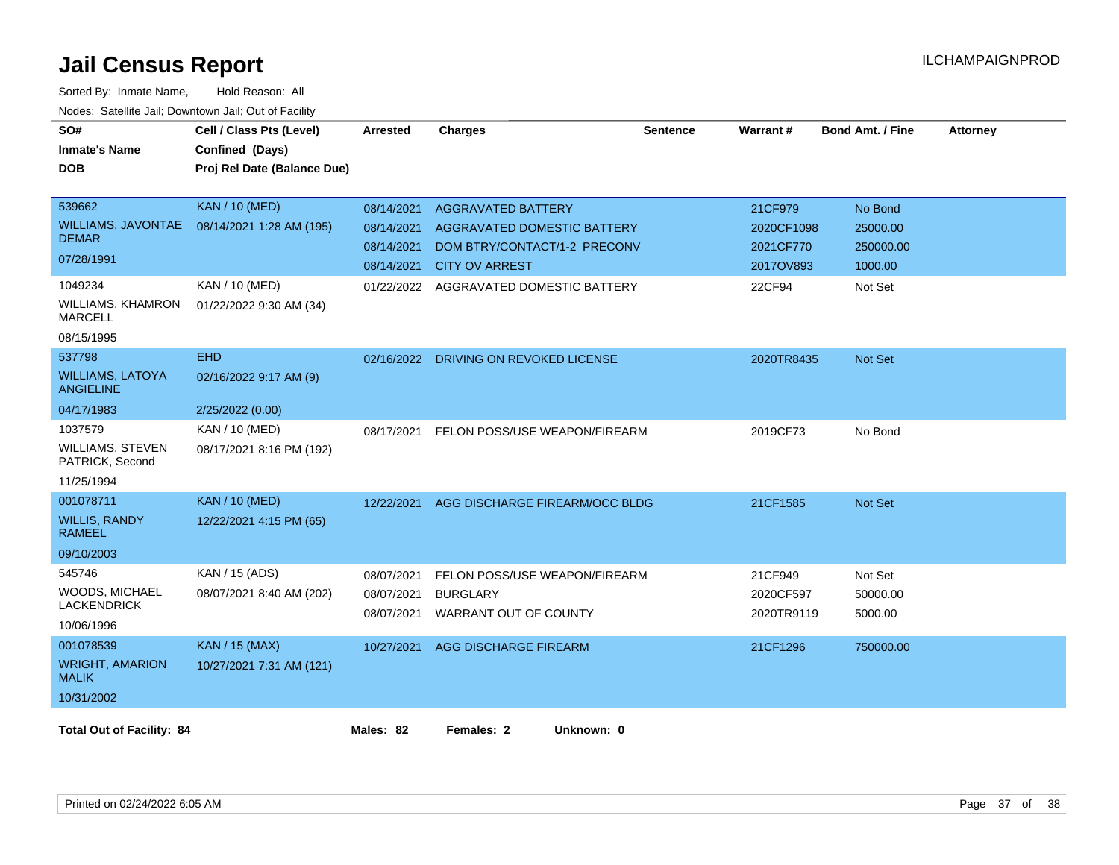| SO#<br><b>Inmate's Name</b><br><b>DOB</b>                                      | Cell / Class Pts (Level)<br>Confined (Days)<br>Proj Rel Date (Balance Due) | <b>Arrested</b>                                                    | <b>Charges</b>                                                                                                                                          | <b>Sentence</b> | Warrant#                                                  | <b>Bond Amt. / Fine</b>                                | <b>Attorney</b> |
|--------------------------------------------------------------------------------|----------------------------------------------------------------------------|--------------------------------------------------------------------|---------------------------------------------------------------------------------------------------------------------------------------------------------|-----------------|-----------------------------------------------------------|--------------------------------------------------------|-----------------|
| 539662<br><b>WILLIAMS, JAVONTAE</b><br><b>DEMAR</b><br>07/28/1991<br>1049234   | <b>KAN / 10 (MED)</b><br>08/14/2021 1:28 AM (195)<br>KAN / 10 (MED)        | 08/14/2021<br>08/14/2021<br>08/14/2021<br>08/14/2021<br>01/22/2022 | <b>AGGRAVATED BATTERY</b><br><b>AGGRAVATED DOMESTIC BATTERY</b><br>DOM BTRY/CONTACT/1-2 PRECONV<br><b>CITY OV ARREST</b><br>AGGRAVATED DOMESTIC BATTERY |                 | 21CF979<br>2020CF1098<br>2021CF770<br>2017OV893<br>22CF94 | No Bond<br>25000.00<br>250000.00<br>1000.00<br>Not Set |                 |
| <b>WILLIAMS, KHAMRON</b><br><b>MARCELL</b><br>08/15/1995                       | 01/22/2022 9:30 AM (34)                                                    |                                                                    |                                                                                                                                                         |                 |                                                           |                                                        |                 |
| 537798<br><b>WILLIAMS, LATOYA</b><br><b>ANGIELINE</b>                          | <b>EHD</b><br>02/16/2022 9:17 AM (9)                                       | 02/16/2022                                                         | DRIVING ON REVOKED LICENSE                                                                                                                              |                 | 2020TR8435                                                | Not Set                                                |                 |
| 04/17/1983<br>1037579<br><b>WILLIAMS, STEVEN</b><br>PATRICK, Second            | 2/25/2022 (0.00)<br>KAN / 10 (MED)<br>08/17/2021 8:16 PM (192)             | 08/17/2021                                                         | FELON POSS/USE WEAPON/FIREARM                                                                                                                           |                 | 2019CF73                                                  | No Bond                                                |                 |
| 11/25/1994<br>001078711<br><b>WILLIS, RANDY</b><br><b>RAMEEL</b><br>09/10/2003 | <b>KAN / 10 (MED)</b><br>12/22/2021 4:15 PM (65)                           | 12/22/2021                                                         | AGG DISCHARGE FIREARM/OCC BLDG                                                                                                                          |                 | 21CF1585                                                  | Not Set                                                |                 |
| 545746<br><b>WOODS, MICHAEL</b><br><b>LACKENDRICK</b><br>10/06/1996            | KAN / 15 (ADS)<br>08/07/2021 8:40 AM (202)                                 | 08/07/2021<br>08/07/2021<br>08/07/2021                             | FELON POSS/USE WEAPON/FIREARM<br><b>BURGLARY</b><br>WARRANT OUT OF COUNTY                                                                               |                 | 21CF949<br>2020CF597<br>2020TR9119                        | Not Set<br>50000.00<br>5000.00                         |                 |
| 001078539<br><b>WRIGHT, AMARION</b><br><b>MALIK</b><br>10/31/2002              | <b>KAN / 15 (MAX)</b><br>10/27/2021 7:31 AM (121)                          | 10/27/2021                                                         | <b>AGG DISCHARGE FIREARM</b>                                                                                                                            |                 | 21CF1296                                                  | 750000.00                                              |                 |
| <b>Total Out of Facility: 84</b>                                               |                                                                            | Males: 82                                                          | Females: 2<br>Unknown: 0                                                                                                                                |                 |                                                           |                                                        |                 |